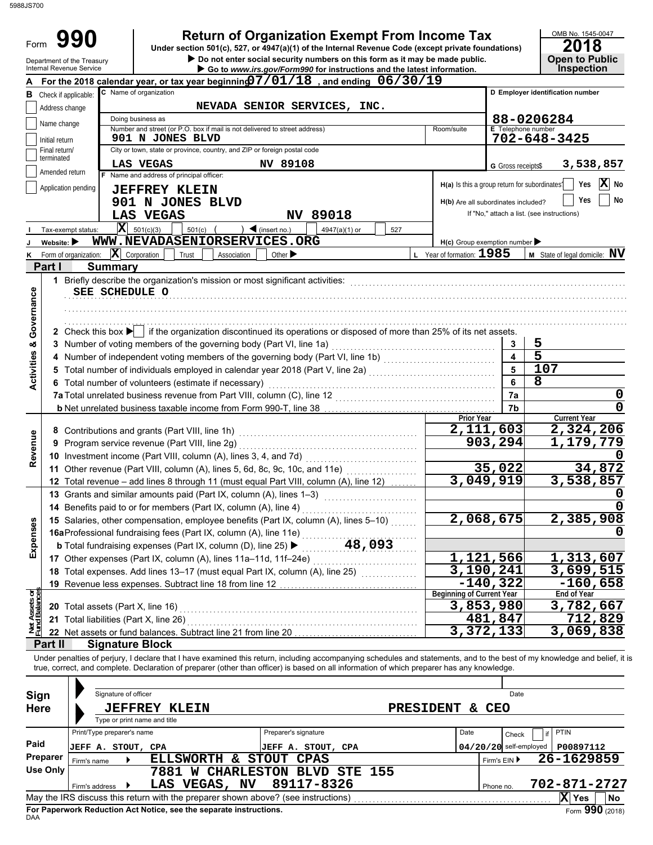| 88JS700                        |                                                        |                                                                                                                                                                        |                                                                                                                                                                                                                                                                                                                          |                                                                                      |                                   |                                                                           |
|--------------------------------|--------------------------------------------------------|------------------------------------------------------------------------------------------------------------------------------------------------------------------------|--------------------------------------------------------------------------------------------------------------------------------------------------------------------------------------------------------------------------------------------------------------------------------------------------------------------------|--------------------------------------------------------------------------------------|-----------------------------------|---------------------------------------------------------------------------|
| Form                           | 990                                                    |                                                                                                                                                                        | <b>Return of Organization Exempt From Income Tax</b><br>Under section 501(c), 527, or 4947(a)(1) of the Internal Revenue Code (except private foundations)<br>Do not enter social security numbers on this form as it may be made public.                                                                                |                                                                                      |                                   | OMB No. 1545-0047<br>2018<br><b>Open to Public</b>                        |
|                                | Department of the Treasury<br>Internal Revenue Service |                                                                                                                                                                        | Go to www.irs.gov/Form990 for instructions and the latest information.                                                                                                                                                                                                                                                   |                                                                                      |                                   | <b>Inspection</b>                                                         |
|                                |                                                        |                                                                                                                                                                        | For the 2018 calendar year, or tax year beginning $7/01/18$ , and ending $06/30/19$                                                                                                                                                                                                                                      |                                                                                      |                                   |                                                                           |
|                                | <b>B</b> Check if applicable:                          | C Name of organization                                                                                                                                                 |                                                                                                                                                                                                                                                                                                                          |                                                                                      |                                   | D Employer identification number                                          |
|                                | Address change                                         | Doing business as                                                                                                                                                      | NEVADA SENIOR SERVICES, INC.                                                                                                                                                                                                                                                                                             |                                                                                      |                                   | 88-0206284                                                                |
|                                | Name change                                            | Number and street (or P.O. box if mail is not delivered to street address)                                                                                             |                                                                                                                                                                                                                                                                                                                          | Room/suite                                                                           | <b>E</b> Telephone number         |                                                                           |
|                                | Initial return                                         | 901 N JONES BLVD                                                                                                                                                       |                                                                                                                                                                                                                                                                                                                          |                                                                                      |                                   | $702 - 648 - 3425$                                                        |
|                                | Final return/<br>terminated                            | City or town, state or province, country, and ZIP or foreign postal code                                                                                               |                                                                                                                                                                                                                                                                                                                          |                                                                                      |                                   |                                                                           |
|                                | Amended return                                         | LAS VEGAS<br>F Name and address of principal officer:                                                                                                                  | NV 89108                                                                                                                                                                                                                                                                                                                 |                                                                                      | G Gross receipts\$                | 3,538,857                                                                 |
|                                | Application pending                                    | <b>JEFFREY KLEIN</b><br>901 N JONES BLVD<br>LAS VEGAS                                                                                                                  | 89018<br>N <sub>V</sub>                                                                                                                                                                                                                                                                                                  | H(a) Is this a group return for subordinates?<br>H(b) Are all subordinates included? |                                   | X<br>Yes<br>No<br>Yes<br>No<br>If "No," attach a list. (see instructions) |
|                                | Tax-exempt status:<br>Website: $\blacktriangleright$   | $\mathbf{X}$ 501(c)(3)<br>501(c)<br>WWW.NEVADASENIORSERVICES.ORG                                                                                                       | $\blacktriangleleft$ (insert no.)<br>4947(a)(1) or<br>527                                                                                                                                                                                                                                                                |                                                                                      |                                   |                                                                           |
| κ                              | Form of organization:                                  | $ \mathbf{X} $ Corporation<br>Trust<br>Association                                                                                                                     | Other $\blacktriangleright$                                                                                                                                                                                                                                                                                              | H(c) Group exemption number<br>L Year of formation: 1985                             |                                   | $M$ State of legal domicile: $N$ V                                        |
| Part I                         |                                                        | <b>Summary</b>                                                                                                                                                         |                                                                                                                                                                                                                                                                                                                          |                                                                                      |                                   |                                                                           |
| Governance                     |                                                        | 1 Briefly describe the organization's mission or most significant activities:<br>SEE SCHEDULE O<br>3 Number of voting members of the governing body (Part VI, line 1a) | 2 Check this box $\blacktriangleright$ if the organization discontinued its operations or disposed of more than 25% of its net assets.                                                                                                                                                                                   |                                                                                      | 3                                 | 5                                                                         |
|                                |                                                        |                                                                                                                                                                        | 4 Number of independent voting members of the governing body (Part VI, line 1b) [[[[[[[[[[[[[[[[[[[[[[[[[[[[[                                                                                                                                                                                                            |                                                                                      | $\overline{\mathbf{4}}$           | $\overline{5}$                                                            |
| <b>Activities &amp;</b>        |                                                        |                                                                                                                                                                        | 5 Total number of individuals employed in calendar year 2018 (Part V, line 2a) [100] (100] [100] [100] [100] [100] [100] [100] [100] [100] [100] [100] [100] [100] [100] [100] [100] [100] [100] [100] [100] [100] [100] [100]                                                                                           |                                                                                      | 5                                 | 107                                                                       |
|                                |                                                        | 6 Total number of volunteers (estimate if necessary)                                                                                                                   |                                                                                                                                                                                                                                                                                                                          |                                                                                      | 6                                 | 8                                                                         |
|                                |                                                        | 7a Total unrelated business revenue from Part VIII, column (C), line 12                                                                                                |                                                                                                                                                                                                                                                                                                                          |                                                                                      | 7a<br>7b                          | 0<br>0                                                                    |
|                                |                                                        |                                                                                                                                                                        |                                                                                                                                                                                                                                                                                                                          | Prior Year                                                                           |                                   | <b>Current Year</b>                                                       |
|                                |                                                        |                                                                                                                                                                        |                                                                                                                                                                                                                                                                                                                          |                                                                                      | 2,111,603                         | 2,324,206                                                                 |
| Revenue                        |                                                        | 9 Program service revenue (Part VIII, line 2g)                                                                                                                         |                                                                                                                                                                                                                                                                                                                          |                                                                                      | 903,294                           | 1,179,779                                                                 |
|                                |                                                        |                                                                                                                                                                        |                                                                                                                                                                                                                                                                                                                          |                                                                                      | 35,022                            | 34,872                                                                    |
|                                |                                                        |                                                                                                                                                                        | 11 Other revenue (Part VIII, column (A), lines 5, 6d, 8c, 9c, 10c, and 11e) [[[[[[[[[[[[[[[[[[[[[[[[[[[[[[[[<br>12 Total revenue - add lines 8 through 11 (must equal Part VIII, column (A), line 12)                                                                                                                    |                                                                                      | 3,049,919                         | <u>3,538,857</u>                                                          |
|                                |                                                        | 13 Grants and similar amounts paid (Part IX, column (A), lines 1-3)                                                                                                    |                                                                                                                                                                                                                                                                                                                          |                                                                                      |                                   |                                                                           |
|                                |                                                        | 14 Benefits paid to or for members (Part IX, column (A), line 4)                                                                                                       |                                                                                                                                                                                                                                                                                                                          |                                                                                      |                                   |                                                                           |
|                                |                                                        |                                                                                                                                                                        | 15 Salaries, other compensation, employee benefits (Part IX, column (A), lines 5-10)                                                                                                                                                                                                                                     |                                                                                      | 2,068,675                         | 2,385,908                                                                 |
| Expenses                       |                                                        |                                                                                                                                                                        |                                                                                                                                                                                                                                                                                                                          |                                                                                      |                                   |                                                                           |
|                                |                                                        |                                                                                                                                                                        |                                                                                                                                                                                                                                                                                                                          |                                                                                      | 1,121,566                         |                                                                           |
|                                |                                                        | 17 Other expenses (Part IX, column (A), lines 11a-11d, 11f-24e)                                                                                                        | 18 Total expenses. Add lines 13-17 (must equal Part IX, column (A), line 25)                                                                                                                                                                                                                                             |                                                                                      | $\overline{3}$ , 190, 241         | 1,313,607<br>3,699,515                                                    |
|                                |                                                        | 19 Revenue less expenses. Subtract line 18 from line 12                                                                                                                |                                                                                                                                                                                                                                                                                                                          |                                                                                      | $-140,322$                        | $-160,658$                                                                |
|                                |                                                        |                                                                                                                                                                        |                                                                                                                                                                                                                                                                                                                          | Beginning of Current Year                                                            |                                   | End of Year                                                               |
| <b>Assets or</b><br>d Balances |                                                        | 20 Total assets (Part X, line 16)                                                                                                                                      |                                                                                                                                                                                                                                                                                                                          |                                                                                      | 3,853,980                         | $\overline{3,782,667}$                                                    |
|                                |                                                        | 21 Total liabilities (Part X, line 26)                                                                                                                                 |                                                                                                                                                                                                                                                                                                                          |                                                                                      | 481,847<br>$\overline{3,372,133}$ | 712,829<br>3,069,838                                                      |
| Part II                        |                                                        | 22 Net assets or fund balances. Subtract line 21 from line 20<br><b>Signature Block</b>                                                                                |                                                                                                                                                                                                                                                                                                                          |                                                                                      |                                   |                                                                           |
|                                |                                                        |                                                                                                                                                                        | Under penalties of perjury, I declare that I have examined this return, including accompanying schedules and statements, and to the best of my knowledge and belief, it is<br>true, correct, and complete. Declaration of preparer (other than officer) is based on all information of which preparer has any knowledge. |                                                                                      |                                   |                                                                           |
|                                |                                                        |                                                                                                                                                                        |                                                                                                                                                                                                                                                                                                                          |                                                                                      |                                   |                                                                           |
| Sign                           |                                                        | Signature of officer                                                                                                                                                   |                                                                                                                                                                                                                                                                                                                          |                                                                                      | Date                              |                                                                           |
| <b>Here</b>                    |                                                        | <b>JEFFREY KLEIN</b><br>Type or print name and title                                                                                                                   |                                                                                                                                                                                                                                                                                                                          | <b>PRESIDENT</b>                                                                     | & CEO                             |                                                                           |
|                                |                                                        | Print/Type preparer's name                                                                                                                                             | Preparer's signature                                                                                                                                                                                                                                                                                                     | Date                                                                                 | Check                             | <b>PTIN</b><br>if                                                         |
| Paid                           |                                                        | <b>JEFF A. STOUT, CPA</b>                                                                                                                                              | <b>JEFF A. STOUT, CPA</b>                                                                                                                                                                                                                                                                                                |                                                                                      | $04/20/20$ self-employed          | P00897112                                                                 |
| Preparer                       | Firm's name                                            | ELLSWORTH & STOUT CPAS                                                                                                                                                 |                                                                                                                                                                                                                                                                                                                          |                                                                                      | Firm's EIN ▶                      | 26-1629859                                                                |
| <b>Use Only</b>                |                                                        |                                                                                                                                                                        | 7881 W CHARLESTON BLVD STE 155                                                                                                                                                                                                                                                                                           |                                                                                      |                                   |                                                                           |
|                                | Firm's address                                         | LAS VEGAS, NV                                                                                                                                                          | 89117-8326                                                                                                                                                                                                                                                                                                               |                                                                                      | Phone no.                         | 702-871-2727                                                              |
|                                |                                                        | May the IRS discuss this return with the preparer shown above? (see instructions)                                                                                      |                                                                                                                                                                                                                                                                                                                          |                                                                                      |                                   | X Yes<br>No                                                               |

| Sign        | Signature of officer                           |                                                                                   |                                  |      | Date                       |                   |  |
|-------------|------------------------------------------------|-----------------------------------------------------------------------------------|----------------------------------|------|----------------------------|-------------------|--|
| <b>Here</b> | <b>JEFFREY</b><br>Type or print name and title | <b>KLEIN</b>                                                                      | <b>PRESIDENT</b><br>δc.          | CEO  |                            |                   |  |
|             | Print/Type preparer's name                     |                                                                                   | Preparer's signature             | Date | Check                      | <b>PTIN</b><br>if |  |
| Paid        | JEFF A. STOUT, CPA                             |                                                                                   | STOUT, CPA<br>JEFF A.            |      | $04/20/20$ self-employed   | P00897112         |  |
| Preparer    | Firm's name                                    | <b>ELLSWORTH</b><br>&.                                                            | STOUT<br><b>CPAS</b>             |      | 26-1629859<br>Firm's $EIN$ |                   |  |
| Use Only    |                                                | 7881                                                                              | <b>W CHARLESTON BLVD STE 155</b> |      |                            |                   |  |
|             | Firm's address                                 | <b>NV</b><br>LAS VEGAS,                                                           | 89117-8326                       |      | Phone no.                  | 702-871-2727      |  |
|             |                                                | May the IRS discuss this return with the preparer shown above? (see instructions) |                                  |      |                            | ΙX<br>No<br>Yes   |  |
| <b>DAA</b>  |                                                | For Paperwork Reduction Act Notice, see the separate instructions.                |                                  |      |                            | Form 990 (2018)   |  |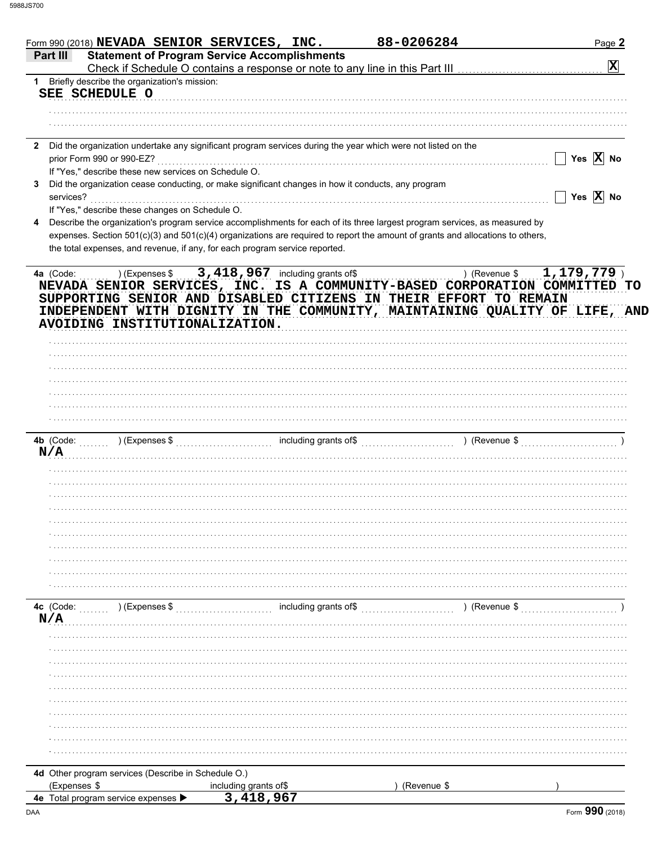| Form 990 (2018) NEVADA SENIOR SERVICES, INC.                                                                                                                                                   |                                                     | 88-0206284                                                                                                                                                                         | Page 2                                                                                                    |
|------------------------------------------------------------------------------------------------------------------------------------------------------------------------------------------------|-----------------------------------------------------|------------------------------------------------------------------------------------------------------------------------------------------------------------------------------------|-----------------------------------------------------------------------------------------------------------|
| Part III                                                                                                                                                                                       | <b>Statement of Program Service Accomplishments</b> | Check if Schedule O contains a response or note to any line in this Part III [11] [11] [11] [11] [11] Check if Schedule O contains a response or note to any line in this Part III | $\mathbf{x}$                                                                                              |
| Briefly describe the organization's mission:<br>1                                                                                                                                              |                                                     |                                                                                                                                                                                    |                                                                                                           |
| SEE SCHEDULE O                                                                                                                                                                                 |                                                     |                                                                                                                                                                                    |                                                                                                           |
|                                                                                                                                                                                                |                                                     |                                                                                                                                                                                    |                                                                                                           |
|                                                                                                                                                                                                |                                                     |                                                                                                                                                                                    |                                                                                                           |
| Did the organization undertake any significant program services during the year which were not listed on the<br>$\mathbf{2}$<br>prior Form 990 or 990-EZ?                                      |                                                     |                                                                                                                                                                                    | Yes $\overline{X}$ No                                                                                     |
| If "Yes," describe these new services on Schedule O.                                                                                                                                           |                                                     |                                                                                                                                                                                    |                                                                                                           |
| Did the organization cease conducting, or make significant changes in how it conducts, any program<br>3.<br>services?                                                                          |                                                     |                                                                                                                                                                                    | Yes $\overline{X}$ No                                                                                     |
| If "Yes," describe these changes on Schedule O.                                                                                                                                                |                                                     |                                                                                                                                                                                    |                                                                                                           |
| Describe the organization's program service accomplishments for each of its three largest program services, as measured by<br>4                                                                |                                                     |                                                                                                                                                                                    |                                                                                                           |
| expenses. Section 501(c)(3) and 501(c)(4) organizations are required to report the amount of grants and allocations to others,                                                                 |                                                     |                                                                                                                                                                                    |                                                                                                           |
| the total expenses, and revenue, if any, for each program service reported.                                                                                                                    |                                                     |                                                                                                                                                                                    |                                                                                                           |
| 4a (Code:<br>NEVADA SENIOR SERVICES, INC. IS A COMMUNITY-BASED CORPORATION COMMITTED TO<br>SUPPORTING SENIOR AND DISABLED CITIZENS IN THEIR EFFORT TO REMAIN<br>AVOIDING INSTITUTIONALIZATION. | ) (Expenses $$3,418,967$ including grants of \$     |                                                                                                                                                                                    | 1,179,779<br>) (Revenue \$<br>INDEPENDENT WITH DIGNITY IN THE COMMUNITY, MAINTAINING QUALITY OF LIFE, AND |
|                                                                                                                                                                                                |                                                     |                                                                                                                                                                                    |                                                                                                           |
|                                                                                                                                                                                                |                                                     |                                                                                                                                                                                    |                                                                                                           |
|                                                                                                                                                                                                |                                                     |                                                                                                                                                                                    |                                                                                                           |
|                                                                                                                                                                                                |                                                     |                                                                                                                                                                                    |                                                                                                           |
|                                                                                                                                                                                                |                                                     |                                                                                                                                                                                    |                                                                                                           |
|                                                                                                                                                                                                |                                                     |                                                                                                                                                                                    |                                                                                                           |
| N/A                                                                                                                                                                                            |                                                     |                                                                                                                                                                                    | ) (Revenue \$                                                                                             |
|                                                                                                                                                                                                |                                                     |                                                                                                                                                                                    |                                                                                                           |
|                                                                                                                                                                                                |                                                     |                                                                                                                                                                                    |                                                                                                           |
|                                                                                                                                                                                                |                                                     |                                                                                                                                                                                    |                                                                                                           |
|                                                                                                                                                                                                |                                                     |                                                                                                                                                                                    |                                                                                                           |
|                                                                                                                                                                                                |                                                     |                                                                                                                                                                                    |                                                                                                           |
|                                                                                                                                                                                                |                                                     |                                                                                                                                                                                    |                                                                                                           |
|                                                                                                                                                                                                |                                                     |                                                                                                                                                                                    |                                                                                                           |
|                                                                                                                                                                                                |                                                     |                                                                                                                                                                                    |                                                                                                           |
|                                                                                                                                                                                                |                                                     |                                                                                                                                                                                    |                                                                                                           |
|                                                                                                                                                                                                | including grants of\$                               |                                                                                                                                                                                    |                                                                                                           |
| 4c (Code:<br>) (Expenses \$<br>N/A                                                                                                                                                             |                                                     |                                                                                                                                                                                    | ) (Revenue \$                                                                                             |
|                                                                                                                                                                                                |                                                     |                                                                                                                                                                                    |                                                                                                           |
|                                                                                                                                                                                                |                                                     |                                                                                                                                                                                    |                                                                                                           |
|                                                                                                                                                                                                |                                                     |                                                                                                                                                                                    |                                                                                                           |
|                                                                                                                                                                                                |                                                     |                                                                                                                                                                                    |                                                                                                           |
|                                                                                                                                                                                                |                                                     |                                                                                                                                                                                    |                                                                                                           |
|                                                                                                                                                                                                |                                                     |                                                                                                                                                                                    |                                                                                                           |
|                                                                                                                                                                                                |                                                     |                                                                                                                                                                                    |                                                                                                           |
|                                                                                                                                                                                                |                                                     |                                                                                                                                                                                    |                                                                                                           |
|                                                                                                                                                                                                |                                                     |                                                                                                                                                                                    |                                                                                                           |
|                                                                                                                                                                                                |                                                     |                                                                                                                                                                                    |                                                                                                           |
| 4d Other program services (Describe in Schedule O.)                                                                                                                                            |                                                     |                                                                                                                                                                                    |                                                                                                           |
| (Expenses \$<br><b>4e</b> Total program service expenses                                                                                                                                       | including grants of\$<br>3,418,967                  | (Revenue \$                                                                                                                                                                        |                                                                                                           |
|                                                                                                                                                                                                |                                                     |                                                                                                                                                                                    |                                                                                                           |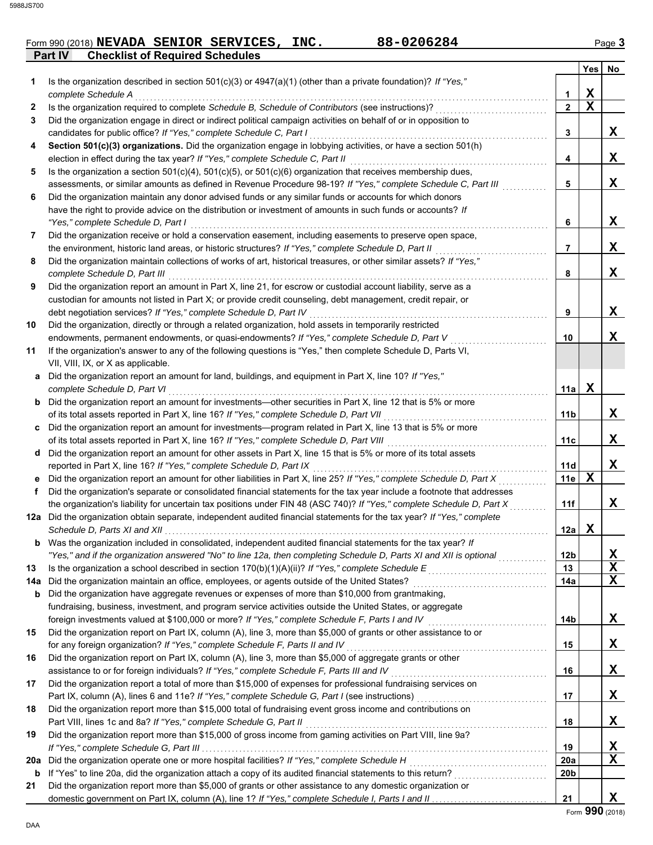## **Part IV Checklist of Required Schedules** Form 990 (2018) **NEVADA SENIOR SERVICES, INC.** 88-0206284 Page 3

|     |                                                                                                                                                                                                              |                 | <b>Yes</b>  | No          |
|-----|--------------------------------------------------------------------------------------------------------------------------------------------------------------------------------------------------------------|-----------------|-------------|-------------|
| 1.  | Is the organization described in section $501(c)(3)$ or $4947(a)(1)$ (other than a private foundation)? If "Yes,"                                                                                            |                 |             |             |
|     | complete Schedule A                                                                                                                                                                                          | 1               | $\mathbf X$ |             |
| 2   | Is the organization required to complete Schedule B, Schedule of Contributors (see instructions)?                                                                                                            | $\mathbf{2}$    | $\mathbf x$ |             |
| 3   | Did the organization engage in direct or indirect political campaign activities on behalf of or in opposition to                                                                                             |                 |             |             |
|     | candidates for public office? If "Yes," complete Schedule C, Part I                                                                                                                                          | 3               |             | X           |
| 4   | Section 501(c)(3) organizations. Did the organization engage in lobbying activities, or have a section 501(h)                                                                                                |                 |             |             |
|     | election in effect during the tax year? If "Yes," complete Schedule C, Part II                                                                                                                               | 4               |             | X           |
| 5   | Is the organization a section $501(c)(4)$ , $501(c)(5)$ , or $501(c)(6)$ organization that receives membership dues,                                                                                         |                 |             |             |
|     | assessments, or similar amounts as defined in Revenue Procedure 98-19? If "Yes," complete Schedule C, Part III                                                                                               | 5               |             | X           |
| 6   | Did the organization maintain any donor advised funds or any similar funds or accounts for which donors                                                                                                      |                 |             |             |
|     | have the right to provide advice on the distribution or investment of amounts in such funds or accounts? If                                                                                                  |                 |             |             |
|     | "Yes," complete Schedule D, Part I                                                                                                                                                                           | 6               |             | X           |
| 7   | Did the organization receive or hold a conservation easement, including easements to preserve open space,                                                                                                    |                 |             |             |
|     | the environment, historic land areas, or historic structures? If "Yes," complete Schedule D, Part II                                                                                                         | 7               |             | X           |
| 8   | Did the organization maintain collections of works of art, historical treasures, or other similar assets? If "Yes,"                                                                                          |                 |             |             |
|     | complete Schedule D, Part III                                                                                                                                                                                | 8               |             | X           |
| 9   | Did the organization report an amount in Part X, line 21, for escrow or custodial account liability, serve as a                                                                                              |                 |             |             |
|     | custodian for amounts not listed in Part X; or provide credit counseling, debt management, credit repair, or                                                                                                 |                 |             |             |
|     | debt negotiation services? If "Yes," complete Schedule D, Part IV                                                                                                                                            | 9               |             | X           |
| 10  | Did the organization, directly or through a related organization, hold assets in temporarily restricted                                                                                                      |                 |             | X           |
| 11  | endowments, permanent endowments, or quasi-endowments? If "Yes," complete Schedule D, Part V<br>If the organization's answer to any of the following questions is "Yes," then complete Schedule D, Parts VI, | 10              |             |             |
|     | VII, VIII, IX, or X as applicable.                                                                                                                                                                           |                 |             |             |
|     | a Did the organization report an amount for land, buildings, and equipment in Part X, line 10? If "Yes,"                                                                                                     |                 |             |             |
|     | complete Schedule D, Part VI                                                                                                                                                                                 | 11a             | $\mathbf X$ |             |
|     | <b>b</b> Did the organization report an amount for investments—other securities in Part X, line 12 that is 5% or more                                                                                        |                 |             |             |
|     | of its total assets reported in Part X, line 16? If "Yes," complete Schedule D, Part VII                                                                                                                     | 11b             |             | X           |
|     | c Did the organization report an amount for investments—program related in Part X, line 13 that is 5% or more                                                                                                |                 |             |             |
|     | of its total assets reported in Part X, line 16? If "Yes," complete Schedule D, Part VIII                                                                                                                    | 11c             |             | X           |
|     | d Did the organization report an amount for other assets in Part X, line 15 that is 5% or more of its total assets                                                                                           |                 |             |             |
|     | reported in Part X, line 16? If "Yes," complete Schedule D, Part IX                                                                                                                                          | 11d             |             | X           |
|     | e Did the organization report an amount for other liabilities in Part X, line 25? If "Yes," complete Schedule D, Part X                                                                                      | 11e             | X           |             |
| f   | Did the organization's separate or consolidated financial statements for the tax year include a footnote that addresses                                                                                      |                 |             |             |
|     | the organization's liability for uncertain tax positions under FIN 48 (ASC 740)? If "Yes," complete Schedule D, Part X                                                                                       | 11f             |             | X           |
|     | 12a Did the organization obtain separate, independent audited financial statements for the tax year? If "Yes," complete                                                                                      |                 |             |             |
|     |                                                                                                                                                                                                              | 12a             | X           |             |
| b   | Was the organization included in consolidated, independent audited financial statements for the tax year? If                                                                                                 |                 |             |             |
|     | "Yes," and if the organization answered "No" to line 12a, then completing Schedule D, Parts XI and XII is optional                                                                                           | 12 <sub>b</sub> |             | <u>x</u>    |
| 13  |                                                                                                                                                                                                              | 13              |             | $\mathbf X$ |
| 14a |                                                                                                                                                                                                              | 14a             |             | $\mathbf X$ |
| b   | Did the organization have aggregate revenues or expenses of more than \$10,000 from grantmaking,                                                                                                             |                 |             |             |
|     | fundraising, business, investment, and program service activities outside the United States, or aggregate                                                                                                    |                 |             |             |
|     | foreign investments valued at \$100,000 or more? If "Yes," complete Schedule F, Parts I and IV                                                                                                               | 14b             |             | X           |
| 15  | Did the organization report on Part IX, column (A), line 3, more than \$5,000 of grants or other assistance to or                                                                                            |                 |             |             |
|     | for any foreign organization? If "Yes," complete Schedule F, Parts II and IV                                                                                                                                 | 15              |             | X           |
| 16  | Did the organization report on Part IX, column (A), line 3, more than \$5,000 of aggregate grants or other                                                                                                   |                 |             |             |
|     | assistance to or for foreign individuals? If "Yes," complete Schedule F, Parts III and IV                                                                                                                    | 16              |             | X           |
| 17  | Did the organization report a total of more than \$15,000 of expenses for professional fundraising services on                                                                                               |                 |             |             |
|     | Part IX, column (A), lines 6 and 11e? If "Yes," complete Schedule G, Part I (see instructions) [[[[[[[[[[[[[[                                                                                                | 17              |             | X           |
| 18  | Did the organization report more than \$15,000 total of fundraising event gross income and contributions on                                                                                                  |                 |             |             |
|     | Part VIII, lines 1c and 8a? If "Yes," complete Schedule G, Part II                                                                                                                                           | 18              |             | X           |
| 19  | Did the organization report more than \$15,000 of gross income from gaming activities on Part VIII, line 9a?                                                                                                 |                 |             |             |
|     |                                                                                                                                                                                                              | 19              |             | <u>x</u>    |
| 20a | Did the organization operate one or more hospital facilities? If "Yes," complete Schedule H                                                                                                                  | 20a             |             | $\mathbf X$ |
| b   |                                                                                                                                                                                                              | 20b             |             |             |
| 21  | Did the organization report more than \$5,000 of grants or other assistance to any domestic organization or                                                                                                  |                 |             |             |
|     |                                                                                                                                                                                                              | 21              |             | X           |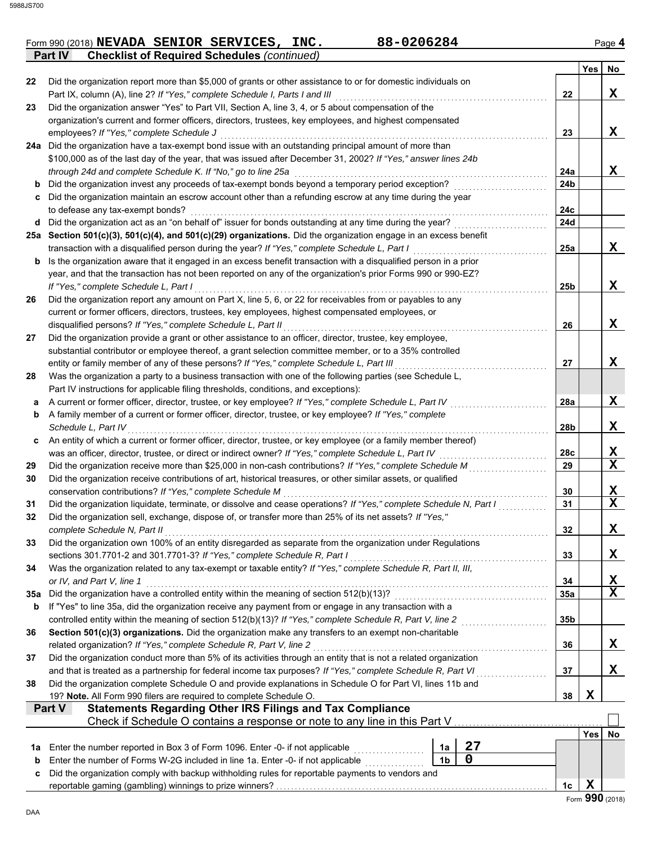|  | Form 990 (2018) NEVADA SENIOR SERVICES, INC.               | 88-0206284 | Page 4 |
|--|------------------------------------------------------------|------------|--------|
|  | <b>Part IV</b> Checklist of Required Schedules (continued) |            |        |

|     |                                                                                                                                                                                                                   |                 | Yes         | No              |
|-----|-------------------------------------------------------------------------------------------------------------------------------------------------------------------------------------------------------------------|-----------------|-------------|-----------------|
| 22  | Did the organization report more than \$5,000 of grants or other assistance to or for domestic individuals on                                                                                                     |                 |             |                 |
|     | Part IX, column (A), line 2? If "Yes," complete Schedule I, Parts I and III                                                                                                                                       | 22              |             | X               |
| 23  | Did the organization answer "Yes" to Part VII, Section A, line 3, 4, or 5 about compensation of the                                                                                                               |                 |             |                 |
|     | organization's current and former officers, directors, trustees, key employees, and highest compensated                                                                                                           |                 |             |                 |
|     | employees? If "Yes," complete Schedule J                                                                                                                                                                          | 23              |             | X               |
|     | 24a Did the organization have a tax-exempt bond issue with an outstanding principal amount of more than                                                                                                           |                 |             |                 |
|     | \$100,000 as of the last day of the year, that was issued after December 31, 2002? If "Yes," answer lines 24b                                                                                                     |                 |             |                 |
|     | through 24d and complete Schedule K. If "No," go to line 25a                                                                                                                                                      | 24a             |             | X               |
| b   | Did the organization invest any proceeds of tax-exempt bonds beyond a temporary period exception?                                                                                                                 | 24b             |             |                 |
| c   | Did the organization maintain an escrow account other than a refunding escrow at any time during the year                                                                                                         |                 |             |                 |
|     | to defease any tax-exempt bonds?                                                                                                                                                                                  | 24c             |             |                 |
|     | d Did the organization act as an "on behalf of" issuer for bonds outstanding at any time during the year?                                                                                                         | 24d             |             |                 |
|     | 25a Section 501(c)(3), 501(c)(4), and 501(c)(29) organizations. Did the organization engage in an excess benefit<br>transaction with a disqualified person during the year? If "Yes," complete Schedule L, Part I | 25a             |             | X               |
| b   | Is the organization aware that it engaged in an excess benefit transaction with a disqualified person in a prior                                                                                                  |                 |             |                 |
|     | year, and that the transaction has not been reported on any of the organization's prior Forms 990 or 990-EZ?                                                                                                      |                 |             |                 |
|     | If "Yes," complete Schedule L, Part I                                                                                                                                                                             | 25 <sub>b</sub> |             | X               |
| 26  | Did the organization report any amount on Part X, line 5, 6, or 22 for receivables from or payables to any                                                                                                        |                 |             |                 |
|     | current or former officers, directors, trustees, key employees, highest compensated employees, or                                                                                                                 |                 |             |                 |
|     | disqualified persons? If "Yes," complete Schedule L, Part II                                                                                                                                                      | 26              |             | X               |
| 27  | Did the organization provide a grant or other assistance to an officer, director, trustee, key employee,                                                                                                          |                 |             |                 |
|     | substantial contributor or employee thereof, a grant selection committee member, or to a 35% controlled                                                                                                           |                 |             |                 |
|     | entity or family member of any of these persons? If "Yes," complete Schedule L, Part III                                                                                                                          | 27              |             | X               |
| 28  | Was the organization a party to a business transaction with one of the following parties (see Schedule L,                                                                                                         |                 |             |                 |
|     | Part IV instructions for applicable filing thresholds, conditions, and exceptions):                                                                                                                               |                 |             |                 |
| а   | A current or former officer, director, trustee, or key employee? If "Yes," complete Schedule L, Part IV                                                                                                           | 28a             |             | X               |
| b   | A family member of a current or former officer, director, trustee, or key employee? If "Yes," complete                                                                                                            |                 |             |                 |
|     | Schedule L, Part IV                                                                                                                                                                                               | 28 <sub>b</sub> |             | X               |
| C   | An entity of which a current or former officer, director, trustee, or key employee (or a family member thereof)                                                                                                   |                 |             |                 |
|     | was an officer, director, trustee, or direct or indirect owner? If "Yes," complete Schedule L, Part IV                                                                                                            | 28c             |             | X               |
| 29  | Did the organization receive more than \$25,000 in non-cash contributions? If "Yes," complete Schedule M                                                                                                          | 29              |             | $\mathbf x$     |
| 30  | Did the organization receive contributions of art, historical treasures, or other similar assets, or qualified                                                                                                    |                 |             |                 |
|     | conservation contributions? If "Yes," complete Schedule M                                                                                                                                                         | 30              |             | X               |
| 31  | Did the organization liquidate, terminate, or dissolve and cease operations? If "Yes," complete Schedule N, Part I                                                                                                | 31              |             | $\mathbf x$     |
| 32  | Did the organization sell, exchange, dispose of, or transfer more than 25% of its net assets? If "Yes,"                                                                                                           |                 |             |                 |
|     | complete Schedule N, Part II                                                                                                                                                                                      | 32              |             | X               |
| 33  | Did the organization own 100% of an entity disregarded as separate from the organization under Regulations<br>sections 301.7701-2 and 301.7701-3? If "Yes," complete Schedule R, Part I                           | 33              |             | X               |
| 34  | Was the organization related to any tax-exempt or taxable entity? If "Yes," complete Schedule R, Part II, III,                                                                                                    |                 |             |                 |
|     | or IV, and Part V, line 1                                                                                                                                                                                         | 34              |             | X               |
| 35a | Did the organization have a controlled entity within the meaning of section 512(b)(13)?                                                                                                                           | 35a             |             | $\mathbf X$     |
| b   | If "Yes" to line 35a, did the organization receive any payment from or engage in any transaction with a                                                                                                           |                 |             |                 |
|     |                                                                                                                                                                                                                   | 35 <sub>b</sub> |             |                 |
| 36  | Section 501(c)(3) organizations. Did the organization make any transfers to an exempt non-charitable                                                                                                              |                 |             |                 |
|     | related organization? If "Yes," complete Schedule R, Part V, line 2                                                                                                                                               | 36              |             | X               |
| 37  | Did the organization conduct more than 5% of its activities through an entity that is not a related organization                                                                                                  |                 |             |                 |
|     | and that is treated as a partnership for federal income tax purposes? If "Yes," complete Schedule R, Part VI                                                                                                      | 37              |             | X               |
| 38  | Did the organization complete Schedule O and provide explanations in Schedule O for Part VI, lines 11b and                                                                                                        |                 |             |                 |
|     | 19? Note. All Form 990 filers are required to complete Schedule O.                                                                                                                                                | 38              | $\mathbf X$ |                 |
|     | <b>Statements Regarding Other IRS Filings and Tax Compliance</b><br><b>Part V</b>                                                                                                                                 |                 |             |                 |
|     | Check if Schedule O contains a response or note to any line in this Part V                                                                                                                                        |                 |             |                 |
|     |                                                                                                                                                                                                                   |                 | Yes         | No              |
| 1a  | 27<br>Enter the number reported in Box 3 of Form 1096. Enter -0- if not applicable<br>1a<br><u>.</u><br>1980 - Paul Barbara, president al II-lea                                                                  |                 |             |                 |
| b   | 0<br>1 <sub>b</sub><br>Enter the number of Forms W-2G included in line 1a. Enter -0- if not applicable                                                                                                            |                 |             |                 |
| c   | Did the organization comply with backup withholding rules for reportable payments to vendors and                                                                                                                  |                 |             |                 |
|     |                                                                                                                                                                                                                   | 1 <sub>c</sub>  | X           | Form 990 (2018) |
|     |                                                                                                                                                                                                                   |                 |             |                 |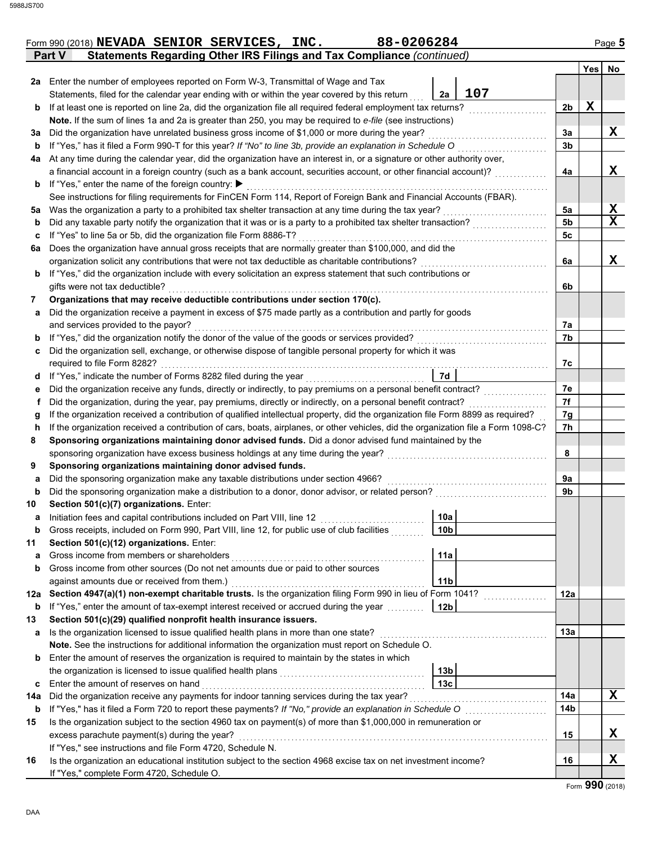|     | 88-0206284<br>Form 990 (2018) NEVADA SENIOR SERVICES, INC.                                                                                                                                                                  |                 |          |             | Page 5      |
|-----|-----------------------------------------------------------------------------------------------------------------------------------------------------------------------------------------------------------------------------|-----------------|----------|-------------|-------------|
|     | <b>Statements Regarding Other IRS Filings and Tax Compliance (continued)</b><br>Part V                                                                                                                                      |                 |          |             |             |
|     |                                                                                                                                                                                                                             |                 |          |             | Yes No      |
|     | 2a Enter the number of employees reported on Form W-3, Transmittal of Wage and Tax                                                                                                                                          | 107             |          |             |             |
|     | Statements, filed for the calendar year ending with or within the year covered by this return                                                                                                                               | 2a              |          | $\mathbf X$ |             |
| b   | If at least one is reported on line 2a, did the organization file all required federal employment tax returns?<br>Note. If the sum of lines 1a and 2a is greater than 250, you may be required to e-file (see instructions) |                 | 2b       |             |             |
|     | Did the organization have unrelated business gross income of \$1,000 or more during the year?                                                                                                                               |                 |          |             | X           |
| За  | If "Yes," has it filed a Form 990-T for this year? If "No" to line 3b, provide an explanation in Schedule O                                                                                                                 |                 | 3a<br>3b |             |             |
| b   | At any time during the calendar year, did the organization have an interest in, or a signature or other authority over,                                                                                                     |                 |          |             |             |
| 4a  | a financial account in a foreign country (such as a bank account, securities account, or other financial account)?                                                                                                          |                 | 4a       |             | X           |
|     | If "Yes," enter the name of the foreign country: ▶                                                                                                                                                                          |                 |          |             |             |
| b   | See instructions for filing requirements for FinCEN Form 114, Report of Foreign Bank and Financial Accounts (FBAR).                                                                                                         |                 |          |             |             |
|     | Was the organization a party to a prohibited tax shelter transaction at any time during the tax year?                                                                                                                       |                 | 5a       |             | X           |
| 5a  | Did any taxable party notify the organization that it was or is a party to a prohibited tax shelter transaction?                                                                                                            |                 | 5b       |             | $\mathbf x$ |
| b   |                                                                                                                                                                                                                             |                 |          |             |             |
| c   | If "Yes" to line 5a or 5b, did the organization file Form 8886-T?                                                                                                                                                           |                 | 5c       |             |             |
| 6a  | Does the organization have annual gross receipts that are normally greater than \$100,000, and did the                                                                                                                      |                 |          |             | X           |
|     | organization solicit any contributions that were not tax deductible as charitable contributions?                                                                                                                            |                 | 6a       |             |             |
| b   | If "Yes," did the organization include with every solicitation an express statement that such contributions or                                                                                                              |                 |          |             |             |
|     | gifts were not tax deductible?                                                                                                                                                                                              |                 | 6b       |             |             |
| 7   | Organizations that may receive deductible contributions under section 170(c).                                                                                                                                               |                 |          |             |             |
| а   | Did the organization receive a payment in excess of \$75 made partly as a contribution and partly for goods                                                                                                                 |                 |          |             |             |
|     | and services provided to the payor?                                                                                                                                                                                         |                 | 7а       |             |             |
| b   | If "Yes," did the organization notify the donor of the value of the goods or services provided?                                                                                                                             |                 | 7b       |             |             |
| с   | Did the organization sell, exchange, or otherwise dispose of tangible personal property for which it was                                                                                                                    |                 |          |             |             |
|     | required to file Form 8282?                                                                                                                                                                                                 |                 | 7c       |             |             |
| d   | If "Yes," indicate the number of Forms 8282 filed during the year                                                                                                                                                           | 7d              |          |             |             |
| е   | Did the organization receive any funds, directly or indirectly, to pay premiums on a personal benefit contract?                                                                                                             |                 | 7e       |             |             |
| f   | Did the organization, during the year, pay premiums, directly or indirectly, on a personal benefit contract?                                                                                                                |                 | 7f       |             |             |
| g   | If the organization received a contribution of qualified intellectual property, did the organization file Form 8899 as required?                                                                                            |                 | 7g       |             |             |
| h   | If the organization received a contribution of cars, boats, airplanes, or other vehicles, did the organization file a Form 1098-C?                                                                                          |                 | 7h       |             |             |
| 8   | Sponsoring organizations maintaining donor advised funds. Did a donor advised fund maintained by the                                                                                                                        |                 |          |             |             |
|     | sponsoring organization have excess business holdings at any time during the year?                                                                                                                                          |                 | 8        |             |             |
| 9   | Sponsoring organizations maintaining donor advised funds.                                                                                                                                                                   |                 |          |             |             |
| а   | Did the sponsoring organization make any taxable distributions under section 4966?                                                                                                                                          |                 | 9a       |             |             |
| b   | Did the sponsoring organization make a distribution to a donor, donor advisor, or related person?                                                                                                                           |                 | 9b       |             |             |
| 10  | Section 501(c)(7) organizations. Enter:                                                                                                                                                                                     |                 |          |             |             |
| a   | Initiation fees and capital contributions included on Part VIII, line 12                                                                                                                                                    | 10a             |          |             |             |
| b   | Gross receipts, included on Form 990, Part VIII, line 12, for public use of club facilities                                                                                                                                 | 10 <sub>b</sub> |          |             |             |
| 11  | Section 501(c)(12) organizations. Enter:                                                                                                                                                                                    |                 |          |             |             |
| а   | Gross income from members or shareholders                                                                                                                                                                                   | 11a             |          |             |             |
| b   | Gross income from other sources (Do not net amounts due or paid to other sources                                                                                                                                            |                 |          |             |             |
|     | against amounts due or received from them.)                                                                                                                                                                                 | 11 <sub>b</sub> |          |             |             |
| 12a | Section 4947(a)(1) non-exempt charitable trusts. Is the organization filing Form 990 in lieu of Form 1041?                                                                                                                  |                 | 12a      |             |             |
| b   | If "Yes," enter the amount of tax-exempt interest received or accrued during the year                                                                                                                                       | 12 <sub>b</sub> |          |             |             |
| 13  | Section 501(c)(29) qualified nonprofit health insurance issuers.                                                                                                                                                            |                 |          |             |             |
| а   | Is the organization licensed to issue qualified health plans in more than one state?                                                                                                                                        |                 | 13a      |             |             |
|     | Note. See the instructions for additional information the organization must report on Schedule O.                                                                                                                           |                 |          |             |             |
| b   | Enter the amount of reserves the organization is required to maintain by the states in which                                                                                                                                |                 |          |             |             |
|     | the organization is licensed to issue qualified health plans                                                                                                                                                                | 13 <sub>b</sub> |          |             |             |
| c   | Enter the amount of reserves on hand                                                                                                                                                                                        | 13 <sub>c</sub> |          |             |             |
| 14a | Did the organization receive any payments for indoor tanning services during the tax year?                                                                                                                                  |                 | 14a      |             | X           |
| b   | If "Yes," has it filed a Form 720 to report these payments? If "No," provide an explanation in Schedule O                                                                                                                   |                 | 14b      |             |             |
| 15  | Is the organization subject to the section 4960 tax on payment(s) of more than \$1,000,000 in remuneration or                                                                                                               |                 |          |             |             |
|     | excess parachute payment(s) during the year?                                                                                                                                                                                |                 | 15       |             | X           |
|     | If "Yes," see instructions and file Form 4720, Schedule N.                                                                                                                                                                  |                 |          |             |             |
| 16  | Is the organization an educational institution subject to the section 4968 excise tax on net investment income?                                                                                                             |                 | 16       |             | Χ           |
|     | If "Yes," complete Form 4720, Schedule O.                                                                                                                                                                                   |                 |          |             |             |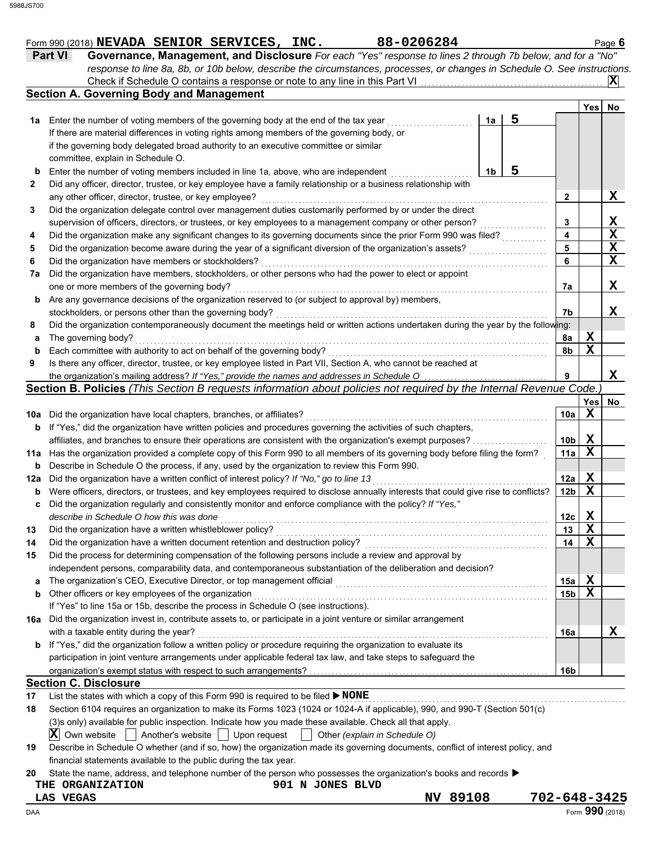|                   |                | Form 990 (2018) NEVADA SENIOR SERVICES, INC.                                                                                                                                                         |                                                                                                                           |  |                  |                               | 88-0206284 |                |   |                 |             | Page 6      |
|-------------------|----------------|------------------------------------------------------------------------------------------------------------------------------------------------------------------------------------------------------|---------------------------------------------------------------------------------------------------------------------------|--|------------------|-------------------------------|------------|----------------|---|-----------------|-------------|-------------|
|                   | <b>Part VI</b> |                                                                                                                                                                                                      | Governance, Management, and Disclosure For each "Yes" response to lines 2 through 7b below, and for a "No"                |  |                  |                               |            |                |   |                 |             |             |
|                   |                |                                                                                                                                                                                                      | response to line 8a, 8b, or 10b below, describe the circumstances, processes, or changes in Schedule O. See instructions. |  |                  |                               |            |                |   |                 |             |             |
|                   |                |                                                                                                                                                                                                      |                                                                                                                           |  |                  |                               |            |                |   |                 |             | ΙXΙ         |
|                   |                | <b>Section A. Governing Body and Management</b>                                                                                                                                                      |                                                                                                                           |  |                  |                               |            |                |   |                 |             |             |
|                   |                |                                                                                                                                                                                                      |                                                                                                                           |  |                  |                               |            |                | 5 |                 | Yes         | No          |
|                   |                | <b>1a</b> Enter the number of voting members of the governing body at the end of the tax year                                                                                                        |                                                                                                                           |  |                  |                               |            | 1a             |   |                 |             |             |
|                   |                | If there are material differences in voting rights among members of the governing body, or                                                                                                           |                                                                                                                           |  |                  |                               |            |                |   |                 |             |             |
|                   |                | if the governing body delegated broad authority to an executive committee or similar                                                                                                                 |                                                                                                                           |  |                  |                               |            |                |   |                 |             |             |
|                   |                | committee, explain in Schedule O.                                                                                                                                                                    |                                                                                                                           |  |                  |                               |            | 1 <sub>b</sub> | 5 |                 |             |             |
| b<br>$\mathbf{2}$ |                | Enter the number of voting members included in line 1a, above, who are independent<br>Did any officer, director, trustee, or key employee have a family relationship or a business relationship with |                                                                                                                           |  |                  |                               |            |                |   |                 |             |             |
|                   |                | any other officer, director, trustee, or key employee?                                                                                                                                               |                                                                                                                           |  |                  |                               |            |                |   | $\mathbf{2}$    |             | X           |
|                   |                | Did the organization delegate control over management duties customarily performed by or under the direct                                                                                            |                                                                                                                           |  |                  |                               |            |                |   |                 |             |             |
|                   |                | supervision of officers, directors, or trustees, or key employees to a management company or other person?                                                                                           |                                                                                                                           |  |                  |                               |            |                |   | 3               |             | <u>x</u>    |
|                   |                | Did the organization make any significant changes to its governing documents since the prior Form 990 was filed?                                                                                     |                                                                                                                           |  |                  |                               |            |                |   | 4               |             | X           |
|                   |                | Did the organization become aware during the year of a significant diversion of the organization's assets?                                                                                           |                                                                                                                           |  |                  |                               |            |                |   | 5               |             | X           |
|                   |                | Did the organization have members or stockholders?                                                                                                                                                   |                                                                                                                           |  |                  |                               |            |                |   | 6               |             | $\mathbf x$ |
| 7a                |                | Did the organization have members, stockholders, or other persons who had the power to elect or appoint                                                                                              |                                                                                                                           |  |                  |                               |            |                |   |                 |             |             |
|                   |                | one or more members of the governing body?                                                                                                                                                           |                                                                                                                           |  |                  |                               |            |                |   | 7a              |             | X           |
| b                 |                | Are any governance decisions of the organization reserved to (or subject to approval by) members,                                                                                                    |                                                                                                                           |  |                  |                               |            |                |   |                 |             |             |
|                   |                | stockholders, or persons other than the governing body?                                                                                                                                              |                                                                                                                           |  |                  |                               |            |                |   | 7b              |             | x           |
|                   |                | Did the organization contemporaneously document the meetings held or written actions undertaken during the year by the following:                                                                    |                                                                                                                           |  |                  |                               |            |                |   |                 |             |             |
| а                 |                | The governing body?                                                                                                                                                                                  |                                                                                                                           |  |                  |                               |            |                |   | 8a              | X           |             |
| b                 |                | Each committee with authority to act on behalf of the governing body?                                                                                                                                |                                                                                                                           |  |                  |                               |            |                |   | 8b              | $\mathbf x$ |             |
|                   |                | Is there any officer, director, trustee, or key employee listed in Part VII, Section A, who cannot be reached at                                                                                     |                                                                                                                           |  |                  |                               |            |                |   |                 |             |             |
|                   |                | the organization's mailing address? If "Yes," provide the names and addresses in Schedule O                                                                                                          |                                                                                                                           |  |                  |                               |            |                |   | 9               |             | X           |
|                   |                | Section B. Policies (This Section B requests information about policies not required by the Internal Revenue Code.                                                                                   |                                                                                                                           |  |                  |                               |            |                |   |                 |             |             |
|                   |                |                                                                                                                                                                                                      |                                                                                                                           |  |                  |                               |            |                |   |                 | <b>Yes</b>  | No          |
| 10a               |                | Did the organization have local chapters, branches, or affiliates?                                                                                                                                   |                                                                                                                           |  |                  |                               |            |                |   | 10a             | X           |             |
| b                 |                | If "Yes," did the organization have written policies and procedures governing the activities of such chapters,                                                                                       |                                                                                                                           |  |                  |                               |            |                |   |                 |             |             |
|                   |                | affiliates, and branches to ensure their operations are consistent with the organization's exempt purposes?                                                                                          |                                                                                                                           |  |                  |                               |            |                |   | 10 <sub>b</sub> | X           |             |
| 11a               |                | Has the organization provided a complete copy of this Form 990 to all members of its governing body before filing the form?                                                                          |                                                                                                                           |  |                  |                               |            |                |   | 11a             | $\mathbf X$ |             |
| b                 |                | Describe in Schedule O the process, if any, used by the organization to review this Form 990.                                                                                                        |                                                                                                                           |  |                  |                               |            |                |   |                 |             |             |
| 12a               |                | Did the organization have a written conflict of interest policy? If "No," go to line 13                                                                                                              |                                                                                                                           |  |                  |                               |            |                |   | 12a             | X           |             |
| b                 |                | Were officers, directors, or trustees, and key employees required to disclose annually interests that could give rise to conflicts?                                                                  |                                                                                                                           |  |                  |                               |            |                |   | 12 <sub>b</sub> | $\mathbf X$ |             |
| c                 |                | Did the organization regularly and consistently monitor and enforce compliance with the policy? If "Yes,"                                                                                            |                                                                                                                           |  |                  |                               |            |                |   |                 |             |             |
|                   |                | describe in Schedule O how this was done                                                                                                                                                             |                                                                                                                           |  |                  |                               |            |                |   | 12c             | X           |             |
|                   |                | Did the organization have a written whistleblower policy?                                                                                                                                            |                                                                                                                           |  |                  |                               |            |                |   | 13              | X           |             |
|                   |                | Did the organization have a written document retention and destruction policy?                                                                                                                       |                                                                                                                           |  |                  |                               |            |                |   | 14              | $\mathbf X$ |             |
|                   |                | Did the process for determining compensation of the following persons include a review and approval by                                                                                               |                                                                                                                           |  |                  |                               |            |                |   |                 |             |             |
|                   |                | independent persons, comparability data, and contemporaneous substantiation of the deliberation and decision?                                                                                        |                                                                                                                           |  |                  |                               |            |                |   |                 |             |             |
| a                 |                | The organization's CEO, Executive Director, or top management official                                                                                                                               |                                                                                                                           |  |                  |                               |            |                |   | 15a             | X           |             |
| b                 |                | Other officers or key employees of the organization                                                                                                                                                  |                                                                                                                           |  |                  |                               |            |                |   | 15 <sub>b</sub> | $\mathbf X$ |             |
|                   |                | If "Yes" to line 15a or 15b, describe the process in Schedule O (see instructions).                                                                                                                  |                                                                                                                           |  |                  |                               |            |                |   |                 |             |             |
| 16a               |                | Did the organization invest in, contribute assets to, or participate in a joint venture or similar arrangement                                                                                       |                                                                                                                           |  |                  |                               |            |                |   |                 |             |             |
|                   |                | with a taxable entity during the year?                                                                                                                                                               |                                                                                                                           |  |                  |                               |            |                |   | 16a             |             | X           |
| b                 |                | If "Yes," did the organization follow a written policy or procedure requiring the organization to evaluate its                                                                                       |                                                                                                                           |  |                  |                               |            |                |   |                 |             |             |
|                   |                | participation in joint venture arrangements under applicable federal tax law, and take steps to safeguard the                                                                                        |                                                                                                                           |  |                  |                               |            |                |   |                 |             |             |
|                   |                |                                                                                                                                                                                                      |                                                                                                                           |  |                  |                               |            |                |   | 16b             |             |             |
|                   |                | <b>Section C. Disclosure</b>                                                                                                                                                                         |                                                                                                                           |  |                  |                               |            |                |   |                 |             |             |
|                   |                | List the states with which a copy of this Form 990 is required to be filed $\blacktriangleright$ NONE                                                                                                |                                                                                                                           |  |                  |                               |            |                |   |                 |             |             |
|                   |                | Section 6104 requires an organization to make its Forms 1023 (1024 or 1024-A if applicable), 990, and 990-T (Section 501(c)                                                                          |                                                                                                                           |  |                  |                               |            |                |   |                 |             |             |
|                   |                | (3)s only) available for public inspection. Indicate how you made these available. Check all that apply.                                                                                             |                                                                                                                           |  |                  |                               |            |                |   |                 |             |             |
|                   | X              | Own website                                                                                                                                                                                          | Another's website   Upon request                                                                                          |  |                  | Other (explain in Schedule O) |            |                |   |                 |             |             |
|                   |                | Describe in Schedule O whether (and if so, how) the organization made its governing documents, conflict of interest policy, and                                                                      |                                                                                                                           |  |                  |                               |            |                |   |                 |             |             |
|                   |                | financial statements available to the public during the tax year.                                                                                                                                    |                                                                                                                           |  |                  |                               |            |                |   |                 |             |             |
|                   |                | State the name, address, and telephone number of the person who possesses the organization's books and records $\blacktriangleright$                                                                 |                                                                                                                           |  |                  |                               |            |                |   |                 |             |             |
|                   |                | THE ORGANIZATION                                                                                                                                                                                     |                                                                                                                           |  | 901 N JONES BLVD |                               |            |                |   |                 |             |             |

**LAS VEGAS NV 89108** 702-648-3425<br>AA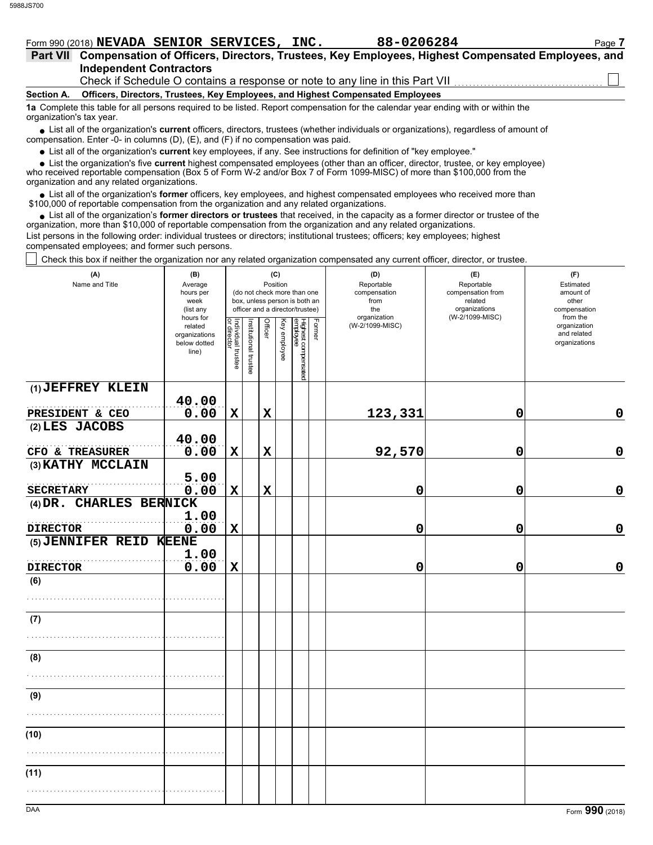# Form 990 (2018) **NEVADA SENIOR SERVICES, INC.** 88-0206284 Page 7

| Part VII Compensation of Officers, Directors, Trustees, Key Employees, Highest Compensated Employees, and |
|-----------------------------------------------------------------------------------------------------------|
| <b>Independent Contractors</b>                                                                            |
| Check if Schedule O contains a response or note to any line in this Part VII                              |

### **Section A. Officers, Directors, Trustees, Key Employees, and Highest Compensated Employees**

**1a** Complete this table for all persons required to be listed. Report compensation for the calendar year ending with or within the organization's tax year.

■ List all of the organization's **current** officers, directors, trustees (whether individuals or organizations), regardless of amount of compensation. Enter -0- in columns (D), (E), and (F) if no compensation was paid.

List all of the organization's **current** key employees, if any. See instructions for definition of "key employee."

■ List all of the organization's **current** key employees, if any. See instructions for definition of "key employee."<br>■ List the organization's five **current** highest compensated employees (other than an officer, director,

who received reportable compensation (Box 5 of Form W-2 and/or Box 7 of Form 1099-MISC) of more than \$100,000 from the organization and any related organizations.

• List all of the organization's **former** officers, key employees, and highest compensated employees who received more than<br>00,000 of reportable compensation from the organization and any related erganizations. \$100,000 of reportable compensation from the organization and any related organizations.

• List all of the organization's **former directors or trustees** that received, in the capacity as a former director or trustee of the organization, more than \$10,000 of reportable compensation from the organization and any related organizations. List persons in the following order: individual trustees or directors; institutional trustees; officers; key employees; highest compensated employees; and former such persons.

Check this box if neither the organization nor any related organization compensated any current officer, director, or trustee.

| (A)<br>Name and Title   | (B)<br>Average<br>hours per<br>week<br>(list any               |                                                            |  |                | (C)<br>Position | (do not check more than one<br>box, unless person is both an<br>officer and a director/trustee) |  | (D)<br>Reportable<br>compensation<br>from<br>the | (E)<br>Reportable<br>compensation from<br>related<br>organizations<br>(W-2/1099-MISC) | (F)<br>Estimated<br>amount of<br>other<br>compensation<br>from the |
|-------------------------|----------------------------------------------------------------|------------------------------------------------------------|--|----------------|-----------------|-------------------------------------------------------------------------------------------------|--|--------------------------------------------------|---------------------------------------------------------------------------------------|--------------------------------------------------------------------|
|                         | hours for<br>related<br>organizations<br>below dotted<br>line) | Individual trustee<br>or director<br>Institutional trustee |  | <b>Officer</b> | Key employee    | Highest compensated<br>employee<br>Former                                                       |  | organization<br>(W-2/1099-MISC)                  |                                                                                       | organization<br>and related<br>organizations                       |
| (1) JEFFREY KLEIN       |                                                                |                                                            |  |                |                 |                                                                                                 |  |                                                  |                                                                                       |                                                                    |
| PRESIDENT & CEO         | 40.00<br>0.00                                                  | $\mathbf X$                                                |  | $\mathbf x$    |                 |                                                                                                 |  | 123,331                                          | 0                                                                                     | $\mathbf 0$                                                        |
| (2) LES JACOBS          |                                                                |                                                            |  |                |                 |                                                                                                 |  |                                                  |                                                                                       |                                                                    |
|                         | 40.00                                                          |                                                            |  |                |                 |                                                                                                 |  |                                                  |                                                                                       |                                                                    |
| CFO & TREASURER         | 0.00                                                           | $\mathbf X$                                                |  | $\mathbf x$    |                 |                                                                                                 |  | 92,570                                           | 0                                                                                     | $\mathbf 0$                                                        |
| (3) KATHY MCCLAIN       |                                                                |                                                            |  |                |                 |                                                                                                 |  |                                                  |                                                                                       |                                                                    |
| <b>SECRETARY</b>        | 5.00<br>0.00                                                   | $\mathbf x$                                                |  | $\mathbf X$    |                 |                                                                                                 |  | 0                                                | 0                                                                                     | 0                                                                  |
| (4) DR. CHARLES BERNICK |                                                                |                                                            |  |                |                 |                                                                                                 |  |                                                  |                                                                                       |                                                                    |
|                         | 1.00                                                           |                                                            |  |                |                 |                                                                                                 |  |                                                  |                                                                                       |                                                                    |
| <b>DIRECTOR</b>         | 0.00                                                           | $\mathbf x$                                                |  |                |                 |                                                                                                 |  | 0                                                | 0                                                                                     | $\mathbf 0$                                                        |
| (5) JENNIFER REID KEENE |                                                                |                                                            |  |                |                 |                                                                                                 |  |                                                  |                                                                                       |                                                                    |
| <b>DIRECTOR</b>         | 1.00<br>0.00                                                   | $\mathbf x$                                                |  |                |                 |                                                                                                 |  | 0                                                | 0                                                                                     | $\mathbf 0$                                                        |
| (6)                     |                                                                |                                                            |  |                |                 |                                                                                                 |  |                                                  |                                                                                       |                                                                    |
|                         |                                                                |                                                            |  |                |                 |                                                                                                 |  |                                                  |                                                                                       |                                                                    |
| (7)                     |                                                                |                                                            |  |                |                 |                                                                                                 |  |                                                  |                                                                                       |                                                                    |
|                         |                                                                |                                                            |  |                |                 |                                                                                                 |  |                                                  |                                                                                       |                                                                    |
| (8)                     |                                                                |                                                            |  |                |                 |                                                                                                 |  |                                                  |                                                                                       |                                                                    |
|                         |                                                                |                                                            |  |                |                 |                                                                                                 |  |                                                  |                                                                                       |                                                                    |
| (9)                     |                                                                |                                                            |  |                |                 |                                                                                                 |  |                                                  |                                                                                       |                                                                    |
|                         |                                                                |                                                            |  |                |                 |                                                                                                 |  |                                                  |                                                                                       |                                                                    |
| (10)                    |                                                                |                                                            |  |                |                 |                                                                                                 |  |                                                  |                                                                                       |                                                                    |
|                         |                                                                |                                                            |  |                |                 |                                                                                                 |  |                                                  |                                                                                       |                                                                    |
| (11)                    |                                                                |                                                            |  |                |                 |                                                                                                 |  |                                                  |                                                                                       |                                                                    |
|                         |                                                                |                                                            |  |                |                 |                                                                                                 |  |                                                  |                                                                                       |                                                                    |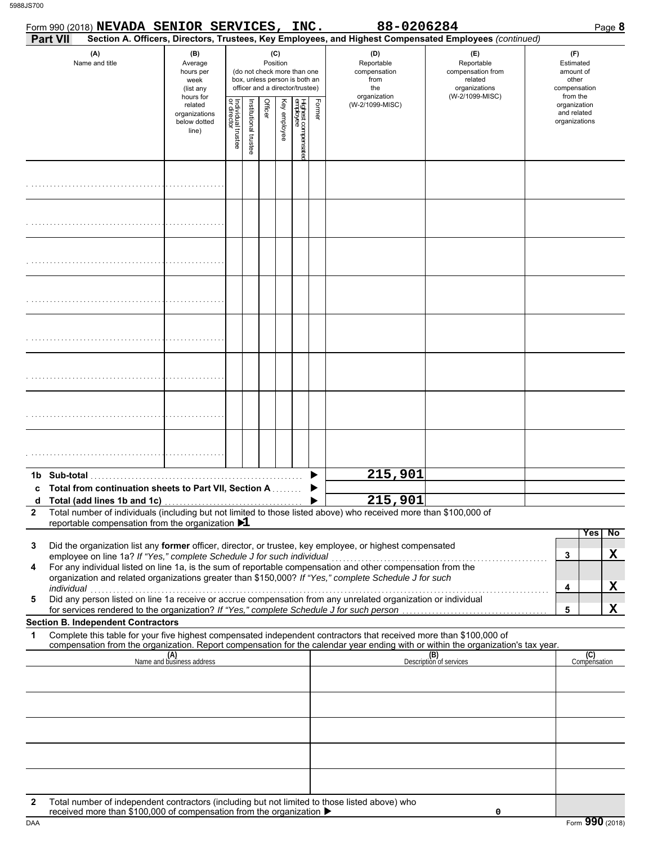|              |                 | Form 990 (2018) NEVADA SENIOR SERVICES, INC.                                                                                                    |                                                               |                                   |                       |         |                 |                                                                                                 |        | 88-0206284                                                                                                                                                                                                                                                                                                                                                                                                                                                     |                                                                                                                                  | Page 8                                                             |
|--------------|-----------------|-------------------------------------------------------------------------------------------------------------------------------------------------|---------------------------------------------------------------|-----------------------------------|-----------------------|---------|-----------------|-------------------------------------------------------------------------------------------------|--------|----------------------------------------------------------------------------------------------------------------------------------------------------------------------------------------------------------------------------------------------------------------------------------------------------------------------------------------------------------------------------------------------------------------------------------------------------------------|----------------------------------------------------------------------------------------------------------------------------------|--------------------------------------------------------------------|
|              | <b>Part VII</b> |                                                                                                                                                 |                                                               |                                   |                       |         |                 |                                                                                                 |        |                                                                                                                                                                                                                                                                                                                                                                                                                                                                | Section A. Officers, Directors, Trustees, Key Employees, and Highest Compensated Employees (continued)                           |                                                                    |
|              |                 | (A)<br>Name and title                                                                                                                           | (B)<br>Average<br>hours per<br>week<br>(list any<br>hours for |                                   |                       |         | (C)<br>Position | (do not check more than one<br>box, unless person is both an<br>officer and a director/trustee) |        | (D)<br>Reportable<br>compensation<br>from<br>the<br>organization                                                                                                                                                                                                                                                                                                                                                                                               | (E)<br>Reportable<br>compensation from<br>related<br>organizations<br>(W-2/1099-MISC)                                            | (F)<br>Estimated<br>amount of<br>other<br>compensation<br>from the |
|              |                 |                                                                                                                                                 | related<br>organizations<br>below dotted<br>line)             | Individual trustee<br>or director | Institutional trustee | Officer | Key employee    | Highest compensatec<br>employee                                                                 | Former | (W-2/1099-MISC)                                                                                                                                                                                                                                                                                                                                                                                                                                                |                                                                                                                                  | organization<br>and related<br>organizations                       |
|              |                 |                                                                                                                                                 |                                                               |                                   |                       |         |                 |                                                                                                 |        |                                                                                                                                                                                                                                                                                                                                                                                                                                                                |                                                                                                                                  |                                                                    |
|              |                 |                                                                                                                                                 |                                                               |                                   |                       |         |                 |                                                                                                 |        |                                                                                                                                                                                                                                                                                                                                                                                                                                                                |                                                                                                                                  |                                                                    |
|              |                 |                                                                                                                                                 |                                                               |                                   |                       |         |                 |                                                                                                 |        |                                                                                                                                                                                                                                                                                                                                                                                                                                                                |                                                                                                                                  |                                                                    |
|              |                 |                                                                                                                                                 |                                                               |                                   |                       |         |                 |                                                                                                 |        |                                                                                                                                                                                                                                                                                                                                                                                                                                                                |                                                                                                                                  |                                                                    |
|              |                 |                                                                                                                                                 |                                                               |                                   |                       |         |                 |                                                                                                 |        |                                                                                                                                                                                                                                                                                                                                                                                                                                                                |                                                                                                                                  |                                                                    |
|              |                 |                                                                                                                                                 |                                                               |                                   |                       |         |                 |                                                                                                 |        |                                                                                                                                                                                                                                                                                                                                                                                                                                                                |                                                                                                                                  |                                                                    |
|              |                 |                                                                                                                                                 |                                                               |                                   |                       |         |                 |                                                                                                 |        |                                                                                                                                                                                                                                                                                                                                                                                                                                                                |                                                                                                                                  |                                                                    |
|              |                 |                                                                                                                                                 |                                                               |                                   |                       |         |                 |                                                                                                 |        |                                                                                                                                                                                                                                                                                                                                                                                                                                                                |                                                                                                                                  |                                                                    |
|              |                 | 1b Sub-total                                                                                                                                    |                                                               |                                   |                       |         |                 |                                                                                                 |        | 215,901                                                                                                                                                                                                                                                                                                                                                                                                                                                        |                                                                                                                                  |                                                                    |
|              |                 | Total from continuation sheets to Part VII, Section A                                                                                           |                                                               |                                   |                       |         |                 |                                                                                                 |        | 215,901                                                                                                                                                                                                                                                                                                                                                                                                                                                        |                                                                                                                                  |                                                                    |
| $\mathbf{2}$ |                 |                                                                                                                                                 |                                                               |                                   |                       |         |                 |                                                                                                 |        | Total number of individuals (including but not limited to those listed above) who received more than \$100,000 of                                                                                                                                                                                                                                                                                                                                              |                                                                                                                                  |                                                                    |
| 3<br>4<br>5  | individual      | reportable compensation from the organization $\blacktriangleright$ 1<br>employee on line 1a? If "Yes," complete Schedule J for such individual |                                                               |                                   |                       |         |                 |                                                                                                 |        | Did the organization list any former officer, director, or trustee, key employee, or highest compensated<br>For any individual listed on line 1a, is the sum of reportable compensation and other compensation from the<br>organization and related organizations greater than \$150,000? If "Yes," complete Schedule J for such<br>narviauar<br>Did any person listed on line 1a receive or accrue compensation from any unrelated organization or individual |                                                                                                                                  | <b>Yes</b><br>$\overline{N}$<br>X<br>3<br>X<br>4                   |
|              |                 | for services rendered to the organization? If "Yes," complete Schedule J for such person                                                        |                                                               |                                   |                       |         |                 |                                                                                                 |        |                                                                                                                                                                                                                                                                                                                                                                                                                                                                |                                                                                                                                  | X<br>5                                                             |
| 1            |                 | <b>Section B. Independent Contractors</b>                                                                                                       |                                                               |                                   |                       |         |                 |                                                                                                 |        | Complete this table for your five highest compensated independent contractors that received more than \$100,000 of                                                                                                                                                                                                                                                                                                                                             |                                                                                                                                  |                                                                    |
|              |                 |                                                                                                                                                 |                                                               |                                   |                       |         |                 |                                                                                                 |        |                                                                                                                                                                                                                                                                                                                                                                                                                                                                | compensation from the organization. Report compensation for the calendar year ending with or within the organization's tax year. |                                                                    |
|              |                 |                                                                                                                                                 | (A)<br>Name and business address                              |                                   |                       |         |                 |                                                                                                 |        |                                                                                                                                                                                                                                                                                                                                                                                                                                                                | (B)<br>Description of services                                                                                                   | (C)<br>Compensation                                                |
|              |                 |                                                                                                                                                 |                                                               |                                   |                       |         |                 |                                                                                                 |        |                                                                                                                                                                                                                                                                                                                                                                                                                                                                |                                                                                                                                  |                                                                    |
|              |                 |                                                                                                                                                 |                                                               |                                   |                       |         |                 |                                                                                                 |        |                                                                                                                                                                                                                                                                                                                                                                                                                                                                |                                                                                                                                  |                                                                    |
|              |                 |                                                                                                                                                 |                                                               |                                   |                       |         |                 |                                                                                                 |        |                                                                                                                                                                                                                                                                                                                                                                                                                                                                |                                                                                                                                  |                                                                    |
|              |                 |                                                                                                                                                 |                                                               |                                   |                       |         |                 |                                                                                                 |        |                                                                                                                                                                                                                                                                                                                                                                                                                                                                |                                                                                                                                  |                                                                    |
|              |                 |                                                                                                                                                 |                                                               |                                   |                       |         |                 |                                                                                                 |        |                                                                                                                                                                                                                                                                                                                                                                                                                                                                |                                                                                                                                  |                                                                    |
|              |                 |                                                                                                                                                 |                                                               |                                   |                       |         |                 |                                                                                                 |        |                                                                                                                                                                                                                                                                                                                                                                                                                                                                |                                                                                                                                  |                                                                    |
| 2            |                 | received more than \$100,000 of compensation from the organization ▶                                                                            |                                                               |                                   |                       |         |                 |                                                                                                 |        | Total number of independent contractors (including but not limited to those listed above) who                                                                                                                                                                                                                                                                                                                                                                  | 0                                                                                                                                |                                                                    |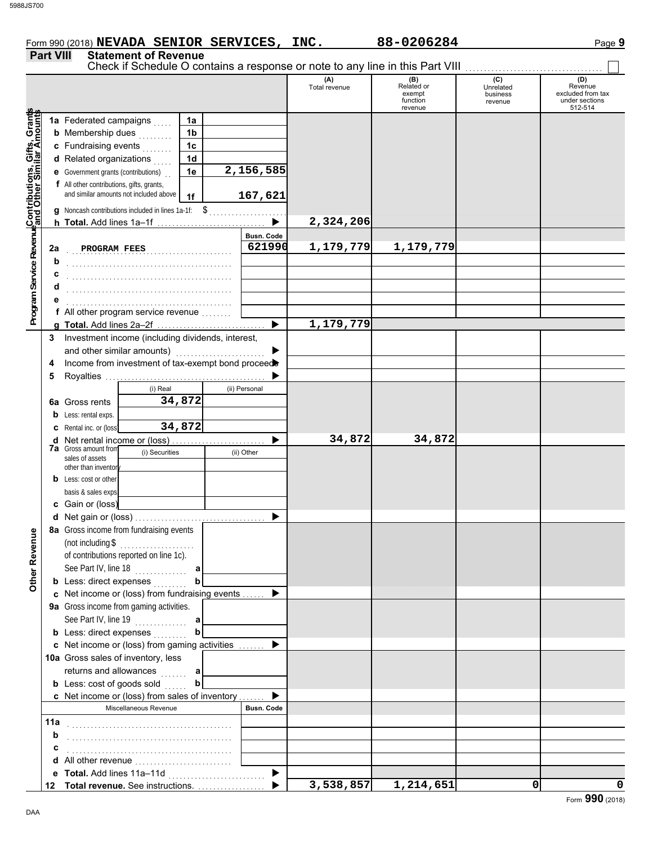# Form 990 (2018) **NEVADA SENIOR SERVICES, INC.** 88-0206284 Page 9 **Part VIII Statement of Revenue**

|                                                                                                         |     |                                                            |                                                                    |                |            |                       |                      | Check if Schedule O contains a response or note to any line in this Part VIII |                                         |                                                                  |
|---------------------------------------------------------------------------------------------------------|-----|------------------------------------------------------------|--------------------------------------------------------------------|----------------|------------|-----------------------|----------------------|-------------------------------------------------------------------------------|-----------------------------------------|------------------------------------------------------------------|
|                                                                                                         |     |                                                            |                                                                    |                |            |                       | (A)<br>Total revenue | (B)<br>Related or<br>exempt<br>function<br>revenue                            | (C)<br>Unrelated<br>business<br>revenue | (D)<br>Revenue<br>excluded from tax<br>under sections<br>512-514 |
|                                                                                                         |     | 1a Federated campaigns                                     |                                                                    | 1a             |            |                       |                      |                                                                               |                                         |                                                                  |
|                                                                                                         |     | <b>b</b> Membership dues                                   |                                                                    | 1 <sub>b</sub> |            |                       |                      |                                                                               |                                         |                                                                  |
|                                                                                                         |     | c Fundraising events                                       |                                                                    | 1 <sub>c</sub> |            |                       |                      |                                                                               |                                         |                                                                  |
|                                                                                                         |     | d Related organizations                                    |                                                                    | 1 <sub>d</sub> |            |                       |                      |                                                                               |                                         |                                                                  |
|                                                                                                         |     | e Government grants (contributions)                        |                                                                    | 1e             |            | 2,156,585             |                      |                                                                               |                                         |                                                                  |
|                                                                                                         |     | f All other contributions, gifts, grants,                  |                                                                    |                |            |                       |                      |                                                                               |                                         |                                                                  |
|                                                                                                         |     |                                                            | and similar amounts not included above                             | 1f             |            | 167,621               |                      |                                                                               |                                         |                                                                  |
|                                                                                                         |     |                                                            | <b>q</b> Noncash contributions included in lines 1a-1f: \$         |                |            |                       |                      |                                                                               |                                         |                                                                  |
|                                                                                                         |     |                                                            |                                                                    |                |            |                       | 2,324,206            |                                                                               |                                         |                                                                  |
|                                                                                                         |     |                                                            |                                                                    |                |            | <b>Busn. Code</b>     |                      |                                                                               |                                         |                                                                  |
|                                                                                                         | 2a  | PROGRAM FEES                                               |                                                                    |                |            | 621990                | 1,179,779            | 1,179,779                                                                     |                                         |                                                                  |
|                                                                                                         | b   |                                                            |                                                                    |                |            |                       |                      |                                                                               |                                         |                                                                  |
|                                                                                                         |     |                                                            |                                                                    |                |            |                       |                      |                                                                               |                                         |                                                                  |
|                                                                                                         | d   |                                                            |                                                                    |                |            |                       |                      |                                                                               |                                         |                                                                  |
|                                                                                                         |     |                                                            |                                                                    |                |            |                       |                      |                                                                               |                                         |                                                                  |
| Program Service Revenu¢Contributions, Gifts, Grants<br>Program Service Revenu¢and Other Similar Amounts |     |                                                            | <b>f</b> All other program service revenue $\ldots$                |                |            |                       |                      |                                                                               |                                         |                                                                  |
|                                                                                                         |     |                                                            |                                                                    |                |            | ▶                     | 1,179,779            |                                                                               |                                         |                                                                  |
|                                                                                                         | 3   |                                                            | Investment income (including dividends, interest,                  |                |            |                       |                      |                                                                               |                                         |                                                                  |
|                                                                                                         |     | and other similar amounts)                                 |                                                                    |                |            |                       |                      |                                                                               |                                         |                                                                  |
|                                                                                                         | 4   |                                                            | Income from investment of tax-exempt bond proceed                  |                |            |                       |                      |                                                                               |                                         |                                                                  |
|                                                                                                         | 5   |                                                            |                                                                    |                |            |                       |                      |                                                                               |                                         |                                                                  |
|                                                                                                         |     |                                                            | (i) Real                                                           |                |            | (ii) Personal         |                      |                                                                               |                                         |                                                                  |
|                                                                                                         |     | <b>6a</b> Gross rents                                      |                                                                    | 34,872         |            |                       |                      |                                                                               |                                         |                                                                  |
|                                                                                                         | b   | Less: rental exps.                                         |                                                                    |                |            |                       |                      |                                                                               |                                         |                                                                  |
|                                                                                                         |     | Rental inc. or (loss)                                      |                                                                    | 34,872         |            |                       |                      |                                                                               |                                         |                                                                  |
|                                                                                                         | d   | Net rental income or (loss)<br><b>7a</b> Gross amount from |                                                                    |                |            |                       | 34,872               | 34,872                                                                        |                                         |                                                                  |
|                                                                                                         |     | (i) Securities<br>sales of assets                          |                                                                    |                | (ii) Other |                       |                      |                                                                               |                                         |                                                                  |
|                                                                                                         |     | other than inventor                                        |                                                                    |                |            |                       |                      |                                                                               |                                         |                                                                  |
|                                                                                                         | b   | Less: cost or other                                        |                                                                    |                |            |                       |                      |                                                                               |                                         |                                                                  |
|                                                                                                         |     | basis & sales exps                                         |                                                                    |                |            |                       |                      |                                                                               |                                         |                                                                  |
|                                                                                                         |     | c Gain or (loss)                                           |                                                                    |                |            |                       |                      |                                                                               |                                         |                                                                  |
|                                                                                                         | d   |                                                            | 8a Gross income from fundraising events                            |                |            |                       |                      |                                                                               |                                         |                                                                  |
| g                                                                                                       |     |                                                            |                                                                    |                |            |                       |                      |                                                                               |                                         |                                                                  |
|                                                                                                         |     |                                                            | (not including $\$\dots$<br>of contributions reported on line 1c). |                |            |                       |                      |                                                                               |                                         |                                                                  |
|                                                                                                         |     |                                                            | See Part IV, line 18                                               | а              |            |                       |                      |                                                                               |                                         |                                                                  |
| Other Reven                                                                                             |     |                                                            | <b>b</b> Less: direct expenses                                     | b              |            |                       |                      |                                                                               |                                         |                                                                  |
|                                                                                                         |     |                                                            | c Net income or (loss) from fundraising events  ▶                  |                |            |                       |                      |                                                                               |                                         |                                                                  |
|                                                                                                         |     |                                                            | 9a Gross income from gaming activities.                            |                |            |                       |                      |                                                                               |                                         |                                                                  |
|                                                                                                         |     |                                                            |                                                                    |                |            |                       |                      |                                                                               |                                         |                                                                  |
|                                                                                                         |     |                                                            | <b>b</b> Less: direct expenses                                     | $\mathbf b$    |            |                       |                      |                                                                               |                                         |                                                                  |
|                                                                                                         |     |                                                            | <b>c</b> Net income or (loss) from gaming activities               |                |            |                       |                      |                                                                               |                                         |                                                                  |
|                                                                                                         |     |                                                            | 10a Gross sales of inventory, less                                 |                |            |                       |                      |                                                                               |                                         |                                                                  |
|                                                                                                         |     |                                                            | returns and allowances  a                                          |                |            |                       |                      |                                                                               |                                         |                                                                  |
|                                                                                                         |     |                                                            | <b>b</b> Less: cost of goods sold                                  | b              |            |                       |                      |                                                                               |                                         |                                                                  |
|                                                                                                         |     |                                                            | <b>c</b> Net income or (loss) from sales of inventory $\ldots$     |                |            |                       |                      |                                                                               |                                         |                                                                  |
|                                                                                                         |     |                                                            | Miscellaneous Revenue                                              |                |            | <b>Busn. Code</b>     |                      |                                                                               |                                         |                                                                  |
|                                                                                                         | 11a |                                                            |                                                                    |                |            |                       |                      |                                                                               |                                         |                                                                  |
|                                                                                                         | b   |                                                            |                                                                    |                |            |                       |                      |                                                                               |                                         |                                                                  |
|                                                                                                         | С   |                                                            |                                                                    |                |            |                       |                      |                                                                               |                                         |                                                                  |
|                                                                                                         | d   |                                                            | All other revenue                                                  |                |            |                       |                      |                                                                               |                                         |                                                                  |
|                                                                                                         | е   |                                                            |                                                                    |                |            | $\blacktriangleright$ |                      |                                                                               |                                         |                                                                  |
|                                                                                                         | 12  |                                                            | Total revenue. See instructions.                                   |                |            |                       | 3,538,857            | 1,214,651                                                                     | 0                                       | 0                                                                |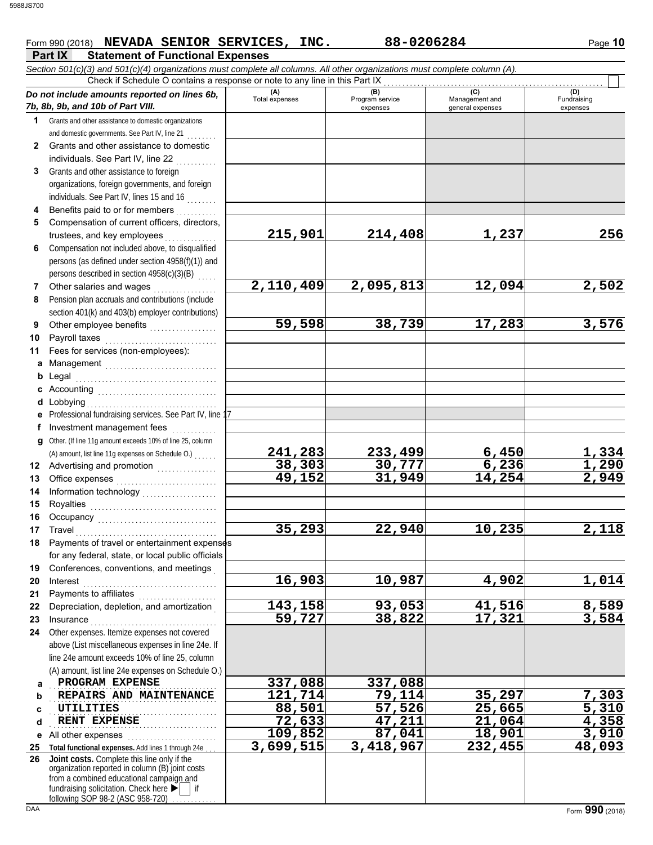### **Part IX Statement of Functional Expenses** Form 990 (2018) Page **10 NEVADA SENIOR SERVICES, INC. 88-0206284**

|              | Section 501(c)(3) and 501(c)(4) organizations must complete all columns. All other organizations must complete column (A).                                                                                                    |                |                             |                                    |                         |
|--------------|-------------------------------------------------------------------------------------------------------------------------------------------------------------------------------------------------------------------------------|----------------|-----------------------------|------------------------------------|-------------------------|
|              | Check if Schedule O contains a response or note to any line in this Part IX                                                                                                                                                   | (A)            | (B)                         | (C)                                | (D)                     |
|              | Do not include amounts reported on lines 6b,<br>7b, 8b, 9b, and 10b of Part VIII.                                                                                                                                             | Total expenses | Program service<br>expenses | Management and<br>general expenses | Fundraising<br>expenses |
| 1            | Grants and other assistance to domestic organizations                                                                                                                                                                         |                |                             |                                    |                         |
|              | and domestic governments. See Part IV, line 21                                                                                                                                                                                |                |                             |                                    |                         |
| $\mathbf{2}$ | Grants and other assistance to domestic                                                                                                                                                                                       |                |                             |                                    |                         |
|              | individuals. See Part IV, line 22                                                                                                                                                                                             |                |                             |                                    |                         |
| 3            | Grants and other assistance to foreign                                                                                                                                                                                        |                |                             |                                    |                         |
|              | organizations, foreign governments, and foreign                                                                                                                                                                               |                |                             |                                    |                         |
|              | individuals. See Part IV, lines 15 and 16                                                                                                                                                                                     |                |                             |                                    |                         |
|              | Benefits paid to or for members                                                                                                                                                                                               |                |                             |                                    |                         |
| 5            | Compensation of current officers, directors,                                                                                                                                                                                  |                |                             |                                    |                         |
|              | trustees, and key employees                                                                                                                                                                                                   | 215,901        | 214,408                     | 1,237                              | 256                     |
| 6            | Compensation not included above, to disqualified                                                                                                                                                                              |                |                             |                                    |                         |
|              | persons (as defined under section 4958(f)(1)) and                                                                                                                                                                             |                |                             |                                    |                         |
|              | persons described in section 4958(c)(3)(B)                                                                                                                                                                                    |                |                             |                                    |                         |
| 7            | Other salaries and wages                                                                                                                                                                                                      | 2,110,409      | 2,095,813                   | 12,094                             | 2,502                   |
| 8            | Pension plan accruals and contributions (include                                                                                                                                                                              |                |                             |                                    |                         |
|              | section 401(k) and 403(b) employer contributions)                                                                                                                                                                             |                |                             |                                    |                         |
| 9            | Other employee benefits                                                                                                                                                                                                       | 59,598         | 38,739                      | 17,283                             | 3,576                   |
| 10           | Payroll taxes                                                                                                                                                                                                                 |                |                             |                                    |                         |
| 11           | Fees for services (non-employees):                                                                                                                                                                                            |                |                             |                                    |                         |
| a            | Management                                                                                                                                                                                                                    |                |                             |                                    |                         |
| b            | Legal                                                                                                                                                                                                                         |                |                             |                                    |                         |
|              |                                                                                                                                                                                                                               |                |                             |                                    |                         |
| d            | Lobbying                                                                                                                                                                                                                      |                |                             |                                    |                         |
|              | Professional fundraising services. See Part IV, line 17                                                                                                                                                                       |                |                             |                                    |                         |
| f            | Investment management fees                                                                                                                                                                                                    |                |                             |                                    |                         |
| a            | Other. (If line 11g amount exceeds 10% of line 25, column<br>(A) amount, list line 11g expenses on Schedule O.)                                                                                                               | 241,283        | 233,499                     |                                    |                         |
| 12           | Advertising and promotion [1] [1] [1] Advertising and promotion                                                                                                                                                               | 38,303         | 30,777                      | $\frac{6,450}{6,236}$              | 1,334<br>1,290          |
| 13           |                                                                                                                                                                                                                               | 49,152         | 31,949                      | 14,254                             | 2,949                   |
| 14           | Information technology<br>                                                                                                                                                                                                    |                |                             |                                    |                         |
| 15           |                                                                                                                                                                                                                               |                |                             |                                    |                         |
| 16           |                                                                                                                                                                                                                               |                |                             |                                    |                         |
| 17           | Travel                                                                                                                                                                                                                        | 35,293         | 22,940                      | $\overline{1}0, 235$               | 2,118                   |
| 18           | Payments of travel or entertainment expenses                                                                                                                                                                                  |                |                             |                                    |                         |
|              | for any federal, state, or local public officials                                                                                                                                                                             |                |                             |                                    |                         |
| 19           | Conferences, conventions, and meetings                                                                                                                                                                                        |                |                             |                                    |                         |
| 20           | Interest                                                                                                                                                                                                                      | 16,903         | 10,987                      | 4,902                              | 1,014                   |
| 21           | Payments to affiliates [11] contains a set of the set of the set of the set of the set of the set of the set of the set of the set of the set of the set of the set of the set of the set of the set of the set of the set of |                |                             |                                    |                         |
| 22           | Depreciation, depletion, and amortization                                                                                                                                                                                     | 143,158        | 93,053                      | 41,516                             | 8,589                   |
| 23           |                                                                                                                                                                                                                               | 59,727         | 38,822                      | 17,321                             | 3,584                   |
| 24           | Other expenses. Itemize expenses not covered                                                                                                                                                                                  |                |                             |                                    |                         |
|              | above (List miscellaneous expenses in line 24e. If                                                                                                                                                                            |                |                             |                                    |                         |
|              | line 24e amount exceeds 10% of line 25, column                                                                                                                                                                                |                |                             |                                    |                         |
|              | (A) amount, list line 24e expenses on Schedule O.)                                                                                                                                                                            |                |                             |                                    |                         |
| a            | PROGRAM EXPENSE                                                                                                                                                                                                               | 337,088        | 337,088                     |                                    |                         |
| b            | REPAIRS AND MAINTENANCE                                                                                                                                                                                                       | 121,714        | 79,114                      | 35,297                             | 7,303                   |
| C            | UTILITIES                                                                                                                                                                                                                     | 88,501         | 57,526                      | 25,665                             | 5,310                   |
| d            | RENT EXPENSE                                                                                                                                                                                                                  | 72,633         | 47,211                      | 21,064                             | 4,358                   |
| е            | All other expenses                                                                                                                                                                                                            | 109,852        | 87,041                      | 18,901                             | 3,910                   |
| 25           | Total functional expenses. Add lines 1 through 24e                                                                                                                                                                            | 3,699,515      | 3,418,967                   | 232,455                            | 48,093                  |
| 26           | Joint costs. Complete this line only if the<br>organization reported in column (B) joint costs                                                                                                                                |                |                             |                                    |                         |
|              | from a combined educational campaign and                                                                                                                                                                                      |                |                             |                                    |                         |
|              | fundraising solicitation. Check here<br>if<br>following SOP 98-2 (ASC 958-720)                                                                                                                                                |                |                             |                                    |                         |
|              |                                                                                                                                                                                                                               |                |                             |                                    |                         |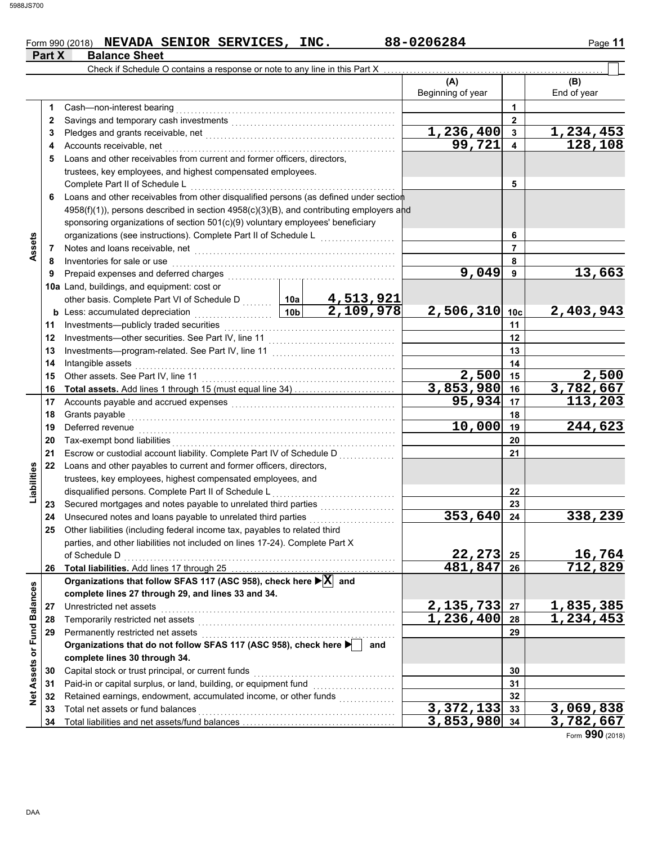# Form 990 (2018) **NEVADA SENIOR SERVICES, INC.** 88-0206284 Page 11 **Part X** Balance Sheet

|                    |          | Check if Schedule O contains a response or note to any line in this Part X                                                                 |                                     |                        |                               |                 |                    |
|--------------------|----------|--------------------------------------------------------------------------------------------------------------------------------------------|-------------------------------------|------------------------|-------------------------------|-----------------|--------------------|
|                    |          |                                                                                                                                            |                                     |                        | (A)<br>Beginning of year      |                 | (B)<br>End of year |
|                    | 1        | Cash-non-interest bearing                                                                                                                  |                                     |                        |                               | 1               |                    |
|                    | 2        |                                                                                                                                            |                                     |                        |                               | $\mathbf{2}$    |                    |
|                    | 3        |                                                                                                                                            |                                     |                        | 1,236,400                     | 3               | <u>1,234,453</u>   |
|                    | 4        | Accounts receivable, net                                                                                                                   |                                     |                        | 99,721                        | 4               | 128,108            |
|                    | 5        | Loans and other receivables from current and former officers, directors,                                                                   |                                     |                        |                               |                 |                    |
|                    |          | trustees, key employees, and highest compensated employees.                                                                                |                                     |                        |                               |                 |                    |
|                    |          | Complete Part II of Schedule L                                                                                                             |                                     |                        |                               | 5               |                    |
|                    | 6        | Loans and other receivables from other disqualified persons (as defined under section                                                      |                                     |                        |                               |                 |                    |
|                    |          | $4958(f)(1)$ , persons described in section $4958(c)(3)(B)$ , and contributing employers and                                               |                                     |                        |                               |                 |                    |
|                    |          | sponsoring organizations of section 501(c)(9) voluntary employees' beneficiary                                                             |                                     |                        |                               |                 |                    |
|                    |          | organizations (see instructions). Complete Part II of Schedule L                                                                           |                                     |                        | 6                             |                 |                    |
| Assets             | 7        |                                                                                                                                            |                                     |                        |                               | $\overline{7}$  |                    |
|                    | 8        | Inventories for sale or use                                                                                                                |                                     |                        |                               | 8               |                    |
|                    | 9        | Prepaid expenses and deferred charges                                                                                                      |                                     |                        | 9,049                         | 9               | 13,663             |
|                    |          | 10a Land, buildings, and equipment: cost or                                                                                                |                                     |                        |                               |                 |                    |
|                    |          | other basis. Complete Part VI of Schedule D  10a                                                                                           |                                     |                        |                               |                 |                    |
|                    |          | <b>b</b> Less: accumulated depreciation<br>.                                                                                               | 10 <sub>b</sub>                     | 4,513,921<br>2,109,978 | 2,506,310                     | 10 <sub>c</sub> | 2,403,943          |
|                    | 11       | Investments-publicly traded securities                                                                                                     |                                     |                        | 11                            |                 |                    |
|                    | 12       |                                                                                                                                            |                                     | 12                     |                               |                 |                    |
|                    | 13       |                                                                                                                                            |                                     | 13                     |                               |                 |                    |
|                    | 14       | Intangible assets                                                                                                                          |                                     |                        |                               | 14              |                    |
|                    | 15       | Other assets. See Part IV, line 11                                                                                                         | 2,500                               | 15                     | 2,500                         |                 |                    |
|                    | 16       | <b>Total assets.</b> Add lines 1 through 15 (must equal line 34)                                                                           |                                     |                        | 3,853,980                     | 16              | 3,782,667          |
|                    | 17       |                                                                                                                                            | 95,934                              | 17                     | 113,203                       |                 |                    |
|                    |          |                                                                                                                                            |                                     | 18                     |                               |                 |                    |
|                    | 18       | Grants payable<br>Deferred revenue                                                                                                         | 10,000                              | 19                     | 244,623                       |                 |                    |
|                    | 19<br>20 | Tax-exempt bond liabilities                                                                                                                |                                     | 20                     |                               |                 |                    |
|                    |          | Escrow or custodial account liability. Complete Part IV of Schedule D                                                                      |                                     |                        |                               |                 |                    |
|                    | 21       |                                                                                                                                            |                                     |                        | 21                            |                 |                    |
| Liabilities        | 22       | Loans and other payables to current and former officers, directors,                                                                        |                                     |                        |                               |                 |                    |
|                    |          | trustees, key employees, highest compensated employees, and                                                                                |                                     |                        |                               |                 |                    |
|                    |          | disqualified persons. Complete Part II of Schedule L                                                                                       |                                     |                        |                               | 22              |                    |
|                    | 23       |                                                                                                                                            |                                     |                        | 353,640                       | 23              | 338,239            |
|                    | 24       | Unsecured notes and loans payable to unrelated third parties<br>Other liabilities (including federal income tax, payables to related third |                                     |                        |                               | 24              |                    |
|                    | 25       |                                                                                                                                            |                                     |                        |                               |                 |                    |
|                    |          | parties, and other liabilities not included on lines 17-24). Complete Part X                                                               |                                     |                        |                               |                 |                    |
|                    |          | of Schedule D                                                                                                                              | 22,273<br>481,847                   | 25                     | $\frac{16,764}{712,829}$      |                 |                    |
|                    | 26       | Organizations that follow SFAS 117 (ASC 958), check here $\blacktriangleright$ $\boxed{\mathbf{X}}$ and                                    |                                     |                        |                               | 26              |                    |
|                    |          |                                                                                                                                            |                                     |                        |                               |                 |                    |
| <b>Balances</b>    |          | complete lines 27 through 29, and lines 33 and 34.                                                                                         |                                     |                        |                               |                 |                    |
|                    | 27       | Unrestricted net assets                                                                                                                    | 2,135,733<br>$\overline{1,236,400}$ | 27                     | <u>1,835,385</u><br>1,234,453 |                 |                    |
|                    | 28       | Temporarily restricted net assets                                                                                                          |                                     |                        |                               | 28              |                    |
|                    | 29       | Permanently restricted net assets<br>Organizations that do not follow SFAS 117 (ASC 958), check here                                       |                                     | and                    |                               | 29              |                    |
|                    |          |                                                                                                                                            |                                     |                        |                               |                 |                    |
| Net Assets or Fund |          | complete lines 30 through 34.                                                                                                              |                                     |                        |                               |                 |                    |
|                    | 30       | Capital stock or trust principal, or current funds                                                                                         |                                     |                        |                               | 30              |                    |
|                    | 31       | Paid-in or capital surplus, or land, building, or equipment fund                                                                           |                                     |                        |                               | 31              |                    |
|                    | 32       | Retained earnings, endowment, accumulated income, or other funds                                                                           |                                     |                        |                               | 32              |                    |
|                    | 33       | Total net assets or fund balances                                                                                                          |                                     |                        | $\overline{3,372,133}$        | 33              | 3,069,838          |
|                    | 34       |                                                                                                                                            | 3,853,980 34                        |                        | 3,782,667                     |                 |                    |

Form **990** (2018)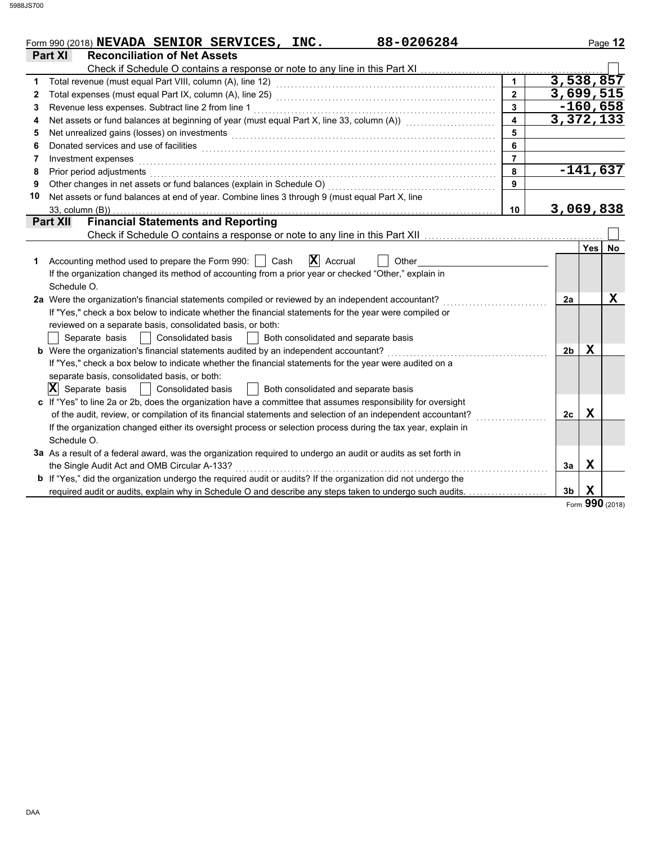|    | 88-0206284<br>Form 990 (2018) NEVADA SENIOR SERVICES, INC.                                                            |                         |                |             | Page 12    |
|----|-----------------------------------------------------------------------------------------------------------------------|-------------------------|----------------|-------------|------------|
|    | Part XI<br><b>Reconciliation of Net Assets</b>                                                                        |                         |                |             |            |
|    | Check if Schedule O contains a response or note to any line in this Part XI                                           |                         |                |             |            |
| 1  | Total revenue (must equal Part VIII, column (A), line 12)                                                             | $\mathbf{1}$            | 3,538,857      |             |            |
| 2  |                                                                                                                       | $\overline{2}$          | 3,699,515      |             |            |
| 3  | Revenue less expenses. Subtract line 2 from line 1                                                                    | $\overline{\mathbf{3}}$ |                |             | $-160,658$ |
| 4  | Net assets or fund balances at beginning of year (must equal Part X, line 33, column (A)) [[[[[[[[[[[[[[[[[[[         | $\overline{4}$          | 3,372,133      |             |            |
| 5  | Net unrealized gains (losses) on investments                                                                          | 5                       |                |             |            |
| 6  | Donated services and use of facilities                                                                                | 6                       |                |             |            |
| 7  | Investment expenses                                                                                                   | $\overline{7}$          |                |             |            |
| 8  | Prior period adjustments                                                                                              | 8                       |                |             | $-141,637$ |
| 9  | Other changes in net assets or fund balances (explain in Schedule O)                                                  | 9                       |                |             |            |
| 10 | Net assets or fund balances at end of year. Combine lines 3 through 9 (must equal Part X, line                        |                         |                |             |            |
|    | 33, column (B))                                                                                                       | 10                      | 3,069,838      |             |            |
|    | <b>Financial Statements and Reporting</b><br><b>Part XII</b>                                                          |                         |                |             |            |
|    | Check if Schedule O contains a response or note to any line in this Part XII                                          |                         |                |             |            |
|    |                                                                                                                       |                         |                | Yes l       | <b>No</b>  |
| 1  | $ \mathbf{X} $ Accrual<br>Accounting method used to prepare the Form 990:  <br>Cash<br>Other                          |                         |                |             |            |
|    | If the organization changed its method of accounting from a prior year or checked "Other," explain in                 |                         |                |             |            |
|    | Schedule O.                                                                                                           |                         |                |             |            |
|    | 2a Were the organization's financial statements compiled or reviewed by an independent accountant?                    |                         | 2a             |             | x          |
|    | If "Yes," check a box below to indicate whether the financial statements for the year were compiled or                |                         |                |             |            |
|    | reviewed on a separate basis, consolidated basis, or both:                                                            |                         |                |             |            |
|    | <b>Consolidated basis</b><br>Separate basis<br>Both consolidated and separate basis                                   |                         |                |             |            |
|    | b Were the organization's financial statements audited by an independent accountant?                                  |                         | 2 <sub>b</sub> | X           |            |
|    | If "Yes," check a box below to indicate whether the financial statements for the year were audited on a               |                         |                |             |            |
|    | separate basis, consolidated basis, or both:                                                                          |                         |                |             |            |
|    | $ \mathbf{X} $ Separate basis<br>  Consolidated basis<br>Both consolidated and separate basis                         |                         |                |             |            |
|    | c If "Yes" to line 2a or 2b, does the organization have a committee that assumes responsibility for oversight         |                         |                |             |            |
|    | of the audit, review, or compilation of its financial statements and selection of an independent accountant?          |                         | 2c             | $\mathbf x$ |            |
|    | If the organization changed either its oversight process or selection process during the tax year, explain in         |                         |                |             |            |
|    | Schedule O.                                                                                                           |                         |                |             |            |
|    | 3a As a result of a federal award, was the organization required to undergo an audit or audits as set forth in        |                         |                |             |            |
|    | the Single Audit Act and OMB Circular A-133?                                                                          |                         | 3a             | X           |            |
|    | <b>b</b> If "Yes," did the organization undergo the required audit or audits? If the organization did not undergo the |                         |                |             |            |
|    | required audit or audits, explain why in Schedule O and describe any steps taken to undergo such audits.              |                         | 3 <sub>b</sub> | X<br>001    |            |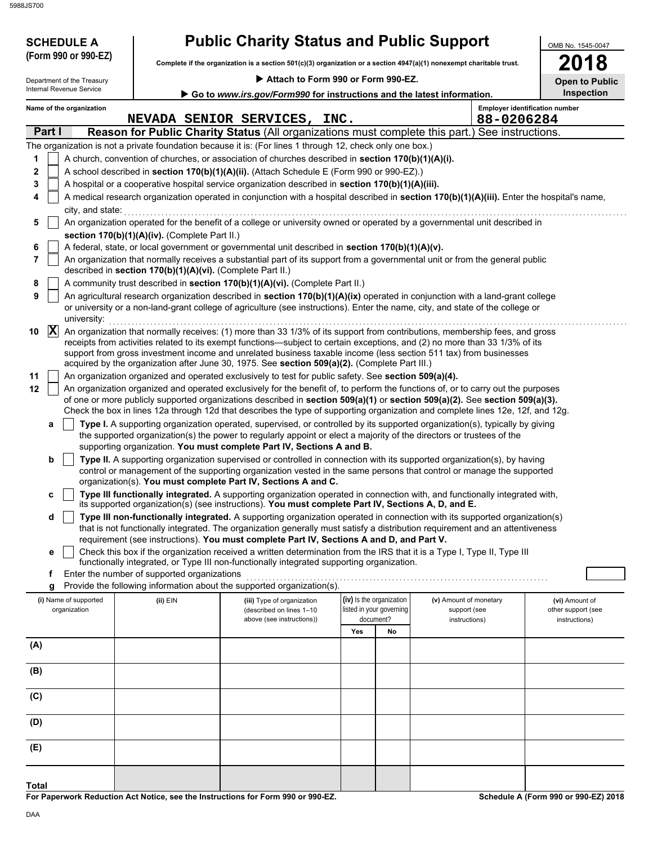5988JS700

**SCHEDULE A** 

|  |  |  |  |  | <b>Public Charity Status and Public Support</b> |
|--|--|--|--|--|-------------------------------------------------|
|--|--|--|--|--|-------------------------------------------------|

**Complete if the organization is a section 501(c)(3) organization or a section 4947(a)(1) nonexempt charitable trust. (Form 990 or 990-EZ)**

 **Attach to Form 990 or Form 990-EZ.**

|  | 201 |                    |
|--|-----|--------------------|
|  |     | pen to Public<br>r |

OMB No. 1545-0047

|             | Department of the Treasury            |                                                            | Attach to Form 990 or Form 990-EZ.                                                                                                                                                                                                                                                                                                                                                                                                                                               |     |                                                      |                                        | <b>Open to Public</b>                 |
|-------------|---------------------------------------|------------------------------------------------------------|----------------------------------------------------------------------------------------------------------------------------------------------------------------------------------------------------------------------------------------------------------------------------------------------------------------------------------------------------------------------------------------------------------------------------------------------------------------------------------|-----|------------------------------------------------------|----------------------------------------|---------------------------------------|
|             | Internal Revenue Service              |                                                            | Go to www.irs.gov/Form990 for instructions and the latest information.                                                                                                                                                                                                                                                                                                                                                                                                           |     |                                                      |                                        | Inspection                            |
|             | Name of the organization              |                                                            | NEVADA SENIOR SERVICES, INC.                                                                                                                                                                                                                                                                                                                                                                                                                                                     |     |                                                      | 88-0206284                             | <b>Employer identification number</b> |
|             | Part I                                |                                                            | Reason for Public Charity Status (All organizations must complete this part.) See instructions.                                                                                                                                                                                                                                                                                                                                                                                  |     |                                                      |                                        |                                       |
|             |                                       |                                                            | The organization is not a private foundation because it is: (For lines 1 through 12, check only one box.)                                                                                                                                                                                                                                                                                                                                                                        |     |                                                      |                                        |                                       |
| 1           |                                       |                                                            | A church, convention of churches, or association of churches described in section 170(b)(1)(A)(i).                                                                                                                                                                                                                                                                                                                                                                               |     |                                                      |                                        |                                       |
| $\mathbf 2$ |                                       |                                                            | A school described in section 170(b)(1)(A)(ii). (Attach Schedule E (Form 990 or 990-EZ).)                                                                                                                                                                                                                                                                                                                                                                                        |     |                                                      |                                        |                                       |
| 3           |                                       |                                                            | A hospital or a cooperative hospital service organization described in section 170(b)(1)(A)(iii).                                                                                                                                                                                                                                                                                                                                                                                |     |                                                      |                                        |                                       |
| 4           | city, and state:                      |                                                            | A medical research organization operated in conjunction with a hospital described in section 170(b)(1)(A)(iii). Enter the hospital's name,                                                                                                                                                                                                                                                                                                                                       |     |                                                      |                                        |                                       |
| 5           |                                       |                                                            | An organization operated for the benefit of a college or university owned or operated by a governmental unit described in                                                                                                                                                                                                                                                                                                                                                        |     |                                                      |                                        |                                       |
|             |                                       | section 170(b)(1)(A)(iv). (Complete Part II.)              |                                                                                                                                                                                                                                                                                                                                                                                                                                                                                  |     |                                                      |                                        |                                       |
| 6           |                                       |                                                            | A federal, state, or local government or governmental unit described in section 170(b)(1)(A)(v).                                                                                                                                                                                                                                                                                                                                                                                 |     |                                                      |                                        |                                       |
| 7           |                                       | described in section 170(b)(1)(A)(vi). (Complete Part II.) | An organization that normally receives a substantial part of its support from a governmental unit or from the general public                                                                                                                                                                                                                                                                                                                                                     |     |                                                      |                                        |                                       |
| 8           |                                       |                                                            | A community trust described in section 170(b)(1)(A)(vi). (Complete Part II.)                                                                                                                                                                                                                                                                                                                                                                                                     |     |                                                      |                                        |                                       |
| 9           | university:                           |                                                            | An agricultural research organization described in section 170(b)(1)(A)(ix) operated in conjunction with a land-grant college<br>or university or a non-land-grant college of agriculture (see instructions). Enter the name, city, and state of the college or                                                                                                                                                                                                                  |     |                                                      |                                        |                                       |
| 10          | $ {\bf X} $                           |                                                            | An organization that normally receives: (1) more than 33 1/3% of its support from contributions, membership fees, and gross<br>receipts from activities related to its exempt functions—subject to certain exceptions, and (2) no more than 33 1/3% of its<br>support from gross investment income and unrelated business taxable income (less section 511 tax) from businesses<br>acquired by the organization after June 30, 1975. See section 509(a)(2). (Complete Part III.) |     |                                                      |                                        |                                       |
| 11          |                                       |                                                            | An organization organized and operated exclusively to test for public safety. See section 509(a)(4).                                                                                                                                                                                                                                                                                                                                                                             |     |                                                      |                                        |                                       |
| 12          |                                       |                                                            | An organization organized and operated exclusively for the benefit of, to perform the functions of, or to carry out the purposes<br>of one or more publicly supported organizations described in section 509(a)(1) or section 509(a)(2). See section 509(a)(3).<br>Check the box in lines 12a through 12d that describes the type of supporting organization and complete lines 12e, 12f, and 12g.                                                                               |     |                                                      |                                        |                                       |
|             | а                                     |                                                            | Type I. A supporting organization operated, supervised, or controlled by its supported organization(s), typically by giving<br>the supported organization(s) the power to regularly appoint or elect a majority of the directors or trustees of the<br>supporting organization. You must complete Part IV, Sections A and B.                                                                                                                                                     |     |                                                      |                                        |                                       |
|             | b                                     |                                                            | Type II. A supporting organization supervised or controlled in connection with its supported organization(s), by having<br>control or management of the supporting organization vested in the same persons that control or manage the supported<br>organization(s). You must complete Part IV, Sections A and C.                                                                                                                                                                 |     |                                                      |                                        |                                       |
|             | c                                     |                                                            | Type III functionally integrated. A supporting organization operated in connection with, and functionally integrated with,<br>its supported organization(s) (see instructions). You must complete Part IV, Sections A, D, and E.                                                                                                                                                                                                                                                 |     |                                                      |                                        |                                       |
|             | d                                     |                                                            | Type III non-functionally integrated. A supporting organization operated in connection with its supported organization(s)<br>that is not functionally integrated. The organization generally must satisfy a distribution requirement and an attentiveness                                                                                                                                                                                                                        |     |                                                      |                                        |                                       |
|             |                                       |                                                            | requirement (see instructions). You must complete Part IV, Sections A and D, and Part V.                                                                                                                                                                                                                                                                                                                                                                                         |     |                                                      |                                        |                                       |
|             | е                                     |                                                            | Check this box if the organization received a written determination from the IRS that it is a Type I, Type II, Type III<br>functionally integrated, or Type III non-functionally integrated supporting organization.                                                                                                                                                                                                                                                             |     |                                                      |                                        |                                       |
|             | f                                     | Enter the number of supported organizations                |                                                                                                                                                                                                                                                                                                                                                                                                                                                                                  |     |                                                      |                                        |                                       |
|             | g                                     |                                                            | Provide the following information about the supported organization(s).                                                                                                                                                                                                                                                                                                                                                                                                           |     |                                                      |                                        |                                       |
|             | (i) Name of supported<br>organization | (ii) EIN                                                   | (iii) Type of organization<br>(described on lines 1-10                                                                                                                                                                                                                                                                                                                                                                                                                           |     | (iv) Is the organization<br>listed in your governing | (v) Amount of monetary<br>support (see | (vi) Amount of<br>other support (see  |
|             |                                       |                                                            | above (see instructions))                                                                                                                                                                                                                                                                                                                                                                                                                                                        |     | document?                                            | instructions)                          | instructions)                         |
|             |                                       |                                                            |                                                                                                                                                                                                                                                                                                                                                                                                                                                                                  | Yes | No                                                   |                                        |                                       |
| (A)         |                                       |                                                            |                                                                                                                                                                                                                                                                                                                                                                                                                                                                                  |     |                                                      |                                        |                                       |
| (B)         |                                       |                                                            |                                                                                                                                                                                                                                                                                                                                                                                                                                                                                  |     |                                                      |                                        |                                       |
| (C)         |                                       |                                                            |                                                                                                                                                                                                                                                                                                                                                                                                                                                                                  |     |                                                      |                                        |                                       |
| (D)         |                                       |                                                            |                                                                                                                                                                                                                                                                                                                                                                                                                                                                                  |     |                                                      |                                        |                                       |
| (E)         |                                       |                                                            |                                                                                                                                                                                                                                                                                                                                                                                                                                                                                  |     |                                                      |                                        |                                       |

**For Paperwork Reduction Act Notice, see the Instructions for Form 990 or 990-EZ. Total**

**Schedule A (Form 990 or 990-EZ) 2018**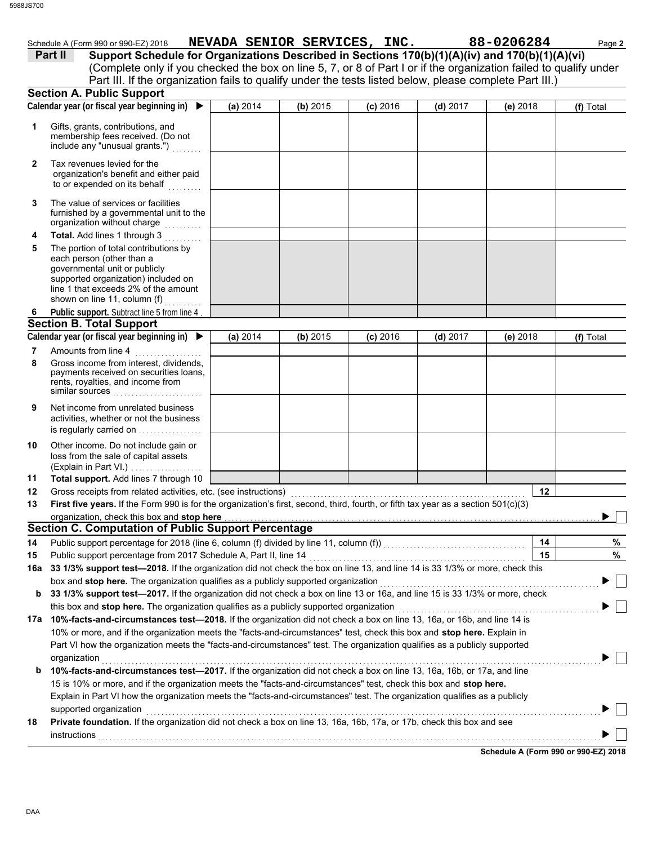governmental unit or publicly

each person (other than a

line 1 that exceeds 2% of the amount supported organization) included on

shown on line 11, column (f)  $\ldots \ldots \ldots$ 

|                | Schedule A (Form 990 or 990-EZ) 2018                                                                                                                                                                                         |          | NEVADA SENIOR SERVICES, INC. |            |            | 88-0206284 | Page 2    |
|----------------|------------------------------------------------------------------------------------------------------------------------------------------------------------------------------------------------------------------------------|----------|------------------------------|------------|------------|------------|-----------|
|                | Support Schedule for Organizations Described in Sections 170(b)(1)(A)(iv) and 170(b)(1)(A)(vi)<br><b>Part II</b>                                                                                                             |          |                              |            |            |            |           |
|                | (Complete only if you checked the box on line 5, 7, or 8 of Part I or if the organization failed to qualify under<br>Part III. If the organization fails to qualify under the tests listed below, please complete Part III.) |          |                              |            |            |            |           |
|                | <b>Section A. Public Support</b>                                                                                                                                                                                             |          |                              |            |            |            |           |
|                | Calendar year (or fiscal year beginning in)                                                                                                                                                                                  | (a) 2014 | (b) 2015                     | $(c)$ 2016 | $(d)$ 2017 | (e) $2018$ | (f) Total |
|                | Gifts, grants, contributions, and<br>membership fees received. (Do not<br>include any "unusual grants.")                                                                                                                     |          |                              |            |            |            |           |
| $\overline{2}$ | Tax revenues levied for the<br>organization's benefit and either paid<br>to or expended on its behalf                                                                                                                        |          |                              |            |            |            |           |
| 3              | The value of services or facilities<br>furnished by a governmental unit to the<br>organization without charge                                                                                                                |          |                              |            |            |            |           |
| 4              | <b>Total.</b> Add lines 1 through 3                                                                                                                                                                                          |          |                              |            |            |            |           |
| 5              | The portion of total contributions by                                                                                                                                                                                        |          |                              |            |            |            |           |

| 6   | Public support. Subtract line 5 from line 4                                                                                                          |          |          |            |            |                                      |           |  |  |
|-----|------------------------------------------------------------------------------------------------------------------------------------------------------|----------|----------|------------|------------|--------------------------------------|-----------|--|--|
|     | <b>Section B. Total Support</b>                                                                                                                      |          |          |            |            |                                      |           |  |  |
|     | Calendar year (or fiscal year beginning in) ▶                                                                                                        | (a) 2014 | (b) 2015 | $(c)$ 2016 | $(d)$ 2017 | (e) 2018                             | (f) Total |  |  |
| 7   | Amounts from line 4                                                                                                                                  |          |          |            |            |                                      |           |  |  |
| 8   | Gross income from interest, dividends,<br>payments received on securities loans,<br>rents, royalties, and income from<br>similar sources             |          |          |            |            |                                      |           |  |  |
| 9   | Net income from unrelated business<br>activities, whether or not the business<br>is regularly carried on                                             |          |          |            |            |                                      |           |  |  |
| 10  | Other income. Do not include gain or<br>loss from the sale of capital assets<br>(Explain in Part VI.)                                                |          |          |            |            |                                      |           |  |  |
| 11  | Total support. Add lines 7 through 10                                                                                                                |          |          |            |            |                                      |           |  |  |
| 12  | Gross receipts from related activities, etc. (see instructions)                                                                                      |          |          |            |            | 12                                   |           |  |  |
| 13  | First five years. If the Form 990 is for the organization's first, second, third, fourth, or fifth tax year as a section $501(c)(3)$                 |          |          |            |            |                                      |           |  |  |
|     | organization, check this box and stop here                                                                                                           |          |          |            |            |                                      |           |  |  |
|     | <b>Section C. Computation of Public Support Percentage</b>                                                                                           |          |          |            |            |                                      |           |  |  |
| 14  |                                                                                                                                                      |          |          |            |            | 14                                   | %         |  |  |
| 15  | Public support percentage from 2017 Schedule A, Part II, line 14                                                                                     |          |          |            |            | 15                                   | %         |  |  |
| 16a | 33 1/3% support test-2018. If the organization did not check the box on line 13, and line 14 is 33 1/3% or more, check this                          |          |          |            |            |                                      |           |  |  |
|     | box and stop here. The organization qualifies as a publicly supported organization                                                                   |          |          |            |            |                                      |           |  |  |
| b   | 33 1/3% support test-2017. If the organization did not check a box on line 13 or 16a, and line 15 is 33 1/3% or more, check                          |          |          |            |            |                                      |           |  |  |
|     | this box and <b>stop here.</b> The organization qualifies as a publicly supported organization                                                       |          |          |            |            |                                      |           |  |  |
|     | 17a 10%-facts-and-circumstances test-2018. If the organization did not check a box on line 13, 16a, or 16b, and line 14 is                           |          |          |            |            |                                      |           |  |  |
|     | 10% or more, and if the organization meets the "facts-and-circumstances" test, check this box and stop here. Explain in                              |          |          |            |            |                                      |           |  |  |
|     | Part VI how the organization meets the "facts-and-circumstances" test. The organization qualifies as a publicly supported                            |          |          |            |            |                                      |           |  |  |
|     | organization                                                                                                                                         |          |          |            |            |                                      |           |  |  |
| b   | 10%-facts-and-circumstances test-2017. If the organization did not check a box on line 13, 16a, 16b, or 17a, and line                                |          |          |            |            |                                      |           |  |  |
|     | 15 is 10% or more, and if the organization meets the "facts-and-circumstances" test, check this box and stop here.                                   |          |          |            |            |                                      |           |  |  |
|     | Explain in Part VI how the organization meets the "facts-and-circumstances" test. The organization qualifies as a publicly<br>supported organization |          |          |            |            |                                      |           |  |  |
| 18  | <b>Private foundation.</b> If the organization did not check a box on line 13, 16a, 16b, 17a, or 17b, check this box and see                         |          |          |            |            |                                      |           |  |  |
|     | instructions                                                                                                                                         |          |          |            |            |                                      |           |  |  |
|     |                                                                                                                                                      |          |          |            |            | Schedule A (Form 990 or 990-EZ) 2018 |           |  |  |
|     |                                                                                                                                                      |          |          |            |            |                                      |           |  |  |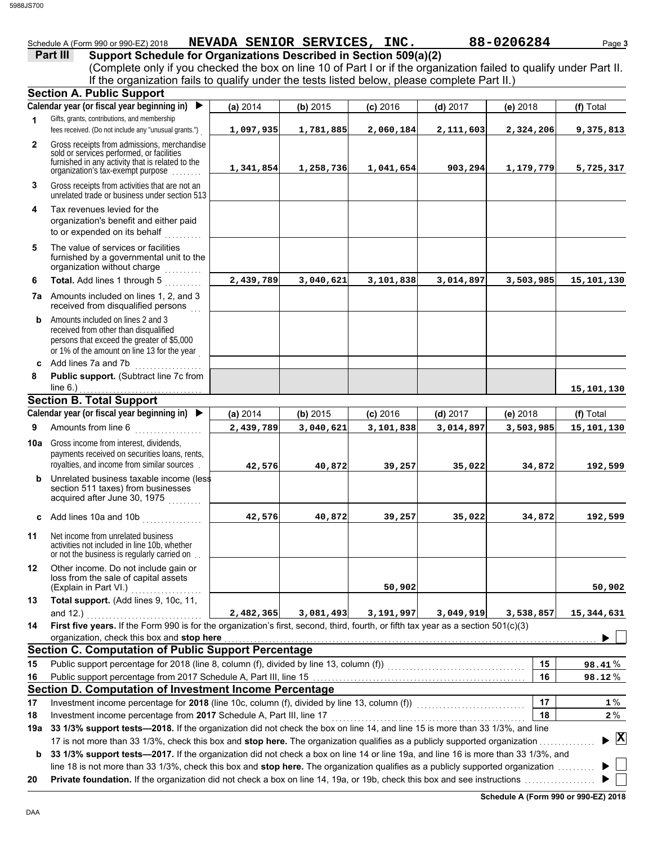|  | Schedule A (Form 990 or 990-EZ) 2018 | <b>SENIOR</b><br><b>NEVADA</b> | <b>SERVICES</b> | 88-0206284<br>INC. | Page 3 |
|--|--------------------------------------|--------------------------------|-----------------|--------------------|--------|
|--|--------------------------------------|--------------------------------|-----------------|--------------------|--------|

| Part III | Support Schedule for Organizations Described in Section 509(a)(2)                                                  |  |  |  |
|----------|--------------------------------------------------------------------------------------------------------------------|--|--|--|
|          | (Complete only if you checked the box on line 10 of Part I or if the organization failed to qualify under Part II. |  |  |  |
|          | If the organization fails to qualify under the tests listed below, please complete Part II.)                       |  |  |  |
|          | <b>Section A. Public Support</b>                                                                                   |  |  |  |
|          |                                                                                                                    |  |  |  |

|              | openan with a material<br>Calendar year (or fiscal year beginning in)<br>$\blacktriangleright$                                                                                    | (a) 2014  | (b) 2015  | $(c)$ 2016 | $(d)$ 2017 | (e) 2018  | (f) Total                                |
|--------------|-----------------------------------------------------------------------------------------------------------------------------------------------------------------------------------|-----------|-----------|------------|------------|-----------|------------------------------------------|
| 1.           | Gifts, grants, contributions, and membership                                                                                                                                      |           |           |            |            |           |                                          |
|              | fees received. (Do not include any "unusual grants.")                                                                                                                             | 1,097,935 | 1,781,885 | 2,060,184  | 2,111,603  | 2,324,206 | 9,375,813                                |
| $\mathbf{2}$ | Gross receipts from admissions, merchandise<br>sold or services performed, or facilities<br>furnished in any activity that is related to the<br>organization's tax-exempt purpose | 1,341,854 | 1,258,736 | 1,041,654  | 903,294    | 1,179,779 | 5,725,317                                |
| 3            | Gross receipts from activities that are not an<br>unrelated trade or business under section 513                                                                                   |           |           |            |            |           |                                          |
| 4            | Tax revenues levied for the<br>organization's benefit and either paid<br>to or expended on its behalf                                                                             |           |           |            |            |           |                                          |
| 5            | The value of services or facilities<br>furnished by a governmental unit to the<br>organization without charge                                                                     |           |           |            |            |           |                                          |
| 6            | Total. Add lines 1 through 5                                                                                                                                                      | 2,439,789 | 3,040,621 | 3,101,838  | 3,014,897  | 3,503,985 | 15,101,130                               |
|              | 7a Amounts included on lines 1, 2, and 3<br>received from disqualified persons                                                                                                    |           |           |            |            |           |                                          |
| b            | Amounts included on lines 2 and 3<br>received from other than disqualified<br>persons that exceed the greater of \$5,000<br>or 1% of the amount on line 13 for the year           |           |           |            |            |           |                                          |
|              | c Add lines 7a and 7b                                                                                                                                                             |           |           |            |            |           |                                          |
| 8            | Public support. (Subtract line 7c from<br>line $6.$ )                                                                                                                             |           |           |            |            |           | 15,101,130                               |
|              | <b>Section B. Total Support</b>                                                                                                                                                   |           |           |            |            |           |                                          |
|              | Calendar year (or fiscal year beginning in)<br>$\blacktriangleright$                                                                                                              | (a) 2014  | (b) 2015  | $(c)$ 2016 | $(d)$ 2017 | (e) 2018  | (f) Total                                |
| 9            | Amounts from line 6                                                                                                                                                               | 2,439,789 | 3,040,621 | 3,101,838  | 3,014,897  | 3,503,985 | 15,101,130                               |
|              | <b>10a</b> Gross income from interest, dividends,<br>payments received on securities loans, rents,<br>royalties, and income from similar sources                                  | 42,576    | 40,872    | 39,257     | 35,022     | 34,872    | 192,599                                  |
| b            | Unrelated business taxable income (less<br>section 511 taxes) from businesses<br>acquired after June 30, 1975                                                                     |           |           |            |            |           |                                          |
| c            | Add lines 10a and 10b                                                                                                                                                             | 42,576    | 40,872    | 39,257     | 35,022     | 34,872    | 192,599                                  |
| 11           | Net income from unrelated business<br>activities not included in line 10b, whether<br>or not the business is regularly carried on                                                 |           |           |            |            |           |                                          |
| 12           | Other income. Do not include gain or<br>loss from the sale of capital assets<br>(Explain in Part VI.)                                                                             |           |           | 50,902     |            |           | 50,902                                   |
| 13           | Total support. (Add lines 9, 10c, 11,                                                                                                                                             |           |           |            |            |           |                                          |
|              | and $12.$ )<br>.                                                                                                                                                                  | 2,482,365 | 3,081,493 | 3,191,997  | 3,049,919  | 3,538,857 | 15,344,631                               |
| 14           | First five years. If the Form 990 is for the organization's first, second, third, fourth, or fifth tax year as a section 501(c)(3)                                                |           |           |            |            |           |                                          |
|              | organization, check this box and stop here                                                                                                                                        |           |           |            |            |           |                                          |
|              | <b>Section C. Computation of Public Support Percentage</b>                                                                                                                        |           |           |            |            |           |                                          |
| 15           | Public support percentage for 2018 (line 8, column (f), divided by line 13, column (f)) [[[[[[[[[[[[[[[[[[[[[                                                                     |           |           |            |            | 15        | 98.41%                                   |
| 16           | Public support percentage from 2017 Schedule A, Part III, line 15 [11] [11] Concentration control of the Public support percentage from 2017 Schedule A, Part III, line 15        |           |           |            |            | 16        | 98.12%                                   |
|              | Section D. Computation of Investment Income Percentage                                                                                                                            |           |           |            |            |           |                                          |
| 17           | Investment income percentage for 2018 (line 10c, column (f), divided by line 13, column (f)) [[[[[[[[[[[[[[[[[                                                                    |           |           |            |            | 17        | $1\%$                                    |
| 18           | Investment income percentage from 2017 Schedule A, Part III, line 17                                                                                                              |           |           |            |            | 18        | $2\%$                                    |
|              | 19a 33 1/3% support tests-2018. If the organization did not check the box on line 14, and line 15 is more than 33 1/3%, and line                                                  |           |           |            |            |           | $\blacktriangleright$ $\boxed{\text{X}}$ |
|              | 17 is not more than 33 1/3%, check this box and stop here. The organization qualifies as a publicly supported organization                                                        |           |           |            |            |           |                                          |
| b            | 33 1/3% support tests-2017. If the organization did not check a box on line 14 or line 19a, and line 16 is more than 33 1/3%, and                                                 |           |           |            |            |           |                                          |
|              | line 18 is not more than 33 1/3%, check this box and stop here. The organization qualifies as a publicly supported organization                                                   |           |           |            |            |           |                                          |
| 20           |                                                                                                                                                                                   |           |           |            |            |           |                                          |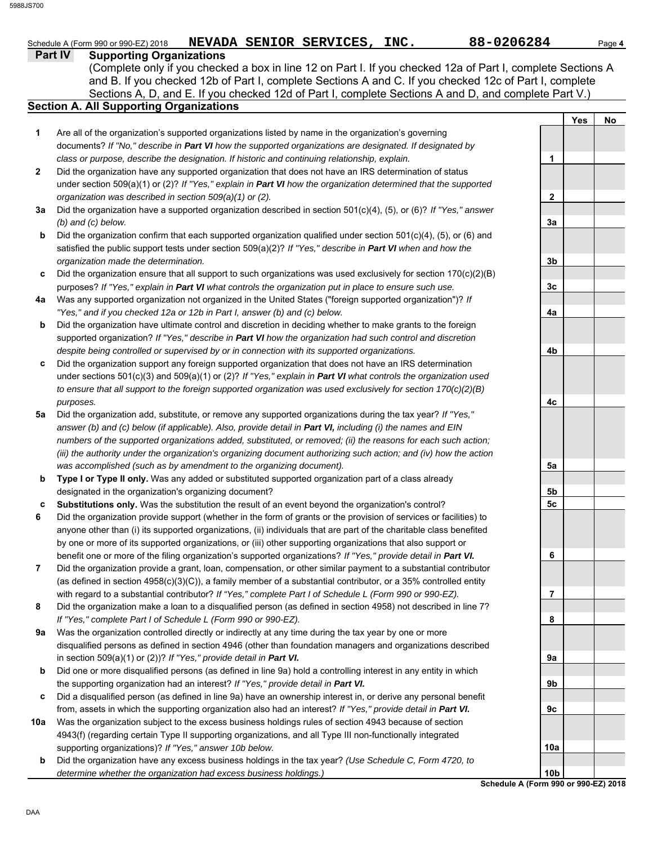|                | 88-0206284<br>NEVADA SENIOR SERVICES, INC.<br>Schedule A (Form 990 or 990-EZ) 2018                                                                                                                                                                                                                                                                               |            | Page 4 |
|----------------|------------------------------------------------------------------------------------------------------------------------------------------------------------------------------------------------------------------------------------------------------------------------------------------------------------------------------------------------------------------|------------|--------|
| <b>Part IV</b> | <b>Supporting Organizations</b><br>(Complete only if you checked a box in line 12 on Part I. If you checked 12a of Part I, complete Sections A<br>and B. If you checked 12b of Part I, complete Sections A and C. If you checked 12c of Part I, complete<br>Sections A, D, and E. If you checked 12d of Part I, complete Sections A and D, and complete Part V.) |            |        |
|                | <b>Section A. All Supporting Organizations</b>                                                                                                                                                                                                                                                                                                                   |            |        |
| 1              | Are all of the organization's supported organizations listed by name in the organization's governing                                                                                                                                                                                                                                                             | <b>Yes</b> | No     |
|                | documents? If "No," describe in Part VI how the supported organizations are designated. If designated by                                                                                                                                                                                                                                                         |            |        |
|                | class or purpose, describe the designation. If historic and continuing relationship, explain.                                                                                                                                                                                                                                                                    | 1          |        |
| 2              | Did the organization have any supported organization that does not have an IRS determination of status                                                                                                                                                                                                                                                           |            |        |
|                | under section 509(a)(1) or (2)? If "Yes," explain in Part VI how the organization determined that the supported                                                                                                                                                                                                                                                  |            |        |
|                | organization was described in section 509(a)(1) or (2).                                                                                                                                                                                                                                                                                                          | 2          |        |
| За             | Did the organization have a supported organization described in section 501(c)(4), (5), or (6)? If "Yes," answer                                                                                                                                                                                                                                                 |            |        |
|                | $(b)$ and $(c)$ below.                                                                                                                                                                                                                                                                                                                                           | 3a         |        |
| b              | Did the organization confirm that each supported organization qualified under section 501(c)(4), (5), or (6) and                                                                                                                                                                                                                                                 |            |        |
|                | satisfied the public support tests under section $509(a)(2)?$ If "Yes," describe in Part VI when and how the                                                                                                                                                                                                                                                     |            |        |
|                | organization made the determination.                                                                                                                                                                                                                                                                                                                             | 3b         |        |
| c              | Did the organization ensure that all support to such organizations was used exclusively for section 170(c)(2)(B)                                                                                                                                                                                                                                                 |            |        |
|                | purposes? If "Yes," explain in Part VI what controls the organization put in place to ensure such use.                                                                                                                                                                                                                                                           | 3c         |        |
| 4a             | Was any supported organization not organized in the United States ("foreign supported organization")? If                                                                                                                                                                                                                                                         |            |        |
|                | "Yes," and if you checked 12a or 12b in Part I, answer (b) and (c) below.                                                                                                                                                                                                                                                                                        | 4a         |        |
| b              | Did the organization have ultimate control and discretion in deciding whether to make grants to the foreign                                                                                                                                                                                                                                                      |            |        |
|                | supported organization? If "Yes," describe in Part VI how the organization had such control and discretion                                                                                                                                                                                                                                                       |            |        |
|                | despite being controlled or supervised by or in connection with its supported organizations.                                                                                                                                                                                                                                                                     | 4b         |        |
| c              | Did the organization support any foreign supported organization that does not have an IRS determination                                                                                                                                                                                                                                                          |            |        |
|                | under sections 501(c)(3) and 509(a)(1) or (2)? If "Yes," explain in Part VI what controls the organization used                                                                                                                                                                                                                                                  |            |        |
|                | to ensure that all support to the foreign supported organization was used exclusively for section $170(c)(2)(B)$                                                                                                                                                                                                                                                 |            |        |
|                | purposes.                                                                                                                                                                                                                                                                                                                                                        | 4с         |        |
| 5а             | Did the organization add, substitute, or remove any supported organizations during the tax year? If "Yes,"<br>answer (b) and (c) below (if applicable). Also, provide detail in Part VI, including (i) the names and EIN                                                                                                                                         |            |        |
|                | numbers of the supported organizations added, substituted, or removed; (ii) the reasons for each such action;                                                                                                                                                                                                                                                    |            |        |
|                | (iii) the authority under the organization's organizing document authorizing such action; and (iv) how the action                                                                                                                                                                                                                                                |            |        |
|                | was accomplished (such as by amendment to the organizing document).                                                                                                                                                                                                                                                                                              | 5a         |        |
| b              | Type I or Type II only. Was any added or substituted supported organization part of a class already                                                                                                                                                                                                                                                              |            |        |
|                | designated in the organization's organizing document?                                                                                                                                                                                                                                                                                                            | 5b         |        |
| c              | Substitutions only. Was the substitution the result of an event beyond the organization's control?                                                                                                                                                                                                                                                               | 5c         |        |
| 6              | Did the organization provide support (whether in the form of grants or the provision of services or facilities) to                                                                                                                                                                                                                                               |            |        |
|                | anyone other than (i) its supported organizations, (ii) individuals that are part of the charitable class benefited                                                                                                                                                                                                                                              |            |        |
|                | by one or more of its supported organizations, or (iii) other supporting organizations that also support or                                                                                                                                                                                                                                                      |            |        |
|                | benefit one or more of the filing organization's supported organizations? If "Yes," provide detail in Part VI.                                                                                                                                                                                                                                                   | 6          |        |
| 7              | Did the organization provide a grant, loan, compensation, or other similar payment to a substantial contributor                                                                                                                                                                                                                                                  |            |        |
|                | (as defined in section $4958(c)(3)(C)$ ), a family member of a substantial contributor, or a 35% controlled entity                                                                                                                                                                                                                                               |            |        |
|                | with regard to a substantial contributor? If "Yes," complete Part I of Schedule L (Form 990 or 990-EZ).                                                                                                                                                                                                                                                          | 7          |        |
| 8              | Did the organization make a loan to a disqualified person (as defined in section 4958) not described in line 7?                                                                                                                                                                                                                                                  |            |        |
|                | If "Yes," complete Part I of Schedule L (Form 990 or 990-EZ).                                                                                                                                                                                                                                                                                                    | 8          |        |
| 9а             | Was the organization controlled directly or indirectly at any time during the tax year by one or more                                                                                                                                                                                                                                                            |            |        |
|                | disqualified persons as defined in section 4946 (other than foundation managers and organizations described                                                                                                                                                                                                                                                      |            |        |
|                | in section 509(a)(1) or (2))? If "Yes," provide detail in Part VI.                                                                                                                                                                                                                                                                                               | 9а         |        |
| b              | Did one or more disqualified persons (as defined in line 9a) hold a controlling interest in any entity in which                                                                                                                                                                                                                                                  |            |        |
|                | the supporting organization had an interest? If "Yes," provide detail in Part VI.                                                                                                                                                                                                                                                                                | 9b         |        |
| c              | Did a disqualified person (as defined in line 9a) have an ownership interest in, or derive any personal benefit                                                                                                                                                                                                                                                  |            |        |
|                | from, assets in which the supporting organization also had an interest? If "Yes," provide detail in Part VI.<br>Was the organization subject to the excess business holdings rules of section 4943 because of section                                                                                                                                            | 9c         |        |
| 10a            |                                                                                                                                                                                                                                                                                                                                                                  |            |        |

**b** supporting organizations)? *If "Yes," answer 10b below.* Did the organization have any excess business holdings in the tax year? *(Use Schedule C, Form 4720, to determine whether the organization had excess business holdings.)*

4943(f) (regarding certain Type II supporting organizations, and all Type III non-functionally integrated

**Schedule A (Form 990 or 990-EZ) 2018 10b**

**10a**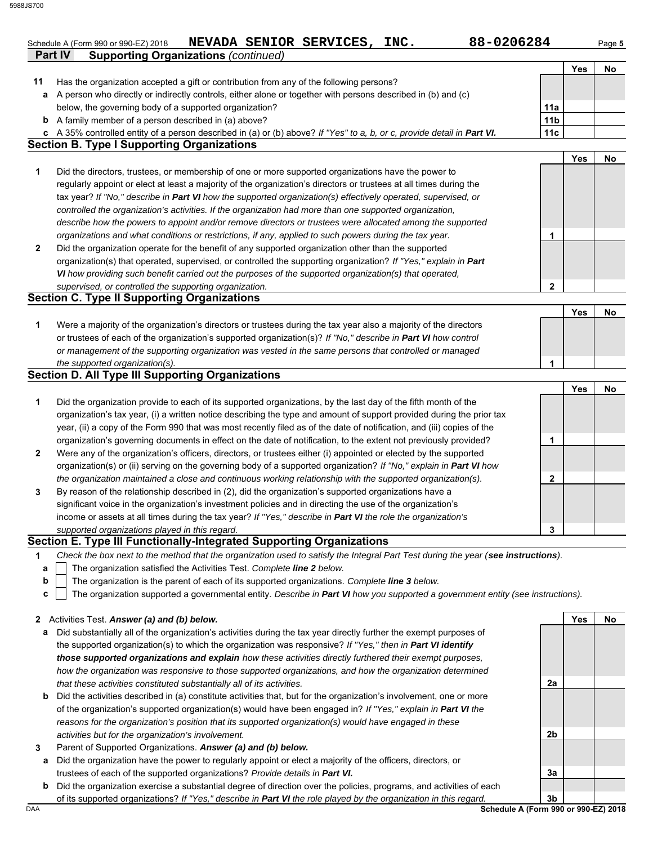|                | Schedule A (Form 990 or 990-EZ) 2018        |  | NEVADA SENIOR SERVICES, | INC. | 88-0206284 | Paɑe <b>5</b> |
|----------------|---------------------------------------------|--|-------------------------|------|------------|---------------|
| <b>Part IV</b> | <b>Supporting Organizations (continued)</b> |  |                         |      |            |               |

|              |                                                                                                                                                           |                 | Yes        | No |
|--------------|-----------------------------------------------------------------------------------------------------------------------------------------------------------|-----------------|------------|----|
| 11           | Has the organization accepted a gift or contribution from any of the following persons?                                                                   |                 |            |    |
|              | a A person who directly or indirectly controls, either alone or together with persons described in (b) and (c)                                            |                 |            |    |
|              | below, the governing body of a supported organization?                                                                                                    | 11a             |            |    |
|              | <b>b</b> A family member of a person described in (a) above?                                                                                              | 11 <sub>b</sub> |            |    |
| c            | A 35% controlled entity of a person described in (a) or (b) above? If "Yes" to a, b, or c, provide detail in Part VI.                                     | 11c             |            |    |
|              | <b>Section B. Type I Supporting Organizations</b>                                                                                                         |                 |            |    |
|              |                                                                                                                                                           |                 | Yes        | No |
| 1            | Did the directors, trustees, or membership of one or more supported organizations have the power to                                                       |                 |            |    |
|              | regularly appoint or elect at least a majority of the organization's directors or trustees at all times during the                                        |                 |            |    |
|              | tax year? If "No," describe in Part VI how the supported organization(s) effectively operated, supervised, or                                             |                 |            |    |
|              | controlled the organization's activities. If the organization had more than one supported organization,                                                   |                 |            |    |
|              | describe how the powers to appoint and/or remove directors or trustees were allocated among the supported                                                 |                 |            |    |
|              | organizations and what conditions or restrictions, if any, applied to such powers during the tax year.                                                    | 1               |            |    |
| $\mathbf{2}$ | Did the organization operate for the benefit of any supported organization other than the supported                                                       |                 |            |    |
|              | organization(s) that operated, supervised, or controlled the supporting organization? If "Yes," explain in Part                                           |                 |            |    |
|              | VI how providing such benefit carried out the purposes of the supported organization(s) that operated,                                                    |                 |            |    |
|              | supervised, or controlled the supporting organization.                                                                                                    | $\mathbf{2}$    |            |    |
|              | <b>Section C. Type II Supporting Organizations</b>                                                                                                        |                 |            |    |
|              |                                                                                                                                                           |                 | <b>Yes</b> | No |
| 1            | Were a majority of the organization's directors or trustees during the tax year also a majority of the directors                                          |                 |            |    |
|              | or trustees of each of the organization's supported organization(s)? If "No," describe in Part VI how control                                             |                 |            |    |
|              | or management of the supporting organization was vested in the same persons that controlled or managed                                                    |                 |            |    |
|              | the supported organization(s).<br><b>Section D. All Type III Supporting Organizations</b>                                                                 | 1               |            |    |
|              |                                                                                                                                                           |                 | <b>Yes</b> | No |
| 1            | Did the organization provide to each of its supported organizations, by the last day of the fifth month of the                                            |                 |            |    |
|              | organization's tax year, (i) a written notice describing the type and amount of support provided during the prior tax                                     |                 |            |    |
|              | year, (ii) a copy of the Form 990 that was most recently filed as of the date of notification, and (iii) copies of the                                    |                 |            |    |
|              | organization's governing documents in effect on the date of notification, to the extent not previously provided?                                          | 1               |            |    |
| $\mathbf{2}$ | Were any of the organization's officers, directors, or trustees either (i) appointed or elected by the supported                                          |                 |            |    |
|              | organization(s) or (ii) serving on the governing body of a supported organization? If "No," explain in Part VI how                                        |                 |            |    |
|              | the organization maintained a close and continuous working relationship with the supported organization(s).                                               | 2               |            |    |
| 3            | By reason of the relationship described in (2), did the organization's supported organizations have a                                                     |                 |            |    |
|              | significant voice in the organization's investment policies and in directing the use of the organization's                                                |                 |            |    |
|              | income or assets at all times during the tax year? If "Yes," describe in Part VI the role the organization's                                              |                 |            |    |
|              | supported organizations played in this regard.                                                                                                            | 3               |            |    |
|              | Section E. Type III Functionally-Integrated Supporting Organizations                                                                                      |                 |            |    |
| 1            | Check the box next to the method that the organization used to satisfy the Integral Part Test during the year (see instructions).                         |                 |            |    |
| а            | The organization satisfied the Activities Test. Complete line 2 below.                                                                                    |                 |            |    |
| b            | The organization is the parent of each of its supported organizations. Complete line 3 below.                                                             |                 |            |    |
| C            | The organization supported a governmental entity. Describe in Part VI how you supported a government entity (see instructions).                           |                 |            |    |
|              |                                                                                                                                                           |                 |            |    |
|              | 2 Activities Test. Answer (a) and (b) below.                                                                                                              |                 | Yes        | No |
| а            | Did substantially all of the organization's activities during the tax year directly further the exempt purposes of                                        |                 |            |    |
|              | the supported organization(s) to which the organization was responsive? If "Yes," then in Part VI identify                                                |                 |            |    |
|              | those supported organizations and explain how these activities directly furthered their exempt purposes,                                                  |                 |            |    |
|              | how the organization was responsive to those supported organizations, and how the organization determined                                                 |                 |            |    |
|              | that these activities constituted substantially all of its activities.                                                                                    | 2a              |            |    |
| b            | Did the activities described in (a) constitute activities that, but for the organization's involvement, one or more                                       |                 |            |    |
|              | of the organization's supported organization(s) would have been engaged in? If "Yes," explain in Part VI the                                              |                 |            |    |
|              | reasons for the organization's position that its supported organization(s) would have engaged in these                                                    |                 |            |    |
|              | activities but for the organization's involvement.                                                                                                        | 2b              |            |    |
| 3            | Parent of Supported Organizations. Answer (a) and (b) below.                                                                                              |                 |            |    |
| а            | Did the organization have the power to regularly appoint or elect a majority of the officers, directors, or                                               |                 |            |    |
|              | trustees of each of the supported organizations? Provide details in Part VI.                                                                              | За              |            |    |
| b            | Did the organization exercise a substantial degree of direction over the policies, programs, and activities of each                                       | 3 <sub>b</sub>  |            |    |
| DAA          | of its supported organizations? If "Yes," describe in Part VI the role played by the organization in this regard.<br>Schedule A (Form 990 or 990-EZ) 2018 |                 |            |    |
|              |                                                                                                                                                           |                 |            |    |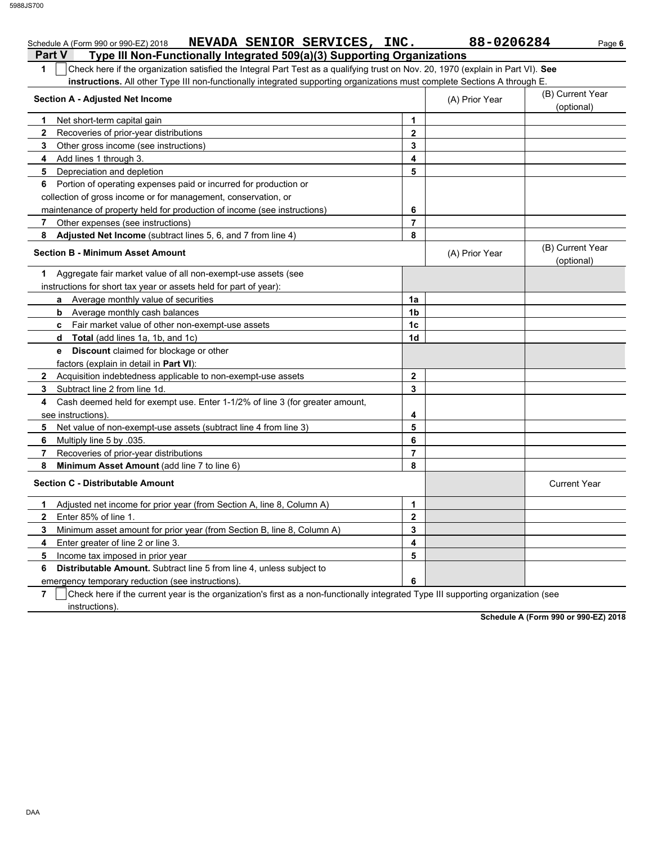|               | NEVADA SENIOR SERVICES, INC.<br>Schedule A (Form 990 or 990-EZ) 2018                                                             |                         | 88-0206284     | Page 6                         |
|---------------|----------------------------------------------------------------------------------------------------------------------------------|-------------------------|----------------|--------------------------------|
| <b>Part V</b> | Type III Non-Functionally Integrated 509(a)(3) Supporting Organizations                                                          |                         |                |                                |
| $\mathbf 1$   | Check here if the organization satisfied the Integral Part Test as a qualifying trust on Nov. 20, 1970 (explain in Part VI). See |                         |                |                                |
|               | instructions. All other Type III non-functionally integrated supporting organizations must complete Sections A through E.        |                         |                |                                |
|               | <b>Section A - Adjusted Net Income</b>                                                                                           |                         | (A) Prior Year | (B) Current Year               |
|               |                                                                                                                                  |                         |                | (optional)                     |
| 1             | Net short-term capital gain                                                                                                      | 1                       |                |                                |
| $\mathbf{2}$  | Recoveries of prior-year distributions                                                                                           | $\overline{2}$          |                |                                |
| 3             | Other gross income (see instructions)                                                                                            | 3                       |                |                                |
| 4             | Add lines 1 through 3.                                                                                                           | 4                       |                |                                |
|               | 5 Depreciation and depletion                                                                                                     | 5                       |                |                                |
|               | 6 Portion of operating expenses paid or incurred for production or                                                               |                         |                |                                |
|               | collection of gross income or for management, conservation, or                                                                   |                         |                |                                |
|               | maintenance of property held for production of income (see instructions)                                                         | 6                       |                |                                |
| 7             | Other expenses (see instructions)                                                                                                | $\overline{7}$          |                |                                |
| 8             | Adjusted Net Income (subtract lines 5, 6, and 7 from line 4)                                                                     | 8                       |                |                                |
|               | <b>Section B - Minimum Asset Amount</b>                                                                                          |                         | (A) Prior Year | (B) Current Year<br>(optional) |
| 1.            | Aggregate fair market value of all non-exempt-use assets (see                                                                    |                         |                |                                |
|               | instructions for short tax year or assets held for part of year):                                                                |                         |                |                                |
|               | a Average monthly value of securities                                                                                            | 1a                      |                |                                |
|               | <b>b</b> Average monthly cash balances                                                                                           | 1 <sub>b</sub>          |                |                                |
|               | c Fair market value of other non-exempt-use assets                                                                               | 1 <sub>c</sub>          |                |                                |
|               | <b>d</b> Total (add lines 1a, 1b, and 1c)                                                                                        | 1d                      |                |                                |
|               | <b>Discount</b> claimed for blockage or other<br>e                                                                               |                         |                |                                |
|               | factors (explain in detail in <b>Part VI)</b> :                                                                                  |                         |                |                                |
|               | 2 Acquisition indebtedness applicable to non-exempt-use assets                                                                   | $\mathbf{2}$            |                |                                |
| 3             | Subtract line 2 from line 1d.                                                                                                    | 3                       |                |                                |
| 4             | Cash deemed held for exempt use. Enter 1-1/2% of line 3 (for greater amount,                                                     |                         |                |                                |
|               | see instructions).                                                                                                               | 4                       |                |                                |
| 5             | Net value of non-exempt-use assets (subtract line 4 from line 3)                                                                 | 5                       |                |                                |
| 6             | Multiply line 5 by .035.                                                                                                         | 6                       |                |                                |
| 7             | Recoveries of prior-year distributions                                                                                           | $\overline{7}$          |                |                                |
| 8             | Minimum Asset Amount (add line 7 to line 6)                                                                                      | 8                       |                |                                |
|               | <b>Section C - Distributable Amount</b>                                                                                          |                         |                | <b>Current Year</b>            |
| 1             | Adjusted net income for prior year (from Section A, line 8, Column A)                                                            | 1                       |                |                                |
| $\mathbf{2}$  | Enter 85% of line 1.                                                                                                             | $\overline{\mathbf{2}}$ |                |                                |
| 3             | Minimum asset amount for prior year (from Section B, line 8, Column A)                                                           | 3                       |                |                                |
| 4             | Enter greater of line 2 or line 3.                                                                                               | 4                       |                |                                |
| 5             | Income tax imposed in prior year                                                                                                 | 5                       |                |                                |
| 6             | <b>Distributable Amount.</b> Subtract line 5 from line 4, unless subject to                                                      |                         |                |                                |
|               | emergency temporary reduction (see instructions)                                                                                 | 6                       |                |                                |

**7**  $\,$   $\,$   $\,$   $\,$   $\,$   $\,$  Check here if the current year is the organization's first as a non-functionally integrated Type III supporting organization (see instructions).

**Schedule A (Form 990 or 990-EZ) 2018**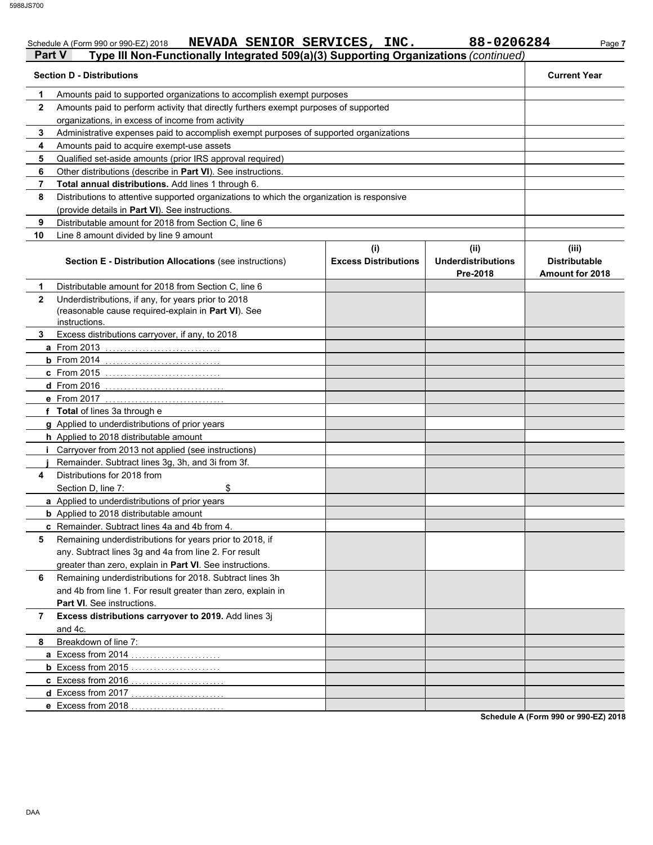|               | NEVADA SENIOR SERVICES, INC.<br>Schedule A (Form 990 or 990-EZ) 2018                       |                             | 88-0206284                | Page 7               |
|---------------|--------------------------------------------------------------------------------------------|-----------------------------|---------------------------|----------------------|
| <b>Part V</b> | Type III Non-Functionally Integrated 509(a)(3) Supporting Organizations (continued)        |                             |                           |                      |
|               | <b>Section D - Distributions</b>                                                           |                             |                           | <b>Current Year</b>  |
| 1             | Amounts paid to supported organizations to accomplish exempt purposes                      |                             |                           |                      |
| $\mathbf{2}$  | Amounts paid to perform activity that directly furthers exempt purposes of supported       |                             |                           |                      |
|               | organizations, in excess of income from activity                                           |                             |                           |                      |
| 3             | Administrative expenses paid to accomplish exempt purposes of supported organizations      |                             |                           |                      |
| 4             | Amounts paid to acquire exempt-use assets                                                  |                             |                           |                      |
| 5             | Qualified set-aside amounts (prior IRS approval required)                                  |                             |                           |                      |
| 6             | Other distributions (describe in Part VI). See instructions.                               |                             |                           |                      |
| 7             | Total annual distributions. Add lines 1 through 6.                                         |                             |                           |                      |
| 8             | Distributions to attentive supported organizations to which the organization is responsive |                             |                           |                      |
|               | (provide details in Part VI). See instructions.                                            |                             |                           |                      |
| 9             | Distributable amount for 2018 from Section C, line 6                                       |                             |                           |                      |
| 10            | Line 8 amount divided by line 9 amount                                                     |                             |                           |                      |
|               |                                                                                            | (i)                         | (ii)                      | (iii)                |
|               | <b>Section E - Distribution Allocations (see instructions)</b>                             | <b>Excess Distributions</b> | <b>Underdistributions</b> | <b>Distributable</b> |
|               |                                                                                            |                             | Pre-2018                  | Amount for 2018      |
| 1             | Distributable amount for 2018 from Section C, line 6                                       |                             |                           |                      |
| $\mathbf{2}$  | Underdistributions, if any, for years prior to 2018                                        |                             |                           |                      |
|               | (reasonable cause required-explain in Part VI). See                                        |                             |                           |                      |
|               | instructions.                                                                              |                             |                           |                      |
| 3.            | Excess distributions carryover, if any, to 2018                                            |                             |                           |                      |
|               | a From 2013                                                                                |                             |                           |                      |
|               | <b>b</b> From 2014                                                                         |                             |                           |                      |
|               | c From 2015                                                                                |                             |                           |                      |
|               | d From 2016                                                                                |                             |                           |                      |
|               | e From 2017                                                                                |                             |                           |                      |
|               | f Total of lines 3a through e                                                              |                             |                           |                      |
|               | g Applied to underdistributions of prior years                                             |                             |                           |                      |
|               | h Applied to 2018 distributable amount                                                     |                             |                           |                      |
| Ť.            | Carryover from 2013 not applied (see instructions)                                         |                             |                           |                      |
|               | Remainder. Subtract lines 3g, 3h, and 3i from 3f.                                          |                             |                           |                      |
| 4             | Distributions for 2018 from                                                                |                             |                           |                      |
|               | \$<br>Section D, line 7:                                                                   |                             |                           |                      |
|               | a Applied to underdistributions of prior years                                             |                             |                           |                      |
|               | <b>b</b> Applied to 2018 distributable amount                                              |                             |                           |                      |
|               | c Remainder. Subtract lines 4a and 4b from 4.                                              |                             |                           |                      |
| 5             | Remaining underdistributions for years prior to 2018, if                                   |                             |                           |                      |
|               | any. Subtract lines 3g and 4a from line 2. For result                                      |                             |                           |                      |
|               | greater than zero, explain in Part VI. See instructions.                                   |                             |                           |                      |
| 6             | Remaining underdistributions for 2018. Subtract lines 3h                                   |                             |                           |                      |
|               | and 4b from line 1. For result greater than zero, explain in                               |                             |                           |                      |
|               | Part VI. See instructions.                                                                 |                             |                           |                      |
| 7             | Excess distributions carryover to 2019. Add lines 3j                                       |                             |                           |                      |
|               | and 4c.                                                                                    |                             |                           |                      |
| 8             | Breakdown of line 7:                                                                       |                             |                           |                      |
|               | a Excess from 2014<br>.                                                                    |                             |                           |                      |
|               | <b>b</b> Excess from 2015                                                                  |                             |                           |                      |
|               | c Excess from 2016                                                                         |                             |                           |                      |
|               | d Excess from 2017<br>.                                                                    |                             |                           |                      |
|               | e Excess from 2018                                                                         |                             |                           |                      |

**Schedule A (Form 990 or 990-EZ) 2018**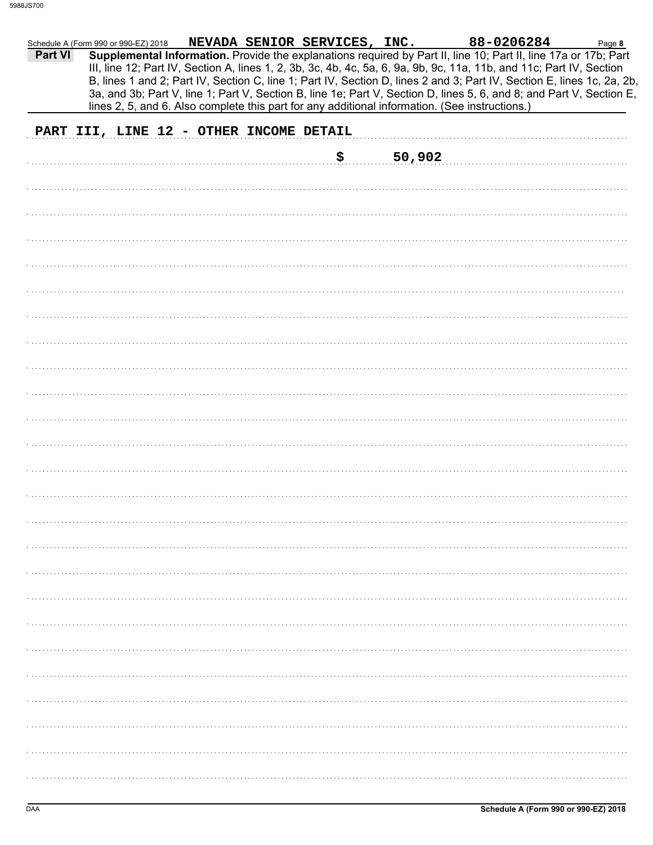| 88-0206284<br>NEVADA SENIOR SERVICES, INC.<br>Schedule A (Form 990 or 990-EZ) 2018<br>Page 8<br>Supplemental Information. Provide the explanations required by Part II, line 10; Part II, line 17a or 17b; Part<br><b>Part VI</b><br>III, line 12; Part IV, Section A, lines 1, 2, 3b, 3c, 4b, 4c, 5a, 6, 9a, 9b, 9c, 11a, 11b, and 11c; Part IV, Section<br>B, lines 1 and 2; Part IV, Section C, line 1; Part IV, Section D, lines 2 and 3; Part IV, Section E, lines 1c, 2a, 2b,<br>3a, and 3b; Part V, line 1; Part V, Section B, line 1e; Part V, Section D, lines 5, 6, and 8; and Part V, Section E,<br>lines 2, 5, and 6. Also complete this part for any additional information. (See instructions.) |
|---------------------------------------------------------------------------------------------------------------------------------------------------------------------------------------------------------------------------------------------------------------------------------------------------------------------------------------------------------------------------------------------------------------------------------------------------------------------------------------------------------------------------------------------------------------------------------------------------------------------------------------------------------------------------------------------------------------|
| PART III, LINE 12 - OTHER INCOME DETAIL                                                                                                                                                                                                                                                                                                                                                                                                                                                                                                                                                                                                                                                                       |
| \$<br>50,902                                                                                                                                                                                                                                                                                                                                                                                                                                                                                                                                                                                                                                                                                                  |
|                                                                                                                                                                                                                                                                                                                                                                                                                                                                                                                                                                                                                                                                                                               |
|                                                                                                                                                                                                                                                                                                                                                                                                                                                                                                                                                                                                                                                                                                               |
|                                                                                                                                                                                                                                                                                                                                                                                                                                                                                                                                                                                                                                                                                                               |
|                                                                                                                                                                                                                                                                                                                                                                                                                                                                                                                                                                                                                                                                                                               |
|                                                                                                                                                                                                                                                                                                                                                                                                                                                                                                                                                                                                                                                                                                               |
|                                                                                                                                                                                                                                                                                                                                                                                                                                                                                                                                                                                                                                                                                                               |
|                                                                                                                                                                                                                                                                                                                                                                                                                                                                                                                                                                                                                                                                                                               |
|                                                                                                                                                                                                                                                                                                                                                                                                                                                                                                                                                                                                                                                                                                               |
|                                                                                                                                                                                                                                                                                                                                                                                                                                                                                                                                                                                                                                                                                                               |
|                                                                                                                                                                                                                                                                                                                                                                                                                                                                                                                                                                                                                                                                                                               |
|                                                                                                                                                                                                                                                                                                                                                                                                                                                                                                                                                                                                                                                                                                               |
|                                                                                                                                                                                                                                                                                                                                                                                                                                                                                                                                                                                                                                                                                                               |
|                                                                                                                                                                                                                                                                                                                                                                                                                                                                                                                                                                                                                                                                                                               |
|                                                                                                                                                                                                                                                                                                                                                                                                                                                                                                                                                                                                                                                                                                               |
|                                                                                                                                                                                                                                                                                                                                                                                                                                                                                                                                                                                                                                                                                                               |
|                                                                                                                                                                                                                                                                                                                                                                                                                                                                                                                                                                                                                                                                                                               |
|                                                                                                                                                                                                                                                                                                                                                                                                                                                                                                                                                                                                                                                                                                               |
|                                                                                                                                                                                                                                                                                                                                                                                                                                                                                                                                                                                                                                                                                                               |
|                                                                                                                                                                                                                                                                                                                                                                                                                                                                                                                                                                                                                                                                                                               |
|                                                                                                                                                                                                                                                                                                                                                                                                                                                                                                                                                                                                                                                                                                               |
|                                                                                                                                                                                                                                                                                                                                                                                                                                                                                                                                                                                                                                                                                                               |
|                                                                                                                                                                                                                                                                                                                                                                                                                                                                                                                                                                                                                                                                                                               |
|                                                                                                                                                                                                                                                                                                                                                                                                                                                                                                                                                                                                                                                                                                               |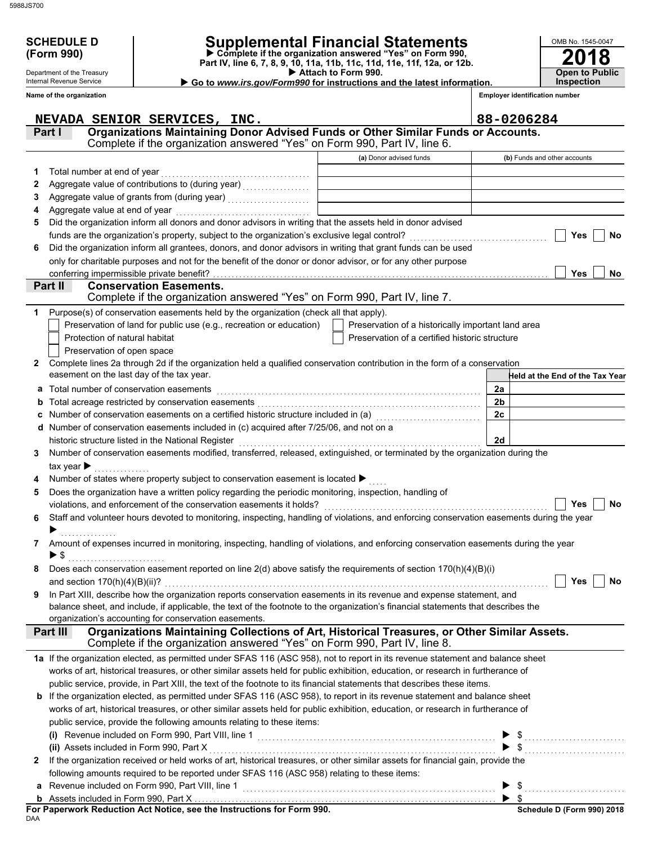| 5988JS700 |
|-----------|
|           |

Department of the Treasury Internal Revenue Service

| <b>SCHEDULE D</b> | <b>Supplemental Financial Statements</b> |
|-------------------|------------------------------------------|
|                   |                                          |

 **Attach to Form 990. (Form 990) Part IV, line 6, 7, 8, 9, 10, 11a, 11b, 11c, 11d, 11e, 11f, 12a, or 12b. Complete if the organization answered "Yes" on Form 990,**

| ► Go to www.irs.gov/Form990 for instructions and the latest information. |  |  |
|--------------------------------------------------------------------------|--|--|
|                                                                          |  |  |

**Inspection**

**2018**

**Open to Public**

OMB No. 1545-0047

|              | Name of the organization                                                                                                                                                                   |                                                    | <b>Employer identification number</b> |
|--------------|--------------------------------------------------------------------------------------------------------------------------------------------------------------------------------------------|----------------------------------------------------|---------------------------------------|
|              | NEVADA SENIOR SERVICES, INC.                                                                                                                                                               |                                                    | 88-0206284                            |
|              | Organizations Maintaining Donor Advised Funds or Other Similar Funds or Accounts.<br>Part I                                                                                                |                                                    |                                       |
|              | Complete if the organization answered "Yes" on Form 990, Part IV, line 6.                                                                                                                  |                                                    |                                       |
|              |                                                                                                                                                                                            | (a) Donor advised funds                            | (b) Funds and other accounts          |
| 1            | Total number at end of year                                                                                                                                                                |                                                    |                                       |
| 2            |                                                                                                                                                                                            |                                                    |                                       |
| З            |                                                                                                                                                                                            |                                                    |                                       |
| 4            | Aggregate value at end of year                                                                                                                                                             |                                                    |                                       |
| 5            | Did the organization inform all donors and donor advisors in writing that the assets held in donor advised                                                                                 |                                                    |                                       |
|              | funds are the organization's property, subject to the organization's exclusive legal control?                                                                                              |                                                    | Yes<br>No                             |
| 6            | Did the organization inform all grantees, donors, and donor advisors in writing that grant funds can be used                                                                               |                                                    |                                       |
|              | only for charitable purposes and not for the benefit of the donor or donor advisor, or for any other purpose                                                                               |                                                    |                                       |
|              | Part II<br><b>Conservation Easements.</b>                                                                                                                                                  |                                                    | Yes<br>No                             |
|              | Complete if the organization answered "Yes" on Form 990, Part IV, line 7.                                                                                                                  |                                                    |                                       |
| 1            | Purpose(s) of conservation easements held by the organization (check all that apply).                                                                                                      |                                                    |                                       |
|              | Preservation of land for public use (e.g., recreation or education)                                                                                                                        | Preservation of a historically important land area |                                       |
|              | Protection of natural habitat                                                                                                                                                              | Preservation of a certified historic structure     |                                       |
|              | Preservation of open space                                                                                                                                                                 |                                                    |                                       |
| $\mathbf{2}$ | Complete lines 2a through 2d if the organization held a qualified conservation contribution in the form of a conservation                                                                  |                                                    |                                       |
|              | easement on the last day of the tax year.                                                                                                                                                  |                                                    | Held at the End of the Tax Year       |
| a            | Total number of conservation easements                                                                                                                                                     |                                                    | 2a                                    |
| b            |                                                                                                                                                                                            |                                                    | 2 <sub>b</sub>                        |
| c            | Number of conservation easements on a certified historic structure included in (a) [11] Number of conservation                                                                             |                                                    | 2c                                    |
| d            | Number of conservation easements included in (c) acquired after 7/25/06, and not on a                                                                                                      |                                                    |                                       |
|              | historic structure listed in the National Register                                                                                                                                         |                                                    | 2d                                    |
| 3            | Number of conservation easements modified, transferred, released, extinguished, or terminated by the organization during the                                                               |                                                    |                                       |
|              | tax year $\blacktriangleright$                                                                                                                                                             |                                                    |                                       |
|              | Number of states where property subject to conservation easement is located ▶                                                                                                              |                                                    |                                       |
| 5            | Does the organization have a written policy regarding the periodic monitoring, inspection, handling of                                                                                     |                                                    |                                       |
|              | violations, and enforcement of the conservation easements it holds?                                                                                                                        |                                                    | Yes<br>No                             |
| 6            | Staff and volunteer hours devoted to monitoring, inspecting, handling of violations, and enforcing conservation easements during the year                                                  |                                                    |                                       |
|              |                                                                                                                                                                                            |                                                    |                                       |
|              | Amount of expenses incurred in monitoring, inspecting, handling of violations, and enforcing conservation easements during the year                                                        |                                                    |                                       |
|              | $\blacktriangleright$ \$                                                                                                                                                                   |                                                    |                                       |
|              | Does each conservation easement reported on line 2(d) above satisfy the requirements of section 170(h)(4)(B)(i)                                                                            |                                                    |                                       |
|              | and section $170(h)(4)(B)(ii)?$                                                                                                                                                            |                                                    | Yes<br>No                             |
| 9            | In Part XIII, describe how the organization reports conservation easements in its revenue and expense statement, and                                                                       |                                                    |                                       |
|              | balance sheet, and include, if applicable, the text of the footnote to the organization's financial statements that describes the<br>organization's accounting for conservation easements. |                                                    |                                       |
|              | Organizations Maintaining Collections of Art, Historical Treasures, or Other Similar Assets.<br>Part III                                                                                   |                                                    |                                       |
|              | Complete if the organization answered "Yes" on Form 990, Part IV, line 8.                                                                                                                  |                                                    |                                       |
|              | 1a If the organization elected, as permitted under SFAS 116 (ASC 958), not to report in its revenue statement and balance sheet                                                            |                                                    |                                       |
|              | works of art, historical treasures, or other similar assets held for public exhibition, education, or research in furtherance of                                                           |                                                    |                                       |
|              | public service, provide, in Part XIII, the text of the footnote to its financial statements that describes these items.                                                                    |                                                    |                                       |
|              | <b>b</b> If the organization elected, as permitted under SFAS 116 (ASC 958), to report in its revenue statement and balance sheet                                                          |                                                    |                                       |
|              | works of art, historical treasures, or other similar assets held for public exhibition, education, or research in furtherance of                                                           |                                                    |                                       |
|              | public service, provide the following amounts relating to these items:                                                                                                                     |                                                    |                                       |
|              |                                                                                                                                                                                            |                                                    | $\$\ldots$                            |
|              | (ii) Assets included in Form 990, Part X                                                                                                                                                   |                                                    |                                       |
| 2            | If the organization received or held works of art, historical treasures, or other similar assets for financial gain, provide the                                                           |                                                    |                                       |
|              | following amounts required to be reported under SFAS 116 (ASC 958) relating to these items:                                                                                                |                                                    |                                       |
| a            | Revenue included on Form 990, Part VIII, line 1                                                                                                                                            |                                                    |                                       |
| b            |                                                                                                                                                                                            |                                                    | $\blacktriangleright$ s               |

DAA **For Paperwork Reduction Act Notice, see the Instructions for Form 990.**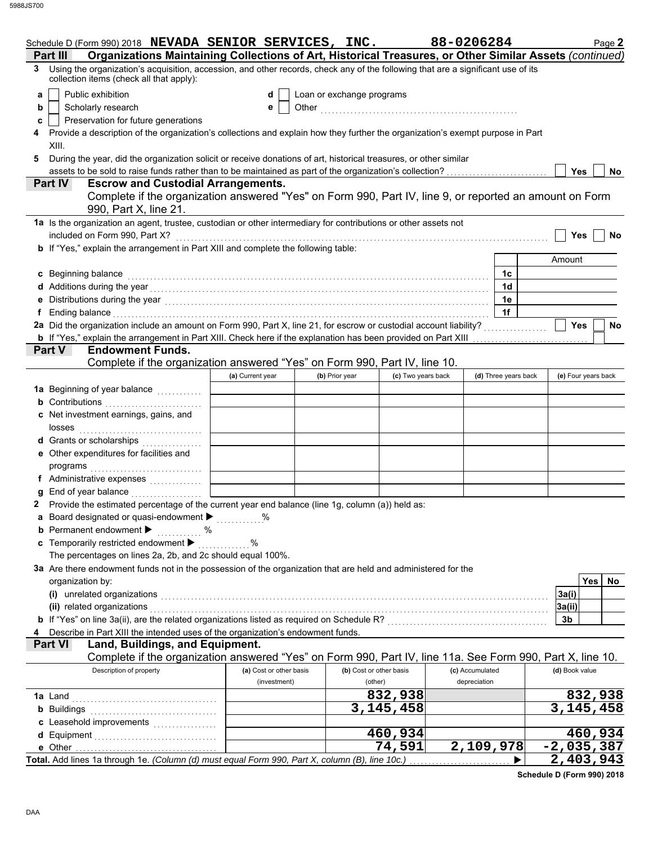|   | Schedule D (Form 990) 2018 NEVADA SENIOR SERVICES, INC.                                                                                                                                                                       |                  |                                         |                           |                                    | 88-0206284                      |                      | Page 2               |
|---|-------------------------------------------------------------------------------------------------------------------------------------------------------------------------------------------------------------------------------|------------------|-----------------------------------------|---------------------------|------------------------------------|---------------------------------|----------------------|----------------------|
|   | Organizations Maintaining Collections of Art, Historical Treasures, or Other Similar Assets (continued)<br>Part III                                                                                                           |                  |                                         |                           |                                    |                                 |                      |                      |
| 3 | Using the organization's acquisition, accession, and other records, check any of the following that are a significant use of its<br>collection items (check all that apply):                                                  |                  |                                         |                           |                                    |                                 |                      |                      |
| a | Public exhibition                                                                                                                                                                                                             |                  | d                                       | Loan or exchange programs |                                    |                                 |                      |                      |
| b | Scholarly research                                                                                                                                                                                                            |                  | е                                       |                           |                                    |                                 |                      |                      |
| c | Preservation for future generations                                                                                                                                                                                           |                  |                                         |                           |                                    |                                 |                      |                      |
|   | Provide a description of the organization's collections and explain how they further the organization's exempt purpose in Part                                                                                                |                  |                                         |                           |                                    |                                 |                      |                      |
|   | XIII.                                                                                                                                                                                                                         |                  |                                         |                           |                                    |                                 |                      |                      |
| 5 | During the year, did the organization solicit or receive donations of art, historical treasures, or other similar                                                                                                             |                  |                                         |                           |                                    |                                 |                      |                      |
|   |                                                                                                                                                                                                                               |                  |                                         |                           |                                    |                                 |                      | <b>Yes</b><br>No     |
|   | <b>Escrow and Custodial Arrangements.</b><br><b>Part IV</b>                                                                                                                                                                   |                  |                                         |                           |                                    |                                 |                      |                      |
|   | Complete if the organization answered "Yes" on Form 990, Part IV, line 9, or reported an amount on Form<br>990, Part X, line 21.                                                                                              |                  |                                         |                           |                                    |                                 |                      |                      |
|   | 1a Is the organization an agent, trustee, custodian or other intermediary for contributions or other assets not                                                                                                               |                  |                                         |                           |                                    |                                 |                      |                      |
|   | included on Form 990, Part X?                                                                                                                                                                                                 |                  |                                         |                           |                                    |                                 |                      | <b>Yes</b><br>No     |
|   | <b>b</b> If "Yes," explain the arrangement in Part XIII and complete the following table:                                                                                                                                     |                  |                                         |                           |                                    |                                 |                      |                      |
|   |                                                                                                                                                                                                                               |                  |                                         |                           |                                    |                                 |                      | Amount               |
|   | c Beginning balance                                                                                                                                                                                                           |                  |                                         |                           |                                    |                                 | 1c                   |                      |
|   |                                                                                                                                                                                                                               |                  |                                         |                           |                                    |                                 | 1 <sub>d</sub>       |                      |
|   | Distributions during the year [1, 2003] [1, 2004] [1, 2014] [1, 2014] [1, 2014] [1, 2014] [1, 2014] [1, 2014] [                                                                                                               |                  |                                         |                           |                                    |                                 | 1e                   |                      |
|   | Ending balance with a construction of the construction of the construction of the construction of the construction of the construction of the construction of the construction of the construction of the construction of the |                  |                                         |                           |                                    |                                 | 1f                   |                      |
|   |                                                                                                                                                                                                                               |                  |                                         |                           |                                    |                                 |                      | Yes<br>No            |
|   | <b>b</b> If "Yes," explain the arrangement in Part XIII. Check here if the explanation has been provided on Part XIII                                                                                                         |                  |                                         |                           |                                    |                                 | .                    |                      |
|   | Part V<br><b>Endowment Funds.</b>                                                                                                                                                                                             |                  |                                         |                           |                                    |                                 |                      |                      |
|   | Complete if the organization answered "Yes" on Form 990, Part IV, line 10.                                                                                                                                                    |                  |                                         |                           |                                    |                                 |                      |                      |
|   |                                                                                                                                                                                                                               | (a) Current year |                                         | (b) Prior year            | (c) Two years back                 |                                 | (d) Three years back | (e) Four years back  |
|   | 1a Beginning of year balance <i></i>                                                                                                                                                                                          |                  |                                         |                           |                                    |                                 |                      |                      |
|   | <b>b</b> Contributions <b>contributions</b>                                                                                                                                                                                   |                  |                                         |                           |                                    |                                 |                      |                      |
|   | c Net investment earnings, gains, and                                                                                                                                                                                         |                  |                                         |                           |                                    |                                 |                      |                      |
|   | losses                                                                                                                                                                                                                        |                  |                                         |                           |                                    |                                 |                      |                      |
|   | d Grants or scholarships<br><u>.</u> .                                                                                                                                                                                        |                  |                                         |                           |                                    |                                 |                      |                      |
|   | e Other expenditures for facilities and                                                                                                                                                                                       |                  |                                         |                           |                                    |                                 |                      |                      |
|   | programs                                                                                                                                                                                                                      |                  |                                         |                           |                                    |                                 |                      |                      |
|   | f Administrative expenses                                                                                                                                                                                                     |                  |                                         |                           |                                    |                                 |                      |                      |
|   | End of year balance                                                                                                                                                                                                           |                  |                                         |                           |                                    |                                 |                      |                      |
|   | 2 Provide the estimated percentage of the current year end balance (line 1g, column (a)) held as:                                                                                                                             |                  |                                         |                           |                                    |                                 |                      |                      |
|   | a Board designated or quasi-endowment > %                                                                                                                                                                                     |                  |                                         |                           |                                    |                                 |                      |                      |
|   | <b>b</b> Permanent endowment $\blacktriangleright$<br>. %                                                                                                                                                                     |                  |                                         |                           |                                    |                                 |                      |                      |
|   | c Temporarily restricted endowment                                                                                                                                                                                            | %                |                                         |                           |                                    |                                 |                      |                      |
|   | The percentages on lines 2a, 2b, and 2c should equal 100%.                                                                                                                                                                    |                  |                                         |                           |                                    |                                 |                      |                      |
|   | 3a Are there endowment funds not in the possession of the organization that are held and administered for the                                                                                                                 |                  |                                         |                           |                                    |                                 |                      |                      |
|   | organization by:                                                                                                                                                                                                              |                  |                                         |                           |                                    |                                 |                      | Yes  <br>No          |
|   | (i) unrelated organizations                                                                                                                                                                                                   |                  |                                         |                           |                                    |                                 |                      | 3a(i)                |
|   | (ii) related organizations                                                                                                                                                                                                    |                  |                                         |                           |                                    |                                 |                      | 3a(ii)               |
|   | b If "Yes" on line 3a(ii), are the related organizations listed as required on Schedule R? [[[[[[[[[[[[[[[[[[[                                                                                                                |                  |                                         |                           |                                    |                                 |                      | 3b                   |
|   | Describe in Part XIII the intended uses of the organization's endowment funds.                                                                                                                                                |                  |                                         |                           |                                    |                                 |                      |                      |
|   | Part VI<br>Land, Buildings, and Equipment.                                                                                                                                                                                    |                  |                                         |                           |                                    |                                 |                      |                      |
|   | Complete if the organization answered "Yes" on Form 990, Part IV, line 11a. See Form 990, Part X, line 10.                                                                                                                    |                  |                                         |                           |                                    |                                 |                      |                      |
|   | Description of property                                                                                                                                                                                                       |                  | (a) Cost or other basis<br>(investment) |                           | (b) Cost or other basis<br>(other) | (c) Accumulated<br>depreciation |                      | (d) Book value       |
|   |                                                                                                                                                                                                                               |                  |                                         |                           | 832,938                            |                                 |                      |                      |
|   | <b>1a</b> Land                                                                                                                                                                                                                |                  |                                         |                           | $\overline{3,}145,458$             |                                 |                      | 832,938<br>3,145,458 |
|   | <b>b</b> Buildings                                                                                                                                                                                                            |                  |                                         |                           |                                    |                                 |                      |                      |
|   | c Leasehold improvements                                                                                                                                                                                                      |                  |                                         |                           | 460,934                            |                                 |                      | 460,934              |
|   | d Equipment<br>e Other                                                                                                                                                                                                        |                  |                                         |                           | 74,591                             | 2,109,978                       |                      | $-2,035,387$         |
|   | Total. Add lines 1a through 1e. (Column (d) must equal Form 990, Part X, column (B), line 10c.)                                                                                                                               |                  |                                         |                           |                                    |                                 |                      | 2,403,943            |
|   |                                                                                                                                                                                                                               |                  |                                         |                           |                                    |                                 |                      |                      |

**Schedule D (Form 990) 2018**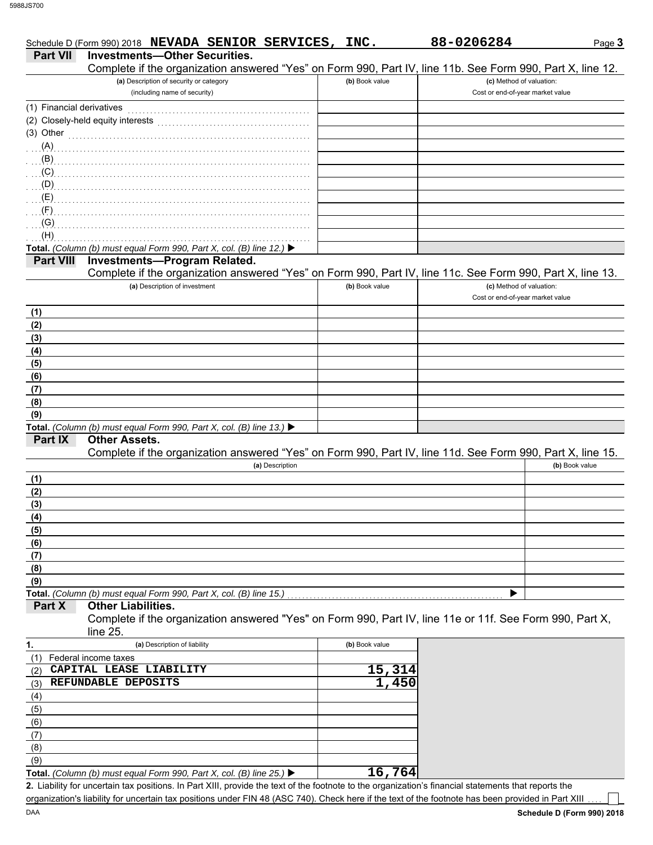DAA

|                           | Schedule D (Form 990) 2018 NEVADA SENIOR SERVICES, INC.                                                                                              |                | 88-0206284                       | Page 3         |
|---------------------------|------------------------------------------------------------------------------------------------------------------------------------------------------|----------------|----------------------------------|----------------|
| <b>Part VII</b>           | <b>Investments-Other Securities.</b><br>Complete if the organization answered "Yes" on Form 990, Part IV, line 11b. See Form 990, Part X, line 12.   |                |                                  |                |
|                           | (a) Description of security or category                                                                                                              | (b) Book value | (c) Method of valuation:         |                |
|                           | (including name of security)                                                                                                                         |                | Cost or end-of-year market value |                |
| (1) Financial derivatives |                                                                                                                                                      |                |                                  |                |
|                           | (2) Closely-held equity interests                                                                                                                    |                |                                  |                |
| $(3)$ Other               |                                                                                                                                                      |                |                                  |                |
| (A)                       |                                                                                                                                                      |                |                                  |                |
| (B)                       |                                                                                                                                                      |                |                                  |                |
| (C)                       |                                                                                                                                                      |                |                                  |                |
| (D)                       |                                                                                                                                                      |                |                                  |                |
| (E)                       |                                                                                                                                                      |                |                                  |                |
| (G)                       |                                                                                                                                                      |                |                                  |                |
| (H)                       |                                                                                                                                                      |                |                                  |                |
|                           | Total. (Column (b) must equal Form 990, Part X, col. (B) line 12.) $\blacktriangleright$                                                             |                |                                  |                |
| <b>Part VIII</b>          | Investments-Program Related.                                                                                                                         |                |                                  |                |
|                           | Complete if the organization answered "Yes" on Form 990, Part IV, line 11c. See Form 990, Part X, line 13.                                           |                |                                  |                |
|                           | (a) Description of investment                                                                                                                        | (b) Book value | (c) Method of valuation:         |                |
|                           |                                                                                                                                                      |                | Cost or end-of-year market value |                |
| (1)                       |                                                                                                                                                      |                |                                  |                |
| (2)                       |                                                                                                                                                      |                |                                  |                |
| (3)                       |                                                                                                                                                      |                |                                  |                |
| (4)                       |                                                                                                                                                      |                |                                  |                |
| (5)                       |                                                                                                                                                      |                |                                  |                |
| (6)                       |                                                                                                                                                      |                |                                  |                |
| (7)                       |                                                                                                                                                      |                |                                  |                |
| (8)                       |                                                                                                                                                      |                |                                  |                |
| (9)                       |                                                                                                                                                      |                |                                  |                |
| Part IX                   | Total. (Column (b) must equal Form 990, Part X, col. (B) line 13.) ▶<br><b>Other Assets.</b>                                                         |                |                                  |                |
|                           | Complete if the organization answered "Yes" on Form 990, Part IV, line 11d. See Form 990, Part X, line 15.                                           |                |                                  |                |
|                           | (a) Description                                                                                                                                      |                |                                  | (b) Book value |
| (1)                       |                                                                                                                                                      |                |                                  |                |
| (2)                       |                                                                                                                                                      |                |                                  |                |
| (3)                       |                                                                                                                                                      |                |                                  |                |
| (4)                       |                                                                                                                                                      |                |                                  |                |
| (5)                       |                                                                                                                                                      |                |                                  |                |
| (6)                       |                                                                                                                                                      |                |                                  |                |
| (7)                       |                                                                                                                                                      |                |                                  |                |
| (8)                       |                                                                                                                                                      |                |                                  |                |
| (9)                       |                                                                                                                                                      |                |                                  |                |
|                           | Total. (Column (b) must equal Form 990, Part X, col. (B) line 15.)                                                                                   |                |                                  |                |
| Part X                    | <b>Other Liabilities.</b>                                                                                                                            |                |                                  |                |
|                           | Complete if the organization answered "Yes" on Form 990, Part IV, line 11e or 11f. See Form 990, Part X,<br>line 25.                                 |                |                                  |                |
| 1.                        | (a) Description of liability                                                                                                                         | (b) Book value |                                  |                |
| (1)                       | Federal income taxes                                                                                                                                 |                |                                  |                |
| (2)                       | CAPITAL LEASE LIABILITY                                                                                                                              | 15,314         |                                  |                |
| (3)                       | REFUNDABLE DEPOSITS                                                                                                                                  | 1,450          |                                  |                |
| (4)                       |                                                                                                                                                      |                |                                  |                |
| (5)                       |                                                                                                                                                      |                |                                  |                |
| (6)                       |                                                                                                                                                      |                |                                  |                |
| (7)<br>(8)                |                                                                                                                                                      |                |                                  |                |
| (9)                       |                                                                                                                                                      |                |                                  |                |
|                           | Total. (Column (b) must equal Form 990, Part X, col. (B) line 25.) $\blacktriangleright$                                                             | 16,764         |                                  |                |
|                           | 2. Liability for uncertain tax positions. In Part XIII, provide the text of the footnote to the organization's financial statements that reports the |                |                                  |                |

organization's liability for uncertain tax positions under FIN 48 (ASC 740). Check here if the text of the footnote has been provided in Part XIII

 $\perp$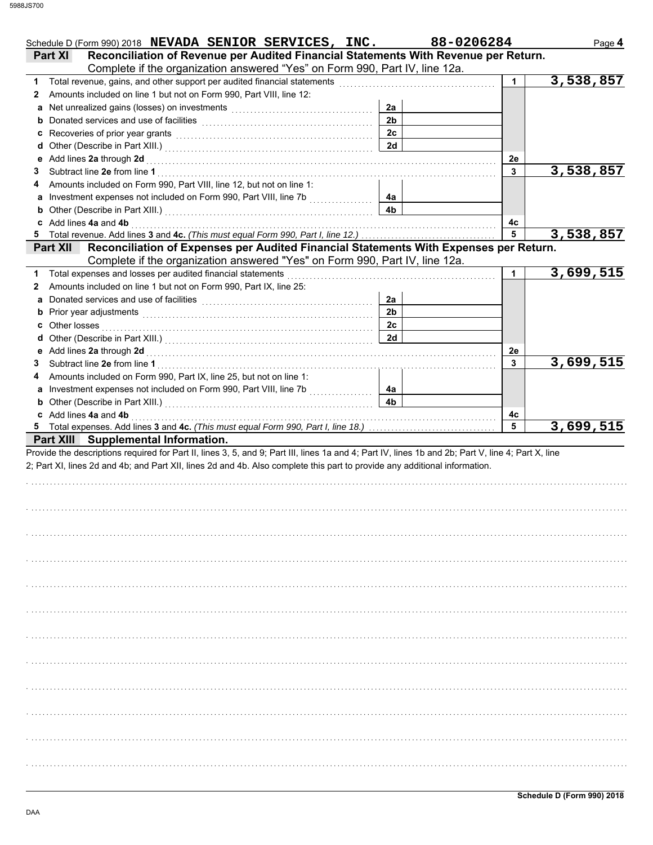| Schedule D (Form 990) 2018 NEVADA SENIOR SERVICES, INC.                                                                                                                                                                                                                          |                | 88-0206284 | Page 4    |
|----------------------------------------------------------------------------------------------------------------------------------------------------------------------------------------------------------------------------------------------------------------------------------|----------------|------------|-----------|
| Reconciliation of Revenue per Audited Financial Statements With Revenue per Return.<br>Part XI                                                                                                                                                                                   |                |            |           |
| Complete if the organization answered "Yes" on Form 990, Part IV, line 12a.                                                                                                                                                                                                      |                |            |           |
| Total revenue, gains, and other support per audited financial statements [111] [11] Total revenue, gains, and other support per audit of financial statements [11] $\cdot$<br>1                                                                                                  |                | 1.         | 3,538,857 |
| Amounts included on line 1 but not on Form 990, Part VIII, line 12:<br>2                                                                                                                                                                                                         |                |            |           |
| a Net unrealized gains (losses) on investments [11] [11] Net uncontained a Net unrealized gains (losses) on investments [11] $\cdot$                                                                                                                                             | 2a             |            |           |
|                                                                                                                                                                                                                                                                                  | 2 <sub>b</sub> |            |           |
|                                                                                                                                                                                                                                                                                  | 2 <sub>c</sub> |            |           |
| d Other (Describe in Part XIII.) [11] [2010] [2010] [2010] [2010] [2010] [2010] [2010] [2010] [2010] [2010] [2010] [2010] [2010] [2010] [2010] [2010] [2010] [2010] [2010] [2010] [2010] [2010] [2010] [2010] [2010] [2010] [2                                                   | 2d             |            |           |
|                                                                                                                                                                                                                                                                                  |                | 2e<br>3    | 3,538,857 |
| 3<br>Amounts included on Form 990, Part VIII, line 12, but not on line 1:                                                                                                                                                                                                        |                |            |           |
| a Investment expenses not included on Form 990, Part VIII, line 7b [[[[[[[[[[[[[[[[[[[[[[[[[[[[[[[[[                                                                                                                                                                             | 4a             |            |           |
| <b>b</b> Other (Describe in Part XIII.) <b>CONSIDENT</b> 2014 12:00 12:00 12:00 12:00 12:00 12:00 12:00 12:00 12:00 12:00 12:00 12:00 12:00 12:00 12:00 12:00 12:00 12:00 12:00 12:00 12:00 12:00 12:00 12:00 12:00 12:00 12:00 12:00 12                                         | 4 <sub>b</sub> |            |           |
| c Add lines 4a and 4b <b>contract and 4b</b> and 1 and 1 and 1 and 1 and 1 and 1 and 1 and 1 and 1 and 1 and 1 and 1 and 1 and 1 and 1 and 1 and 1 and 1 and 1 and 1 and 1 and 1 and 1 and 1 and 1 and 1 and 1 and 1 and 1 and 1 an                                              |                | 4с         |           |
| 5 Total revenue. Add lines 3 and 4c. (This must equal Form 990, Part I, line 12.)                                                                                                                                                                                                |                | 5          | 3,538,857 |
| Reconciliation of Expenses per Audited Financial Statements With Expenses per Return.<br><b>Part XII</b>                                                                                                                                                                         |                |            |           |
| Complete if the organization answered "Yes" on Form 990, Part IV, line 12a.                                                                                                                                                                                                      |                |            |           |
| Total expenses and losses per audited financial statements<br>1                                                                                                                                                                                                                  |                | 1          | 3,699,515 |
| Amounts included on line 1 but not on Form 990, Part IX, line 25:<br>2                                                                                                                                                                                                           |                |            |           |
|                                                                                                                                                                                                                                                                                  | 2a             |            |           |
|                                                                                                                                                                                                                                                                                  | 2 <sub>b</sub> |            |           |
|                                                                                                                                                                                                                                                                                  | 2c             |            |           |
|                                                                                                                                                                                                                                                                                  | 2d             |            |           |
|                                                                                                                                                                                                                                                                                  |                | 2e         |           |
| 3                                                                                                                                                                                                                                                                                |                | 3          | 3,699,515 |
| Amounts included on Form 990, Part IX, line 25, but not on line 1:                                                                                                                                                                                                               |                |            |           |
|                                                                                                                                                                                                                                                                                  | 4a             |            |           |
| <b>b</b> Other (Describe in Part XIII.) <b>CONSIDENT DESCRIPTION DESCRIPTION</b>                                                                                                                                                                                                 | 4 <sub>b</sub> |            |           |
| c Add lines 4a and 4b <b>contract and 4b</b> and 4b and 4b and 4b and 4b and 4b and 4b and 4b and 4b and 4b and 4b and 4b and 4b and 4b and 4b and 4b and 4b and 4b and 4b and 4b and 4b and 4b and 4b and 4b and 4b and 4b and 4b                                               |                | 4c         |           |
|                                                                                                                                                                                                                                                                                  |                | 5          | 3,699,515 |
| Part XIII Supplemental Information.                                                                                                                                                                                                                                              |                |            |           |
| Provide the descriptions required for Part II, lines 3, 5, and 9; Part III, lines 1a and 4; Part IV, lines 1b and 2b; Part V, line 4; Part X, line<br>2; Part XI, lines 2d and 4b; and Part XII, lines 2d and 4b. Also complete this part to provide any additional information. |                |            |           |
|                                                                                                                                                                                                                                                                                  |                |            |           |
|                                                                                                                                                                                                                                                                                  |                |            |           |
|                                                                                                                                                                                                                                                                                  |                |            |           |
|                                                                                                                                                                                                                                                                                  |                |            |           |
|                                                                                                                                                                                                                                                                                  |                |            |           |
|                                                                                                                                                                                                                                                                                  |                |            |           |
|                                                                                                                                                                                                                                                                                  |                |            |           |
|                                                                                                                                                                                                                                                                                  |                |            |           |
|                                                                                                                                                                                                                                                                                  |                |            |           |
|                                                                                                                                                                                                                                                                                  |                |            |           |
|                                                                                                                                                                                                                                                                                  |                |            |           |
|                                                                                                                                                                                                                                                                                  |                |            |           |
|                                                                                                                                                                                                                                                                                  |                |            |           |
|                                                                                                                                                                                                                                                                                  |                |            |           |
|                                                                                                                                                                                                                                                                                  |                |            |           |
|                                                                                                                                                                                                                                                                                  |                |            |           |
|                                                                                                                                                                                                                                                                                  |                |            |           |
|                                                                                                                                                                                                                                                                                  |                |            |           |
|                                                                                                                                                                                                                                                                                  |                |            |           |
|                                                                                                                                                                                                                                                                                  |                |            |           |
|                                                                                                                                                                                                                                                                                  |                |            |           |
|                                                                                                                                                                                                                                                                                  |                |            |           |
|                                                                                                                                                                                                                                                                                  |                |            |           |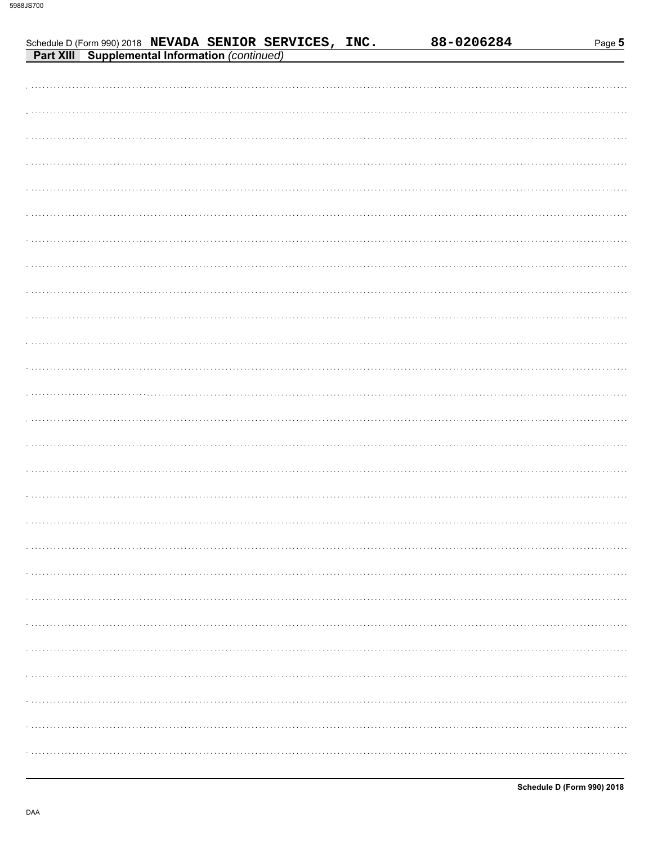| Schedule D (Form 990) 2018 NEVADA SENIOR SERVICES, INC.<br><b>Part XIII</b> Supplemental Information (continued) | 88-0206284 | Page 5 |
|------------------------------------------------------------------------------------------------------------------|------------|--------|
|                                                                                                                  |            |        |
|                                                                                                                  |            |        |
|                                                                                                                  |            |        |
|                                                                                                                  |            |        |
|                                                                                                                  |            |        |
|                                                                                                                  |            |        |
|                                                                                                                  |            |        |
|                                                                                                                  |            |        |
|                                                                                                                  |            |        |
|                                                                                                                  |            |        |
|                                                                                                                  |            |        |
|                                                                                                                  |            |        |
|                                                                                                                  |            |        |
|                                                                                                                  |            |        |
|                                                                                                                  |            |        |
|                                                                                                                  |            |        |
|                                                                                                                  |            |        |
|                                                                                                                  |            |        |
|                                                                                                                  |            |        |
|                                                                                                                  |            |        |
|                                                                                                                  |            |        |
|                                                                                                                  |            |        |
|                                                                                                                  |            |        |
|                                                                                                                  |            |        |
|                                                                                                                  |            |        |
|                                                                                                                  |            |        |
|                                                                                                                  |            |        |
|                                                                                                                  |            |        |
|                                                                                                                  |            |        |